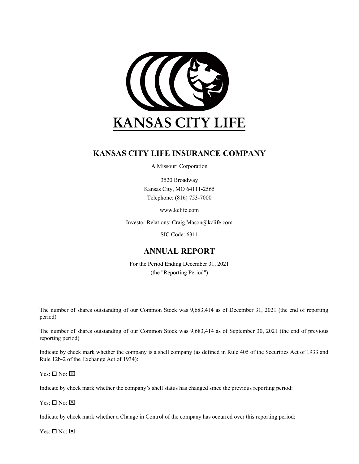

# **KANSAS CITY LIFE INSURANCE COMPANY**

A Missouri Corporation

3520 Broadway Kansas City, MO 64111-2565 Telephone: (816) 753-7000

www.kclife.com

Investor Relations: Craig.Mason@kclife.com

SIC Code: 6311

# **ANNUAL REPORT**

For the Period Ending December 31, 2021 (the "Reporting Period")

The number of shares outstanding of our Common Stock was 9,683,414 as of December 31, 2021 (the end of reporting period)

The number of shares outstanding of our Common Stock was 9,683,414 as of September 30, 2021 (the end of previous reporting period)

Indicate by check mark whether the company is a shell company (as defined in Rule 405 of the Securities Act of 1933 and Rule 12b-2 of the Exchange Act of 1934):

 $Yes: \Box No: \Box$ 

Indicate by check mark whether the company's shell status has changed since the previous reporting period:

 $Yes: \Box No: \Box$ 

Indicate by check mark whether a Change in Control of the company has occurred over this reporting period:

 $Yes: \Box No: \boxtimes$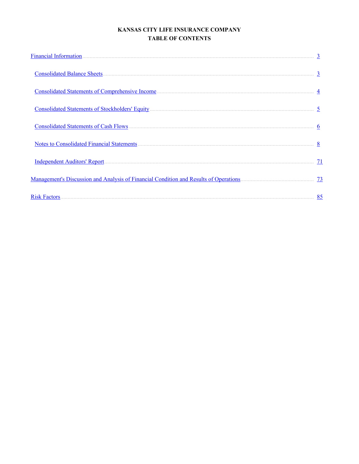# KANSAS CITY LIFE INSURANCE COMPANY **TABLE OF CONTENTS**

| Financial Information <b>Exercise Constructs</b> (2011) <b>Financial Information Constructs (2013)</b> | $\overline{3}$ |
|--------------------------------------------------------------------------------------------------------|----------------|
| <b>Consolidated Balance Sheets</b>                                                                     | $\overline{3}$ |
|                                                                                                        |                |
|                                                                                                        | 5              |
|                                                                                                        | -6             |
|                                                                                                        | <u>8</u>       |
|                                                                                                        | <u>71</u>      |
|                                                                                                        | <u>73</u>      |
| <b>Risk Factors</b>                                                                                    | 85             |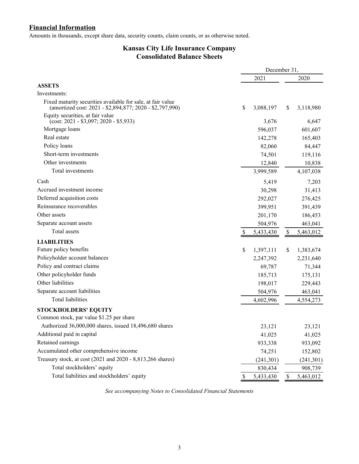# <span id="page-2-0"></span>**Financial Information**

Amounts in thousands, except share data, security counts, claim counts, or as otherwise noted.

# **Kansas City Life Insurance Company Consolidated Balance Sheets**

|                                                                                                                         | December 31, |            |    |            |
|-------------------------------------------------------------------------------------------------------------------------|--------------|------------|----|------------|
|                                                                                                                         |              | 2021       |    | 2020       |
| <b>ASSETS</b>                                                                                                           |              |            |    |            |
| Investments:                                                                                                            |              |            |    |            |
| Fixed maturity securities available for sale, at fair value<br>(amortized cost: 2021 - \$2,894,877; 2020 - \$2,797,990) | \$           | 3,088,197  | \$ | 3,118,980  |
| Equity securities, at fair value<br>$(cost: 2021 - $3,097; 2020 - $5,933)$                                              |              | 3,676      |    | 6,647      |
| Mortgage loans                                                                                                          |              | 596,037    |    | 601,607    |
| Real estate                                                                                                             |              | 142,278    |    | 165,403    |
| Policy loans                                                                                                            |              | 82,060     |    | 84,447     |
| Short-term investments                                                                                                  |              | 74,501     |    | 119,116    |
| Other investments                                                                                                       |              | 12,840     |    | 10,838     |
| Total investments                                                                                                       |              | 3,999,589  |    | 4,107,038  |
| Cash                                                                                                                    |              | 5,419      |    | 7,203      |
| Accrued investment income                                                                                               |              | 30,298     |    | 31,413     |
| Deferred acquisition costs                                                                                              |              | 292,027    |    | 276,425    |
| Reinsurance recoverables                                                                                                |              | 399,951    |    | 391,439    |
| Other assets                                                                                                            |              | 201,170    |    | 186,453    |
| Separate account assets                                                                                                 |              | 504,976    |    | 463,041    |
| Total assets                                                                                                            |              | 5,433,430  | \$ | 5,463,012  |
| <b>LIABILITIES</b>                                                                                                      |              |            |    |            |
| Future policy benefits                                                                                                  | \$           | 1,397,111  | \$ | 1,383,674  |
| Policyholder account balances                                                                                           |              | 2,247,392  |    | 2,231,640  |
| Policy and contract claims                                                                                              |              | 69,787     |    | 71,344     |
| Other policyholder funds                                                                                                |              | 185,713    |    | 175,131    |
| Other liabilities                                                                                                       |              | 198,017    |    | 229,443    |
| Separate account liabilities                                                                                            |              | 504,976    |    | 463,041    |
| <b>Total liabilities</b>                                                                                                |              | 4,602,996  |    | 4,554,273  |
| <b>STOCKHOLDERS' EQUITY</b>                                                                                             |              |            |    |            |
| Common stock, par value \$1.25 per share                                                                                |              |            |    |            |
| Authorized 36,000,000 shares, issued 18,496,680 shares                                                                  |              | 23,121     |    | 23,121     |
| Additional paid in capital                                                                                              |              | 41,025     |    | 41,025     |
| Retained earnings                                                                                                       |              | 933,338    |    | 933,092    |
| Accumulated other comprehensive income                                                                                  |              | 74,251     |    | 152,802    |
| Treasury stock, at cost (2021 and 2020 - 8,813,266 shares)                                                              |              | (241, 301) |    | (241, 301) |
| Total stockholders' equity                                                                                              |              | 830,434    |    | 908,739    |
| Total liabilities and stockholders' equity                                                                              |              | 5,433,430  | \$ | 5,463,012  |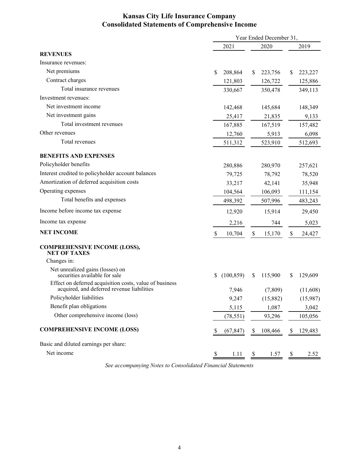# **Kansas City Life Insurance Company Consolidated Statements of Comprehensive Income**

<span id="page-3-0"></span>

|                                                                                                       | Year Ended December 31, |            |               |          |              |          |
|-------------------------------------------------------------------------------------------------------|-------------------------|------------|---------------|----------|--------------|----------|
|                                                                                                       |                         | 2021       |               | 2020     |              | 2019     |
| <b>REVENUES</b>                                                                                       |                         |            |               |          |              |          |
| Insurance revenues:                                                                                   |                         |            |               |          |              |          |
| Net premiums                                                                                          | \$                      | 208,864    | <sup>\$</sup> | 223,756  | \$           | 223,227  |
| Contract charges                                                                                      |                         | 121,803    |               | 126,722  |              | 125,886  |
| Total insurance revenues                                                                              |                         | 330,667    |               | 350,478  |              | 349,113  |
| Investment revenues:                                                                                  |                         |            |               |          |              |          |
| Net investment income                                                                                 |                         | 142,468    |               | 145,684  |              | 148,349  |
| Net investment gains                                                                                  |                         | 25,417     |               | 21,835   |              | 9,133    |
| Total investment revenues                                                                             |                         | 167,885    |               | 167,519  |              | 157,482  |
| Other revenues                                                                                        |                         | 12,760     |               | 5,913    |              | 6,098    |
| Total revenues                                                                                        |                         | 511,312    |               | 523,910  |              | 512,693  |
| <b>BENEFITS AND EXPENSES</b>                                                                          |                         |            |               |          |              |          |
| Policyholder benefits                                                                                 |                         | 280,886    |               | 280,970  |              | 257,621  |
| Interest credited to policyholder account balances                                                    |                         | 79,725     |               | 78,792   |              | 78,520   |
| Amortization of deferred acquisition costs                                                            |                         | 33,217     |               | 42,141   |              | 35,948   |
| Operating expenses                                                                                    |                         | 104,564    |               | 106,093  |              | 111,154  |
| Total benefits and expenses                                                                           |                         | 498,392    |               | 507,996  |              | 483,243  |
| Income before income tax expense                                                                      |                         | 12,920     |               | 15,914   |              | 29,450   |
| Income tax expense                                                                                    |                         | 2,216      |               | 744      |              | 5,023    |
| <b>NET INCOME</b>                                                                                     | $\$$                    | 10,704     | $\$$          | 15,170   | \$           | 24,427   |
| <b>COMPREHENSIVE INCOME (LOSS),</b><br><b>NET OF TAXES</b>                                            |                         |            |               |          |              |          |
| Changes in:                                                                                           |                         |            |               |          |              |          |
| Net unrealized gains (losses) on<br>securities available for sale                                     | S                       | (100, 859) | <sup>\$</sup> | 115,900  | S            | 129,609  |
| Effect on deferred acquisition costs, value of business<br>acquired, and deferred revenue liabilities |                         | 7,946      |               | (7,809)  |              | (11,608) |
| Policyholder liabilities                                                                              |                         | 9,247      |               | (15,882) |              | (15,987) |
| Benefit plan obligations                                                                              |                         | 5,115      |               | 1,087    |              | 3,042    |
| Other comprehensive income (loss)                                                                     |                         | (78, 551)  |               | 93,296   |              | 105,056  |
| <b>COMPREHENSIVE INCOME (LOSS)</b>                                                                    |                         | (67, 847)  | \$            | 108,466  | <sup>2</sup> | 129,483  |
| Basic and diluted earnings per share:                                                                 |                         |            |               |          |              |          |
| Net income                                                                                            | <sup>\$</sup>           | 1.11       | \$            | 1.57     | \$           | 2.52     |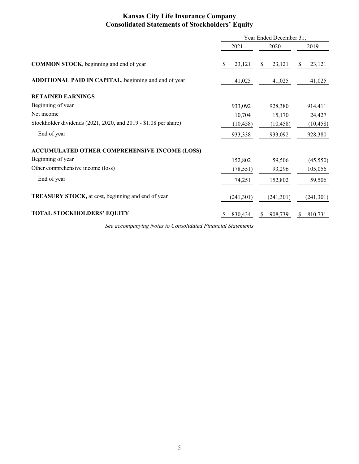# **Kansas City Life Insurance Company Consolidated Statements of Stockholders' Equity**

<span id="page-4-0"></span>

|                                                                 | Year Ended December 31, |             |            |  |  |
|-----------------------------------------------------------------|-------------------------|-------------|------------|--|--|
|                                                                 | 2021                    | 2020        | 2019       |  |  |
| <b>COMMON STOCK</b> , beginning and end of year                 | 23,121<br>S.            | 23,121<br>S | 23,121     |  |  |
| ADDITIONAL PAID IN CAPITAL, beginning and end of year           | 41,025                  | 41,025      | 41,025     |  |  |
| <b>RETAINED EARNINGS</b>                                        |                         |             |            |  |  |
| Beginning of year                                               | 933,092                 | 928,380     | 914,411    |  |  |
| Net income                                                      | 10,704                  | 15,170      | 24,427     |  |  |
| Stockholder dividends (2021, 2020, and 2019 - \$1.08 per share) | (10, 458)               | (10, 458)   | (10, 458)  |  |  |
| End of year                                                     | 933,338                 | 933,092     | 928,380    |  |  |
| <b>ACCUMULATED OTHER COMPREHENSIVE INCOME (LOSS)</b>            |                         |             |            |  |  |
| Beginning of year                                               | 152,802                 | 59,506      | (45,550)   |  |  |
| Other comprehensive income (loss)                               | (78, 551)               | 93,296      | 105,056    |  |  |
| End of year                                                     | 74,251                  | 152,802     | 59,506     |  |  |
| <b>TREASURY STOCK, at cost, beginning and end of year</b>       | (241,301)               | (241, 301)  | (241, 301) |  |  |
| <b>TOTAL STOCKHOLDERS' EQUITY</b>                               | 830,434                 | 908,739     | 810,731    |  |  |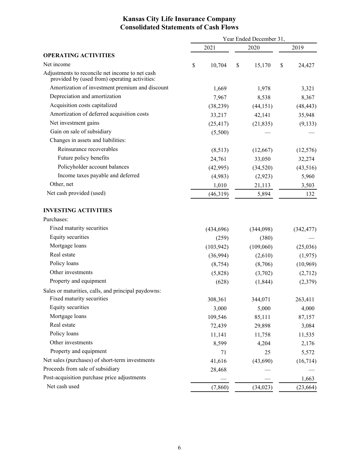# **Kansas City Life Insurance Company Consolidated Statements of Cash Flows**

<span id="page-5-0"></span>

| Year Ended December 31,                                                                          |    |            |                    |           |              |
|--------------------------------------------------------------------------------------------------|----|------------|--------------------|-----------|--------------|
|                                                                                                  |    | 2021       |                    | 2020      | 2019         |
| <b>OPERATING ACTIVITIES</b>                                                                      |    |            |                    |           |              |
| Net income                                                                                       | \$ | 10,704     | $\mathbf{\hat{S}}$ | 15,170    | \$<br>24,427 |
| Adjustments to reconcile net income to net cash<br>provided by (used from) operating activities: |    |            |                    |           |              |
| Amortization of investment premium and discount                                                  |    | 1,669      |                    | 1,978     | 3,321        |
| Depreciation and amortization                                                                    |    | 7,967      |                    | 8,538     | 8,367        |
| Acquisition costs capitalized                                                                    |    | (38, 239)  |                    | (44, 151) | (48, 443)    |
| Amortization of deferred acquisition costs                                                       |    | 33,217     |                    | 42,141    | 35,948       |
| Net investment gains                                                                             |    | (25, 417)  |                    | (21, 835) | (9,133)      |
| Gain on sale of subsidiary                                                                       |    | (5,500)    |                    |           |              |
| Changes in assets and liabilities:                                                               |    |            |                    |           |              |
| Reinsurance recoverables                                                                         |    | (8,513)    |                    | (12,667)  | (12, 576)    |
| Future policy benefits                                                                           |    | 24,761     |                    | 33,050    | 32,274       |
| Policyholder account balances                                                                    |    | (42,995)   |                    | (34,520)  | (43,516)     |
| Income taxes payable and deferred                                                                |    | (4,983)    |                    | (2,923)   | 5,960        |
| Other, net                                                                                       |    | 1,010      |                    | 21,113    | 3,503        |
| Net cash provided (used)                                                                         |    | (46,319)   |                    | 5,894     | 132          |
| <b>INVESTING ACTIVITIES</b>                                                                      |    |            |                    |           |              |
| Purchases:                                                                                       |    |            |                    |           |              |
| Fixed maturity securities                                                                        |    | (434, 696) |                    | (344,098) | (342, 477)   |
| Equity securities                                                                                |    | (259)      |                    | (380)     |              |
| Mortgage loans                                                                                   |    | (103, 942) |                    | (109,060) | (25,036)     |
| Real estate                                                                                      |    | (36,994)   |                    | (2,610)   | (1,975)      |
| Policy loans                                                                                     |    | (8, 754)   |                    | (8,706)   | (10,969)     |
| Other investments                                                                                |    | (5,828)    |                    | (3,702)   | (2,712)      |
| Property and equipment                                                                           |    | (628)      |                    | (1, 844)  | (2,379)      |
| Sales or maturities, calls, and principal paydowns:                                              |    |            |                    |           |              |
| Fixed maturity securities                                                                        |    | 308,361    |                    | 344,071   | 263,411      |
| Equity securities                                                                                |    | 3,000      |                    | 5,000     | 4,000        |
| Mortgage loans                                                                                   |    | 109,546    |                    | 85,111    | 87,157       |
| Real estate                                                                                      |    | 72,439     |                    | 29,898    | 3,084        |
| Policy loans                                                                                     |    | 11,141     |                    | 11,758    | 11,535       |
| Other investments                                                                                |    | 8,599      |                    | 4,204     | 2,176        |
| Property and equipment                                                                           |    | 71         |                    | 25        | 5,572        |
| Net sales (purchases) of short-term investments                                                  |    | 41,616     |                    | (43,690)  | (16,714)     |
| Proceeds from sale of subsidiary                                                                 |    | 28,468     |                    |           |              |
| Post-acquisition purchase price adjustments                                                      |    |            |                    |           | 1,663        |
| Net cash used                                                                                    |    | (7, 860)   |                    | (34, 023) | (23, 664)    |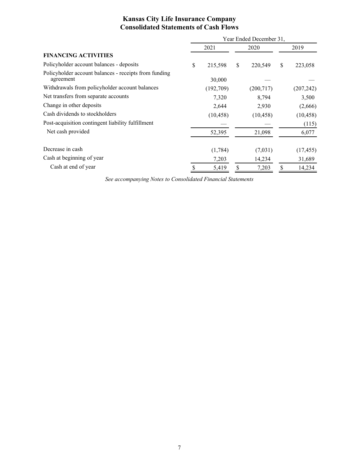# **Kansas City Life Insurance Company Consolidated Statements of Cash Flows**

|                                                                    | Year Ended December 31, |           |    |            |      |            |
|--------------------------------------------------------------------|-------------------------|-----------|----|------------|------|------------|
|                                                                    |                         | 2021      |    | 2020       | 2019 |            |
| <b>FINANCING ACTIVITIES</b>                                        |                         |           |    |            |      |            |
| Policyholder account balances - deposits                           | \$                      | 215,598   | \$ | 220,549    | S.   | 223,058    |
| Policyholder account balances - receipts from funding<br>agreement |                         | 30,000    |    |            |      |            |
| Withdrawals from policyholder account balances                     |                         | (192,709) |    | (200, 717) |      | (207, 242) |
| Net transfers from separate accounts                               |                         | 7,320     |    | 8,794      |      | 3,500      |
| Change in other deposits                                           |                         | 2,644     |    | 2,930      |      | (2,666)    |
| Cash dividends to stockholders                                     |                         | (10, 458) |    | (10, 458)  |      | (10, 458)  |
| Post-acquisition contingent liability fulfillment                  |                         |           |    |            |      | (115)      |
| Net cash provided                                                  |                         | 52,395    |    | 21,098     |      | 6,077      |
| Decrease in cash                                                   |                         | (1,784)   |    | (7,031)    |      | (17, 455)  |
| Cash at beginning of year                                          |                         | 7,203     |    | 14,234     |      | 31,689     |
| Cash at end of year                                                |                         | 5,419     |    | 7,203      |      | 14,234     |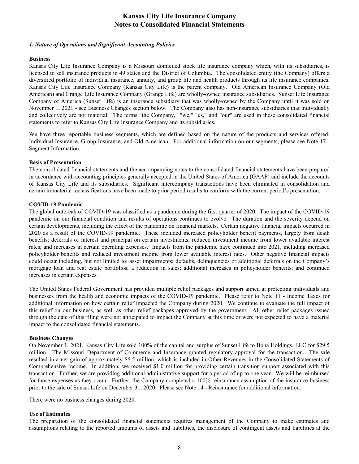### <span id="page-7-0"></span>*1. Nature of Operations and Significant Accounting Policies*

#### **Business**

Kansas City Life Insurance Company is a Missouri domiciled stock life insurance company which, with its subsidiaries, is licensed to sell insurance products in 49 states and the District of Columbia. The consolidated entity (the Company) offers a diversified portfolio of individual insurance, annuity, and group life and health products through its life insurance companies. Kansas City Life Insurance Company (Kansas City Life) is the parent company. Old American Insurance Company (Old American) and Grange Life Insurance Company (Grange Life) are wholly-owned insurance subsidiaries. Sunset Life Insurance Company of America (Sunset Life) is an insurance subsidiary that was wholly-owned by the Company until it was sold on November 1, 2021 - see Business Changes section below. The Company also has non-insurance subsidiaries that individually and collectively are not material. The terms "the Company," "we," "us," and "our" are used in these consolidated financial statements to refer to Kansas City Life Insurance Company and its subsidiaries.

We have three reportable business segments, which are defined based on the nature of the products and services offered: Individual Insurance, Group Insurance, and Old American. For additional information on our segments, please see Note 17 - Segment Information.

#### **Basis of Presentation**

The consolidated financial statements and the accompanying notes to the consolidated financial statements have been prepared in accordance with accounting principles generally accepted in the United States of America (GAAP) and include the accounts of Kansas City Life and its subsidiaries. Significant intercompany transactions have been eliminated in consolidation and certain immaterial reclassifications have been made to prior period results to conform with the current period's presentation.

#### **COVID-19 Pandemic**

The global outbreak of COVID-19 was classified as a pandemic during the first quarter of 2020. The impact of the COVID-19 pandemic on our financial condition and results of operations continues to evolve. The duration and the severity depend on certain developments, including the effect of the pandemic on financial markets. Certain negative financial impacts occurred in 2020 as a result of the COVID-19 pandemic. These included increased policyholder benefit payments, largely from death benefits; deferrals of interest and principal on certain investments; reduced investment income from lower available interest rates; and increases in certain operating expenses. Impacts from the pandemic have continued into 2021, including increased policyholder benefits and reduced investment income from lower available interest rates. Other negative financial impacts could occur including, but not limited to: asset impairments; defaults, delinquencies or additional deferrals on the Company's mortgage loan and real estate portfolios; a reduction in sales; additional increases in policyholder benefits; and continued increases in certain expenses.

The United States Federal Government has provided multiple relief packages and support aimed at protecting individuals and businesses from the health and economic impacts of the COVID-19 pandemic. Please refer to Note 11 - Income Taxes for additional information on how certain relief impacted the Company during 2020. We continue to evaluate the full impact of this relief on our business, as well as other relief packages approved by the government. All other relief packages issued through the date of this filing were not anticipated to impact the Company at this time or were not expected to have a material impact to the consolidated financial statements.

#### **Business Changes**

On November 1, 2021, Kansas City Life sold 100% of the capital and surplus of Sunset Life to Bona Holdings, LLC for \$29.5 million. The Missouri Department of Commerce and Insurance granted regulatory approval for the transaction. The sale resulted in a net gain of approximately \$5.5 million, which is included in Other Revenues in the Consolidated Statements of Comprehensive Income. In addition, we received \$1.0 million for providing certain transition support associated with this transaction. Further, we are providing additional administrative support for a period of up to one year. We will be reimbursed for those expenses as they occur. Further, the Company completed a 100% reinsurance assumption of the insurance business prior to the sale of Sunset Life on December 31, 2020. Please see Note 14 - Reinsurance for additional information.

There were no business changes during 2020.

### **Use of Estimates**

The preparation of the consolidated financial statements requires management of the Company to make estimates and assumptions relating to the reported amounts of assets and liabilities, the disclosure of contingent assets and liabilities at the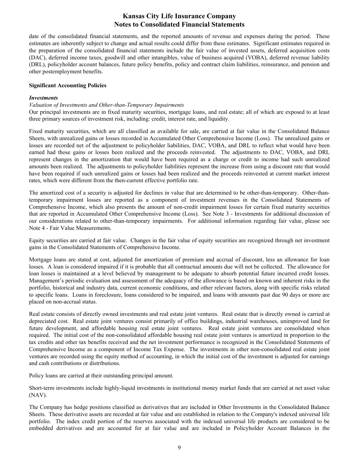date of the consolidated financial statements, and the reported amounts of revenue and expenses during the period. These estimates are inherently subject to change and actual results could differ from these estimates. Significant estimates required in the preparation of the consolidated financial statements include the fair value of invested assets, deferred acquisition costs (DAC), deferred income taxes, goodwill and other intangibles, value of business acquired (VOBA), deferred revenue liability (DRL), policyholder account balances, future policy benefits, policy and contract claim liabilities, reinsurance, and pension and other postemployment benefits.

#### **Significant Accounting Policies**

#### *Investments*

#### *Valuation of Investments and Other-than-Temporary Impairments*

Our principal investments are in fixed maturity securities, mortgage loans, and real estate; all of which are exposed to at least three primary sources of investment risk, including: credit, interest rate, and liquidity.

Fixed maturity securities, which are all classified as available for sale, are carried at fair value in the Consolidated Balance Sheets, with unrealized gains or losses recorded in Accumulated Other Comprehensive Income (Loss). The unrealized gains or losses are recorded net of the adjustment to policyholder liabilities, DAC, VOBA, and DRL to reflect what would have been earned had those gains or losses been realized and the proceeds reinvested. The adjustments to DAC, VOBA, and DRL represent changes in the amortization that would have been required as a charge or credit to income had such unrealized amounts been realized. The adjustments to policyholder liabilities represent the increase from using a discount rate that would have been required if such unrealized gains or losses had been realized and the proceeds reinvested at current market interest rates, which were different from the then-current effective portfolio rate.

The amortized cost of a security is adjusted for declines in value that are determined to be other-than-temporary. Other-thantemporary impairment losses are reported as a component of investment revenues in the Consolidated Statements of Comprehensive Income, which also presents the amount of non-credit impairment losses for certain fixed maturity securities that are reported in Accumulated Other Comprehensive Income (Loss). See Note 3 - Investments for additional discussion of our considerations related to other-than-temporary impairments. For additional information regarding fair value, please see Note 4 - Fair Value Measurements.

Equity securities are carried at fair value. Changes in the fair value of equity securities are recognized through net investment gains in the Consolidated Statements of Comprehensive Income.

Mortgage loans are stated at cost, adjusted for amortization of premium and accrual of discount, less an allowance for loan losses. A loan is considered impaired if it is probable that all contractual amounts due will not be collected. The allowance for loan losses is maintained at a level believed by management to be adequate to absorb potential future incurred credit losses. Management's periodic evaluation and assessment of the adequacy of the allowance is based on known and inherent risks in the portfolio, historical and industry data, current economic conditions, and other relevant factors, along with specific risks related to specific loans. Loans in foreclosure, loans considered to be impaired, and loans with amounts past due 90 days or more are placed on non-accrual status.

Real estate consists of directly owned investments and real estate joint ventures. Real estate that is directly owned is carried at depreciated cost. Real estate joint ventures consist primarily of office buildings, industrial warehouses, unimproved land for future development, and affordable housing real estate joint ventures. Real estate joint ventures are consolidated when required. The initial cost of the non-consolidated affordable housing real estate joint ventures is amortized in proportion to the tax credits and other tax benefits received and the net investment performance is recognized in the Consolidated Statements of Comprehensive Income as a component of Income Tax Expense. The investments in other non-consolidated real estate joint ventures are recorded using the equity method of accounting, in which the initial cost of the investment is adjusted for earnings and cash contributions or distributions.

Policy loans are carried at their outstanding principal amount.

Short-term investments include highly-liquid investments in institutional money market funds that are carried at net asset value (NAV).

The Company has hedge positions classified as derivatives that are included in Other Investments in the Consolidated Balance Sheets. These derivative assets are recorded at fair value and are established in relation to the Company's indexed universal life portfolio. The index credit portion of the reserves associated with the indexed universal life products are considered to be embedded derivatives and are accounted for at fair value and are included in Policyholder Account Balances in the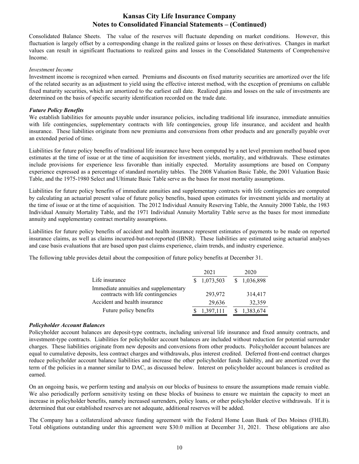Consolidated Balance Sheets. The value of the reserves will fluctuate depending on market conditions. However, this fluctuation is largely offset by a corresponding change in the realized gains or losses on these derivatives. Changes in market values can result in significant fluctuations to realized gains and losses in the Consolidated Statements of Comprehensive Income.

#### *Investment Income*

Investment income is recognized when earned. Premiums and discounts on fixed maturity securities are amortized over the life of the related security as an adjustment to yield using the effective interest method, with the exception of premiums on callable fixed maturity securities, which are amortized to the earliest call date. Realized gains and losses on the sale of investments are determined on the basis of specific security identification recorded on the trade date.

### *Future Policy Benefits*

We establish liabilities for amounts payable under insurance policies, including traditional life insurance, immediate annuities with life contingencies, supplementary contracts with life contingencies, group life insurance, and accident and health insurance. These liabilities originate from new premiums and conversions from other products and are generally payable over an extended period of time.

Liabilities for future policy benefits of traditional life insurance have been computed by a net level premium method based upon estimates at the time of issue or at the time of acquisition for investment yields, mortality, and withdrawals. These estimates include provisions for experience less favorable than initially expected. Mortality assumptions are based on Company experience expressed as a percentage of standard mortality tables. The 2008 Valuation Basic Table, the 2001 Valuation Basic Table, and the 1975-1980 Select and Ultimate Basic Table serve as the bases for most mortality assumptions.

Liabilities for future policy benefits of immediate annuities and supplementary contracts with life contingencies are computed by calculating an actuarial present value of future policy benefits, based upon estimates for investment yields and mortality at the time of issue or at the time of acquisition. The 2012 Individual Annuity Reserving Table, the Annuity 2000 Table, the 1983 Individual Annuity Mortality Table, and the 1971 Individual Annuity Mortality Table serve as the bases for most immediate annuity and supplementary contract mortality assumptions.

Liabilities for future policy benefits of accident and health insurance represent estimates of payments to be made on reported insurance claims, as well as claims incurred-but-not-reported (IBNR). These liabilities are estimated using actuarial analyses and case basis evaluations that are based upon past claims experience, claim trends, and industry experience.

The following table provides detail about the composition of future policy benefits at December 31.

|                                                                            | 2021 |           |  | 2020        |
|----------------------------------------------------------------------------|------|-----------|--|-------------|
| Life insurance                                                             |      | 1,073,503 |  | \$1,036,898 |
| Immediate annuities and supplementary<br>contracts with life contingencies |      | 293,972   |  | 314,417     |
| Accident and health insurance                                              |      | 29,636    |  | 32,359      |
| Future policy benefits                                                     |      | 1,397,111 |  | 1,383,674   |

### *Policyholder Account Balances*

Policyholder account balances are deposit-type contracts, including universal life insurance and fixed annuity contracts, and investment-type contracts. Liabilities for policyholder account balances are included without reduction for potential surrender charges. These liabilities originate from new deposits and conversions from other products. Policyholder account balances are equal to cumulative deposits, less contract charges and withdrawals, plus interest credited. Deferred front-end contract charges reduce policyholder account balance liabilities and increase the other policyholder funds liability, and are amortized over the term of the policies in a manner similar to DAC, as discussed below. Interest on policyholder account balances is credited as earned.

On an ongoing basis, we perform testing and analysis on our blocks of business to ensure the assumptions made remain viable. We also periodically perform sensitivity testing on these blocks of business to ensure we maintain the capacity to meet an increase in policyholder benefits, namely increased surrenders, policy loans, or other policyholder elective withdrawals. If it is determined that our established reserves are not adequate, additional reserves will be added.

The Company has a collateralized advance funding agreement with the Federal Home Loan Bank of Des Moines (FHLB). Total obligations outstanding under this agreement were \$30.0 million at December 31, 2021. These obligations are also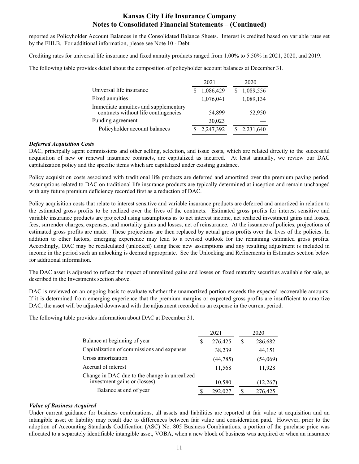reported as Policyholder Account Balances in the Consolidated Balance Sheets. Interest is credited based on variable rates set by the FHLB. For additional information, please see Note 10 - Debt.

Crediting rates for universal life insurance and fixed annuity products ranged from 1.00% to 5.50% in 2021, 2020, and 2019.

The following table provides detail about the composition of policyholder account balances at December 31.

|                                                                               | 2021 |           | 2020      |
|-------------------------------------------------------------------------------|------|-----------|-----------|
| Universal life insurance                                                      |      | 1,086,429 | 1,089,556 |
| Fixed annuities                                                               |      | 1,076,041 | 1,089,134 |
| Immediate annuities and supplementary<br>contracts without life contingencies |      | 54,899    | 52,950    |
| Funding agreement                                                             |      | 30,023    |           |
| Policyholder account balances                                                 |      | 2,247,392 | 2,231,640 |

### *Deferred Acquisition Costs*

DAC, principally agent commissions and other selling, selection, and issue costs, which are related directly to the successful acquisition of new or renewal insurance contracts, are capitalized as incurred. At least annually, we review our DAC capitalization policy and the specific items which are capitalized under existing guidance.

Policy acquisition costs associated with traditional life products are deferred and amortized over the premium paying period. Assumptions related to DAC on traditional life insurance products are typically determined at inception and remain unchanged with any future premium deficiency recorded first as a reduction of DAC.

Policy acquisition costs that relate to interest sensitive and variable insurance products are deferred and amortized in relation to the estimated gross profits to be realized over the lives of the contracts. Estimated gross profits for interest sensitive and variable insurance products are projected using assumptions as to net interest income, net realized investment gains and losses, fees, surrender charges, expenses, and mortality gains and losses, net of reinsurance. At the issuance of policies, projections of estimated gross profits are made. These projections are then replaced by actual gross profits over the lives of the policies. In addition to other factors, emerging experience may lead to a revised outlook for the remaining estimated gross profits. Accordingly, DAC may be recalculated (unlocked) using these new assumptions and any resulting adjustment is included in income in the period such an unlocking is deemed appropriate. See the Unlocking and Refinements in Estimates section below for additional information.

The DAC asset is adjusted to reflect the impact of unrealized gains and losses on fixed maturity securities available for sale, as described in the Investments section above.

DAC is reviewed on an ongoing basis to evaluate whether the unamortized portion exceeds the expected recoverable amounts. If it is determined from emerging experience that the premium margins or expected gross profits are insufficient to amortize DAC, the asset will be adjusted downward with the adjustment recorded as an expense in the current period.

The following table provides information about DAC at December 31.

|                                                                               |   | 2021      | 2020     |
|-------------------------------------------------------------------------------|---|-----------|----------|
| Balance at beginning of year                                                  | S | 276,425   | 286,682  |
| Capitalization of commissions and expenses                                    |   | 38,239    | 44,151   |
| Gross amortization                                                            |   | (44, 785) | (54,069) |
| Accrual of interest                                                           |   | 11,568    | 11,928   |
| Change in DAC due to the change in unrealized<br>investment gains or (losses) |   | 10,580    | (12,267) |
| Balance at end of year                                                        |   | 292,027   | 276,425  |

### *Value of Business Acquired*

Under current guidance for business combinations, all assets and liabilities are reported at fair value at acquisition and an intangible asset or liability may result due to differences between fair value and consideration paid. However, prior to the adoption of Accounting Standards Codification (ASC) No. 805 Business Combinations, a portion of the purchase price was allocated to a separately identifiable intangible asset, VOBA, when a new block of business was acquired or when an insurance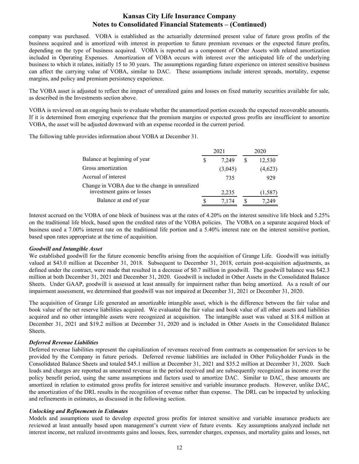company was purchased. VOBA is established as the actuarially determined present value of future gross profits of the business acquired and is amortized with interest in proportion to future premium revenues or the expected future profits, depending on the type of business acquired. VOBA is reported as a component of Other Assets with related amortization included in Operating Expenses. Amortization of VOBA occurs with interest over the anticipated life of the underlying business to which it relates, initially 15 to 30 years. The assumptions regarding future experience on interest sensitive business can affect the carrying value of VOBA, similar to DAC. These assumptions include interest spreads, mortality, expense margins, and policy and premium persistency experience.

The VOBA asset is adjusted to reflect the impact of unrealized gains and losses on fixed maturity securities available for sale, as described in the Investments section above.

VOBA is reviewed on an ongoing basis to evaluate whether the unamortized portion exceeds the expected recoverable amounts. If it is determined from emerging experience that the premium margins or expected gross profits are insufficient to amortize VOBA, the asset will be adjusted downward with an expense recorded in the current period.

The following table provides information about VOBA at December 31.

|                                                                              |   | 2021    | 2020 |          |  |
|------------------------------------------------------------------------------|---|---------|------|----------|--|
| Balance at beginning of year                                                 | S | 7.249   |      | 12,530   |  |
| Gross amortization                                                           |   | (3,045) |      | (4,623)  |  |
| Accrual of interest                                                          |   | 735     |      | 929      |  |
| Change in VOBA due to the change in unrealized<br>investment gains or losses |   | 2,235   |      | (1, 587) |  |
| Balance at end of year                                                       |   | 7.174   |      | 7.249    |  |

Interest accrued on the VOBA of one block of business was at the rates of 4.20% on the interest sensitive life block and 5.25% on the traditional life block, based upon the credited rates of the VOBA policies. The VOBA on a separate acquired block of business used a 7.00% interest rate on the traditional life portion and a 5.40% interest rate on the interest sensitive portion, based upon rates appropriate at the time of acquisition.

### *Goodwill and Intangible Asset*

We established goodwill for the future economic benefits arising from the acquisition of Grange Life. Goodwill was initially valued at \$43.0 million at December 31, 2018. Subsequent to December 31, 2018, certain post-acquisition adjustments, as defined under the contract, were made that resulted in a decrease of \$0.7 million in goodwill. The goodwill balance was \$42.3 million at both December 31, 2021 and December 31, 2020. Goodwill is included in Other Assets in the Consolidated Balance Sheets. Under GAAP, goodwill is assessed at least annually for impairment rather than being amortized. As a result of our impairment assessment, we determined that goodwill was not impaired at December 31, 2021 or December 31, 2020.

The acquisition of Grange Life generated an amortizable intangible asset, which is the difference between the fair value and book value of the net reserve liabilities acquired. We evaluated the fair value and book value of all other assets and liabilities acquired and no other intangible assets were recognized at acquisition. The intangible asset was valued at \$18.4 million at December 31, 2021 and \$19.2 million at December 31, 2020 and is included in Other Assets in the Consolidated Balance Sheets.

### *Deferred Revenue Liabilities*

Deferred revenue liabilities represent the capitalization of revenues received from contracts as compensation for services to be provided by the Company in future periods. Deferred revenue liabilities are included in Other Policyholder Funds in the Consolidated Balance Sheets and totaled \$45.1 million at December 31, 2021 and \$35.2 million at December 31, 2020. Such loads and charges are reported as unearned revenue in the period received and are subsequently recognized as income over the policy benefit period, using the same assumptions and factors used to amortize DAC. Similar to DAC, these amounts are amortized in relation to estimated gross profits for interest sensitive and variable insurance products. However, unlike DAC, the amortization of the DRL results in the recognition of revenue rather than expense. The DRL can be impacted by unlocking and refinements in estimates, as discussed in the following section.

### *Unlocking and Refinements in Estimates*

Models and assumptions used to develop expected gross profits for interest sensitive and variable insurance products are reviewed at least annually based upon management's current view of future events. Key assumptions analyzed include net interest income, net realized investments gains and losses, fees, surrender charges, expenses, and mortality gains and losses, net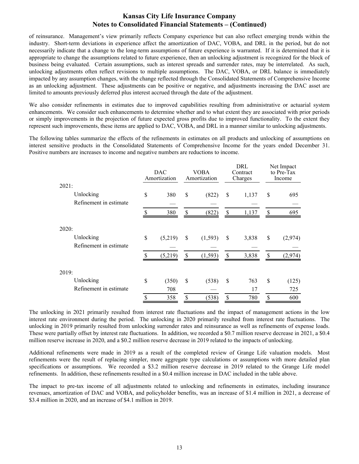of reinsurance. Management's view primarily reflects Company experience but can also reflect emerging trends within the industry. Short-term deviations in experience affect the amortization of DAC, VOBA, and DRL in the period, but do not necessarily indicate that a change to the long-term assumptions of future experience is warranted. If it is determined that it is appropriate to change the assumptions related to future experience, then an unlocking adjustment is recognized for the block of business being evaluated. Certain assumptions, such as interest spreads and surrender rates, may be interrelated. As such, unlocking adjustments often reflect revisions to multiple assumptions. The DAC, VOBA, or DRL balance is immediately impacted by any assumption changes, with the change reflected through the Consolidated Statements of Comprehensive Income as an unlocking adjustment. These adjustments can be positive or negative, and adjustments increasing the DAC asset are limited to amounts previously deferred plus interest accrued through the date of the adjustment.

We also consider refinements in estimates due to improved capabilities resulting from administrative or actuarial system enhancements. We consider such enhancements to determine whether and to what extent they are associated with prior periods or simply improvements in the projection of future expected gross profits due to improved functionality. To the extent they represent such improvements, these items are applied to DAC, VOBA, and DRL in a manner similar to unlocking adjustments.

The following tables summarize the effects of the refinements in estimates on all products and unlocking of assumptions on interest sensitive products in the Consolidated Statements of Comprehensive Income for the years ended December 31. Positive numbers are increases to income and negative numbers are reductions to income.

|                        | <b>DAC</b><br>Amortization | <b>VOBA</b><br>Amortization | DRL<br>Contract<br>Charges | Net Impact<br>to Pre-Tax<br>Income |
|------------------------|----------------------------|-----------------------------|----------------------------|------------------------------------|
| 2021:                  |                            |                             |                            |                                    |
| Unlocking              | \$<br>380                  | \$<br>(822)                 | \$<br>1,137                | \$<br>695                          |
| Refinement in estimate |                            |                             |                            |                                    |
|                        | \$<br>380                  | \$<br>(822)                 | \$<br>1,137                | \$<br>695                          |
| 2020:                  |                            |                             |                            |                                    |
| Unlocking              | \$<br>(5,219)              | \$<br>(1, 593)              | \$<br>3,838                | \$<br>(2,974)                      |
| Refinement in estimate |                            |                             |                            |                                    |
|                        | \$<br>(5,219)              | \$<br>(1, 593)              | \$<br>3,838                | \$<br>(2,974)                      |
| 2019:                  |                            |                             |                            |                                    |
| Unlocking              | \$<br>(350)                | \$<br>(538)                 | \$<br>763                  | \$<br>(125)                        |
| Refinement in estimate | 708                        |                             | 17                         | 725                                |
|                        | \$<br>358                  | \$<br>(538)                 | \$<br>780                  | \$<br>600                          |

The unlocking in 2021 primarily resulted from interest rate fluctuations and the impact of management actions in the low interest rate environment during the period. The unlocking in 2020 primarily resulted from interest rate fluctuations. The unlocking in 2019 primarily resulted from unlocking surrender rates and reinsurance as well as refinements of expense loads. These were partially offset by interest rate fluctuations. In addition, we recorded a \$0.7 million reserve decrease in 2021, a \$0.4 million reserve increase in 2020, and a \$0.2 million reserve decrease in 2019 related to the impacts of unlocking.

Additional refinements were made in 2019 as a result of the completed review of Grange Life valuation models. Most refinements were the result of replacing simpler, more aggregate type calculations or assumptions with more detailed plan specifications or assumptions. We recorded a \$3.2 million reserve decrease in 2019 related to the Grange Life model refinements. In addition, these refinements resulted in a \$0.4 million increase in DAC included in the table above.

The impact to pre-tax income of all adjustments related to unlocking and refinements in estimates, including insurance revenues, amortization of DAC and VOBA, and policyholder benefits, was an increase of \$1.4 million in 2021, a decrease of \$3.4 million in 2020, and an increase of \$4.1 million in 2019.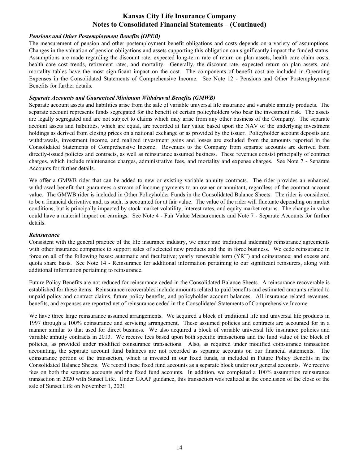#### *Pensions and Other Postemployment Benefits (OPEB)*

The measurement of pension and other postemployment benefit obligations and costs depends on a variety of assumptions. Changes in the valuation of pension obligations and assets supporting this obligation can significantly impact the funded status. Assumptions are made regarding the discount rate, expected long-term rate of return on plan assets, health care claim costs, health care cost trends, retirement rates, and mortality. Generally, the discount rate, expected return on plan assets, and mortality tables have the most significant impact on the cost. The components of benefit cost are included in Operating Expenses in the Consolidated Statements of Comprehensive Income. See Note 12 - Pensions and Other Postemployment Benefits for further details.

#### *Separate Accounts and Guaranteed Minimum Withdrawal Benefits (GMWB)*

Separate account assets and liabilities arise from the sale of variable universal life insurance and variable annuity products. The separate account represents funds segregated for the benefit of certain policyholders who bear the investment risk. The assets are legally segregated and are not subject to claims which may arise from any other business of the Company. The separate account assets and liabilities, which are equal, are recorded at fair value based upon the NAV of the underlying investment holdings as derived from closing prices on a national exchange or as provided by the issuer. Policyholder account deposits and withdrawals, investment income, and realized investment gains and losses are excluded from the amounts reported in the Consolidated Statements of Comprehensive Income. Revenues to the Company from separate accounts are derived from directly-issued policies and contracts, as well as reinsurance assumed business. These revenues consist principally of contract charges, which include maintenance charges, administrative fees, and mortality and expense charges. See Note 7 - Separate Accounts for further details.

We offer a GMWB rider that can be added to new or existing variable annuity contracts. The rider provides an enhanced withdrawal benefit that guarantees a stream of income payments to an owner or annuitant, regardless of the contract account value. The GMWB rider is included in Other Policyholder Funds in the Consolidated Balance Sheets. The rider is considered to be a financial derivative and, as such, is accounted for at fair value. The value of the rider will fluctuate depending on market conditions, but is principally impacted by stock market volatility, interest rates, and equity market returns. The change in value could have a material impact on earnings. See Note 4 - Fair Value Measurements and Note 7 - Separate Accounts for further details.

#### *Reinsurance*

Consistent with the general practice of the life insurance industry, we enter into traditional indemnity reinsurance agreements with other insurance companies to support sales of selected new products and the in force business. We cede reinsurance in force on all of the following bases: automatic and facultative; yearly renewable term (YRT) and coinsurance; and excess and quota share basis. See Note 14 - Reinsurance for additional information pertaining to our significant reinsurers, along with additional information pertaining to reinsurance.

Future Policy Benefits are not reduced for reinsurance ceded in the Consolidated Balance Sheets. A reinsurance recoverable is established for these items. Reinsurance recoverables include amounts related to paid benefits and estimated amounts related to unpaid policy and contract claims, future policy benefits, and policyholder account balances. All insurance related revenues, benefits, and expenses are reported net of reinsurance ceded in the Consolidated Statements of Comprehensive Income.

We have three large reinsurance assumed arrangements. We acquired a block of traditional life and universal life products in 1997 through a 100% coinsurance and servicing arrangement. These assumed policies and contracts are accounted for in a manner similar to that used for direct business. We also acquired a block of variable universal life insurance policies and variable annuity contracts in 2013. We receive fees based upon both specific transactions and the fund value of the block of policies, as provided under modified coinsurance transactions. Also, as required under modified coinsurance transaction accounting, the separate account fund balances are not recorded as separate accounts on our financial statements. The coinsurance portion of the transaction, which is invested in our fixed funds, is included in Future Policy Benefits in the Consolidated Balance Sheets. We record these fixed fund accounts as a separate block under our general accounts. We receive fees on both the separate accounts and the fixed fund accounts. In addition, we completed a 100% assumption reinsurance transaction in 2020 with Sunset Life. Under GAAP guidance, this transaction was realized at the conclusion of the close of the sale of Sunset Life on November 1, 2021.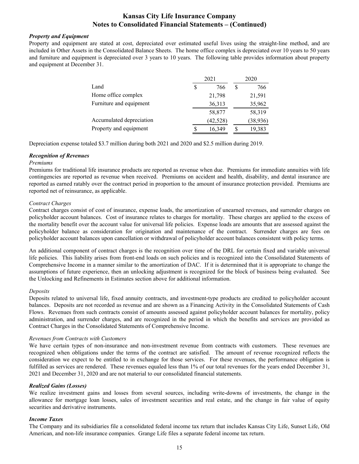#### *Property and Equipment*

Property and equipment are stated at cost, depreciated over estimated useful lives using the straight-line method, and are included in Other Assets in the Consolidated Balance Sheets. The home office complex is depreciated over 10 years to 50 years and furniture and equipment is depreciated over 3 years to 10 years. The following table provides information about property and equipment at December 31.

|                          |   | 2021      |   | 2020      |
|--------------------------|---|-----------|---|-----------|
| Land                     | S | 766       | S | 766       |
| Home office complex      |   | 21,798    |   | 21,591    |
| Furniture and equipment  |   | 36,313    |   | 35,962    |
|                          |   | 58,877    |   | 58,319    |
| Accumulated depreciation |   | (42, 528) |   | (38, 936) |
| Property and equipment   |   | 16,349    |   | 19,383    |

Depreciation expense totaled \$3.7 million during both 2021 and 2020 and \$2.5 million during 2019.

### *Recognition of Revenues*

#### *Premiums*

Premiums for traditional life insurance products are reported as revenue when due. Premiums for immediate annuities with life contingencies are reported as revenue when received. Premiums on accident and health, disability, and dental insurance are reported as earned ratably over the contract period in proportion to the amount of insurance protection provided. Premiums are reported net of reinsurance, as applicable.

### *Contract Charges*

Contract charges consist of cost of insurance, expense loads, the amortization of unearned revenues, and surrender charges on policyholder account balances. Cost of insurance relates to charges for mortality. These charges are applied to the excess of the mortality benefit over the account value for universal life policies. Expense loads are amounts that are assessed against the policyholder balance as consideration for origination and maintenance of the contract. Surrender charges are fees on policyholder account balances upon cancellation or withdrawal of policyholder account balances consistent with policy terms.

An additional component of contract charges is the recognition over time of the DRL for certain fixed and variable universal life policies. This liability arises from front-end loads on such policies and is recognized into the Consolidated Statements of Comprehensive Income in a manner similar to the amortization of DAC. If it is determined that it is appropriate to change the assumptions of future experience, then an unlocking adjustment is recognized for the block of business being evaluated. See the Unlocking and Refinements in Estimates section above for additional information.

### *Deposits*

Deposits related to universal life, fixed annuity contracts, and investment-type products are credited to policyholder account balances. Deposits are not recorded as revenue and are shown as a Financing Activity in the Consolidated Statements of Cash Flows. Revenues from such contracts consist of amounts assessed against policyholder account balances for mortality, policy administration, and surrender charges, and are recognized in the period in which the benefits and services are provided as Contract Charges in the Consolidated Statements of Comprehensive Income.

### *Revenues from Contracts with Customers*

We have certain types of non-insurance and non-investment revenue from contracts with customers. These revenues are recognized when obligations under the terms of the contract are satisfied. The amount of revenue recognized reflects the consideration we expect to be entitled to in exchange for those services. For these revenues, the performance obligation is fulfilled as services are rendered. These revenues equaled less than 1% of our total revenues for the years ended December 31, 2021 and December 31, 2020 and are not material to our consolidated financial statements.

### *Realized Gains (Losses)*

We realize investment gains and losses from several sources, including write-downs of investments, the change in the allowance for mortgage loan losses, sales of investment securities and real estate, and the change in fair value of equity securities and derivative instruments.

### *Income Taxes*

The Company and its subsidiaries file a consolidated federal income tax return that includes Kansas City Life, Sunset Life, Old American, and non-life insurance companies. Grange Life files a separate federal income tax return.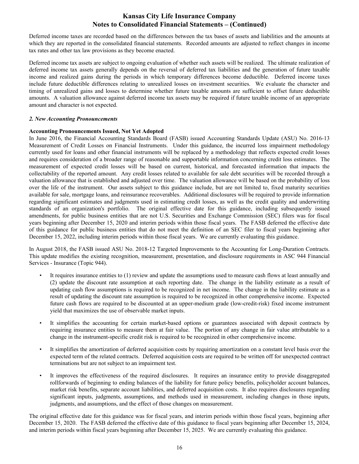Deferred income taxes are recorded based on the differences between the tax bases of assets and liabilities and the amounts at which they are reported in the consolidated financial statements. Recorded amounts are adjusted to reflect changes in income tax rates and other tax law provisions as they become enacted.

Deferred income tax assets are subject to ongoing evaluation of whether such assets will be realized. The ultimate realization of deferred income tax assets generally depends on the reversal of deferred tax liabilities and the generation of future taxable income and realized gains during the periods in which temporary differences become deductible. Deferred income taxes include future deductible differences relating to unrealized losses on investment securities. We evaluate the character and timing of unrealized gains and losses to determine whether future taxable amounts are sufficient to offset future deductible amounts. A valuation allowance against deferred income tax assets may be required if future taxable income of an appropriate amount and character is not expected.

### *2. New Accounting Pronouncements*

#### **Accounting Pronouncements Issued, Not Yet Adopted**

In June 2016, the Financial Accounting Standards Board (FASB) issued Accounting Standards Update (ASU) No. 2016-13 Measurement of Credit Losses on Financial Instruments. Under this guidance, the incurred loss impairment methodology currently used for loans and other financial instruments will be replaced by a methodology that reflects expected credit losses and requires consideration of a broader range of reasonable and supportable information concerning credit loss estimates. The measurement of expected credit losses will be based on current, historical, and forecasted information that impacts the collectability of the reported amount. Any credit losses related to available for sale debt securities will be recorded through a valuation allowance that is established and adjusted over time. The valuation allowance will be based on the probability of loss over the life of the instrument. Our assets subject to this guidance include, but are not limited to, fixed maturity securities available for sale, mortgage loans, and reinsurance recoverables. Additional disclosures will be required to provide information regarding significant estimates and judgments used in estimating credit losses, as well as the credit quality and underwriting standards of an organization's portfolio. The original effective date for this guidance, including subsequently issued amendments, for public business entities that are not U.S. Securities and Exchange Commission (SEC) filers was for fiscal years beginning after December 15, 2020 and interim periods within those fiscal years. The FASB deferred the effective date of this guidance for public business entities that do not meet the definition of an SEC filer to fiscal years beginning after December 15, 2022, including interim periods within those fiscal years. We are currently evaluating this guidance.

In August 2018, the FASB issued ASU No. 2018-12 Targeted Improvements to the Accounting for Long-Duration Contracts. This update modifies the existing recognition, measurement, presentation, and disclosure requirements in ASC 944 Financial Services - Insurance (Topic 944).

- It requires insurance entities to (1) review and update the assumptions used to measure cash flows at least annually and (2) update the discount rate assumption at each reporting date. The change in the liability estimate as a result of updating cash flow assumptions is required to be recognized in net income. The change in the liability estimate as a result of updating the discount rate assumption is required to be recognized in other comprehensive income. Expected future cash flows are required to be discounted at an upper-medium grade (low-credit-risk) fixed income instrument yield that maximizes the use of observable market inputs.
- It simplifies the accounting for certain market-based options or guarantees associated with deposit contracts by requiring insurance entities to measure them at fair value. The portion of any change in fair value attributable to a change in the instrument-specific credit risk is required to be recognized in other comprehensive income.
- It simplifies the amortization of deferred acquisition costs by requiring amortization on a constant level basis over the expected term of the related contracts. Deferred acquisition costs are required to be written off for unexpected contract terminations but are not subject to an impairment test.
- It improves the effectiveness of the required disclosures. It requires an insurance entity to provide disaggregated rollforwards of beginning to ending balances of the liability for future policy benefits, policyholder account balances, market risk benefits, separate account liabilities, and deferred acquisition costs. It also requires disclosures regarding significant inputs, judgments, assumptions, and methods used in measurement, including changes in those inputs, judgments, and assumptions, and the effect of those changes on measurement.

The original effective date for this guidance was for fiscal years, and interim periods within those fiscal years, beginning after December 15, 2020. The FASB deferred the effective date of this guidance to fiscal years beginning after December 15, 2024, and interim periods within fiscal years beginning after December 15, 2025. We are currently evaluating this guidance.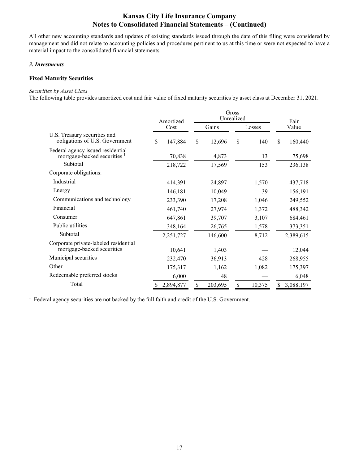All other new accounting standards and updates of existing standards issued through the date of this filing were considered by management and did not relate to accounting policies and procedures pertinent to us at this time or were not expected to have a material impact to the consolidated financial statements.

#### *3. Investments*

#### **Fixed Maturity Securities**

#### *Securities by Asset Class*

The following table provides amortized cost and fair value of fixed maturity securities by asset class at December 31, 2021.

|                                                                     | Amortized       | Gross<br>Unrealized      | Fair         |                               |  |
|---------------------------------------------------------------------|-----------------|--------------------------|--------------|-------------------------------|--|
|                                                                     | Cost            | Gains                    | Losses       | Value                         |  |
| U.S. Treasury securities and<br>obligations of U.S. Government      | \$<br>147,884   | \$<br>12,696             | \$<br>140    | $\mathbf{\hat{S}}$<br>160,440 |  |
| Federal agency issued residential<br>mortgage-backed securities     | 70,838          | 4,873                    | 13           | 75,698                        |  |
| Subtotal                                                            | 218,722         | 17,569                   | 153          | 236,138                       |  |
| Corporate obligations:                                              |                 |                          |              |                               |  |
| Industrial                                                          | 414,391         | 24,897                   | 1,570        | 437,718                       |  |
| Energy                                                              | 146,181         | 10,049                   | 39           | 156,191                       |  |
| Communications and technology                                       | 233,390         | 17,208                   | 1,046        | 249,552                       |  |
| Financial                                                           | 461,740         | 27,974                   | 1,372        | 488,342                       |  |
| Consumer                                                            | 647,861         | 39,707                   | 3,107        | 684,461                       |  |
| Public utilities                                                    | 348,164         | 26,765                   | 1,578        | 373,351                       |  |
| Subtotal                                                            | 2,251,727       | 146,600                  | 8,712        | 2,389,615                     |  |
| Corporate private-labeled residential<br>mortgage-backed securities | 10,641          | 1,403                    |              | 12,044                        |  |
| Municipal securities                                                | 232,470         | 36,913                   | 428          | 268,955                       |  |
| Other                                                               | 175,317         | 1,162                    | 1,082        | 175,397                       |  |
| Redeemable preferred stocks                                         | 6,000           | 48                       |              | 6,048                         |  |
| Total                                                               | 2,894,877<br>\$ | $\mathsf{\$}$<br>203,695 | \$<br>10,375 | 3,088,197<br>S                |  |

<sup>1</sup> Federal agency securities are not backed by the full faith and credit of the U.S. Government.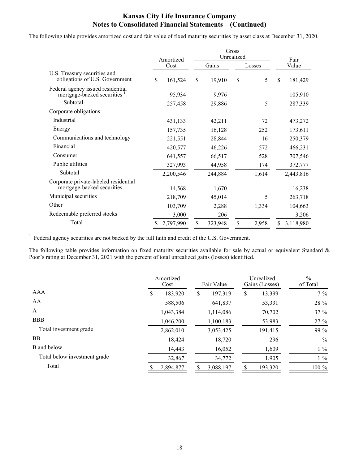The following table provides amortized cost and fair value of fixed maturity securities by asset class at December 31, 2020.

|                                                                 | Amortized       | Gross<br>Unrealized | Fair        |                 |  |
|-----------------------------------------------------------------|-----------------|---------------------|-------------|-----------------|--|
|                                                                 | Cost            | Gains               | Losses      | Value           |  |
| U.S. Treasury securities and<br>obligations of U.S. Government  | \$<br>161,524   | \$<br>19,910        | \$<br>5     | \$<br>181,429   |  |
| Federal agency issued residential<br>mortgage-backed securities | 95,934          | 9,976               |             | 105,910         |  |
| Subtotal                                                        | 257,458         | 29,886              | 5           | 287,339         |  |
| Corporate obligations:                                          |                 |                     |             |                 |  |
| Industrial                                                      | 431,133         | 42,211              | 72          | 473,272         |  |
| Energy                                                          | 157,735         | 16,128              | 252         | 173,611         |  |
| Communications and technology                                   | 221,551         | 28,844              | 16          | 250,379         |  |
| Financial                                                       | 420,577         | 46,226              | 572         | 466,231         |  |
| Consumer                                                        | 641,557         | 66,517              | 528         | 707,546         |  |
| Public utilities                                                | 327,993         | 44,958              | 174         | 372,777         |  |
| Subtotal                                                        | 2,200,546       | 244,884             | 1,614       | 2,443,816       |  |
| Corporate private-labeled residential                           |                 |                     |             |                 |  |
| mortgage-backed securities                                      | 14,568          | 1,670               |             | 16,238          |  |
| Municipal securities                                            | 218,709         | 45,014              | 5           | 263,718         |  |
| Other                                                           | 103,709         | 2,288               | 1,334       | 104,663         |  |
| Redeemable preferred stocks                                     | 3,000           | 206                 |             | 3,206           |  |
| Total                                                           | 2,797,990<br>\$ | \$<br>323,948       | \$<br>2,958 | 3,118,980<br>\$ |  |

<sup>1</sup> Federal agency securities are not backed by the full faith and credit of the U.S. Government.

The following table provides information on fixed maturity securities available for sale by actual or equivalent Standard & Poor's rating at December 31, 2021 with the percent of total unrealized gains (losses) identified.

|                              |   | Amortized<br>Cost |    | Fair Value |    | Unrealized<br>Gains (Losses) | $\frac{0}{0}$<br>of Total |  |
|------------------------------|---|-------------------|----|------------|----|------------------------------|---------------------------|--|
| AAA                          | S | 183,920           | \$ | 197,319    | \$ | 13,399                       | $7\%$                     |  |
| AA                           |   | 588,506           |    | 641,837    |    | 53,331                       | 28 %                      |  |
| $\mathbf{A}$                 |   | 1,043,384         |    | 1,114,086  |    | 70,702                       | $37 \%$                   |  |
| <b>BBB</b>                   |   | 1,046,200         |    | 1,100,183  |    | 53,983                       | $27\%$                    |  |
| Total investment grade       |   | 2,862,010         |    | 3,053,425  |    | 191,415                      | $99\%$                    |  |
| <b>BB</b>                    |   | 18,424            |    | 18,720     |    | 296                          | $-$ %                     |  |
| B and below                  |   | 14,443            |    | 16,052     |    | 1,609                        | $1\%$                     |  |
| Total below investment grade |   | 32,867            |    | 34,772     |    | 1,905                        | $1\%$                     |  |
| Total                        |   | 2,894,877         |    | 3,088,197  |    | 193,320                      | $100 \%$                  |  |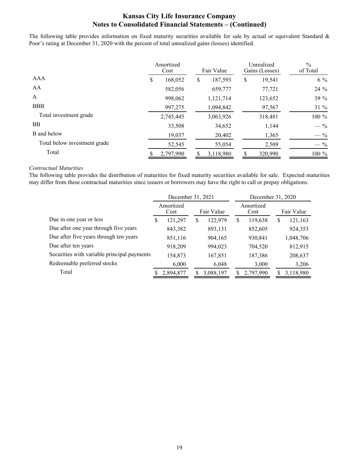The following table provides information on fixed maturity securities available for sale by actual or equivalent Standard & Poor's rating at December 31, 2020 with the percent of total unrealized gains (losses) identified.

|                              | Amortized<br>Cost  |  | Fair Value | Unrealized<br>Gains (Losses) | $\frac{0}{0}$<br>of Total |  |
|------------------------------|--------------------|--|------------|------------------------------|---------------------------|--|
| AAA                          | \$<br>168,052<br>S |  | 187,593    | \$<br>19,541                 | $6\%$                     |  |
| AA                           | 582,056            |  | 659,777    | 77,721                       | 24 %                      |  |
| $\mathbf{A}$                 | 998,062            |  | 1,121,714  | 123,652                      | 39 %                      |  |
| <b>BBB</b>                   | 997,275            |  | 1,094,842  | 97,567                       | $31 \%$                   |  |
| Total investment grade       | 2,745,445          |  | 3,063,926  | 318,481                      | 100 %                     |  |
| <b>BB</b>                    | 33,508             |  | 34,652     | 1,144                        | $-$ %                     |  |
| B and below                  | 19,037             |  | 20,402     | 1,365                        | $-$ %                     |  |
| Total below investment grade | 52,545             |  | 55,054     | 2,509                        | $- \frac{9}{6}$           |  |
| Total                        | 2,797,990          |  | 3,118,980  | 320,990                      | 100 %                     |  |

### *Contractual Maturities*

The following table provides the distribution of maturities for fixed maturity securities available for sale. Expected maturities may differ from these contractual maturities since issuers or borrowers may have the right to call or prepay obligations.

|                                             | December 31, 2021 |                   |   |            |    | December 31, 2020 |    |            |  |
|---------------------------------------------|-------------------|-------------------|---|------------|----|-------------------|----|------------|--|
|                                             |                   | Amortized<br>Cost |   | Fair Value |    | Amortized<br>Cost |    | Fair Value |  |
| Due in one year or less                     | S                 | 121,297           | S | 122,979    | \$ | 119,638           | \$ | 121,163    |  |
| Due after one year through five years       |                   | 843,382           |   | 893,131    |    | 852,605           |    | 924,353    |  |
| Due after five years through ten years      |                   | 851,116           |   | 904,165    |    | 930,841           |    | 1,048,706  |  |
| Due after ten years                         |                   | 918,209           |   | 994,023    |    | 704,520           |    | 812,915    |  |
| Securities with variable principal payments |                   | 154,873           |   | 167,851    |    | 187,386           |    | 208,637    |  |
| Redeemable preferred stocks                 |                   | 6,000             |   | 6,048      |    | 3,000             |    | 3,206      |  |
| Total                                       |                   | 2,894,877         |   | 3,088,197  |    | 2,797,990         |    | 3,118,980  |  |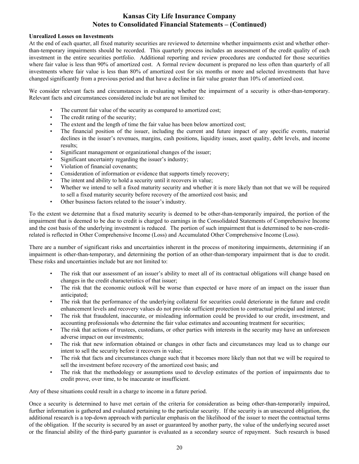### **Unrealized Losses on Investments**

At the end of each quarter, all fixed maturity securities are reviewed to determine whether impairments exist and whether otherthan-temporary impairments should be recorded. This quarterly process includes an assessment of the credit quality of each investment in the entire securities portfolio. Additional reporting and review procedures are conducted for those securities where fair value is less than 90% of amortized cost. A formal review document is prepared no less often than quarterly of all investments where fair value is less than 80% of amortized cost for six months or more and selected investments that have changed significantly from a previous period and that have a decline in fair value greater than 10% of amortized cost.

We consider relevant facts and circumstances in evaluating whether the impairment of a security is other-than-temporary. Relevant facts and circumstances considered include but are not limited to:

- The current fair value of the security as compared to amortized cost;
- The credit rating of the security;
- The extent and the length of time the fair value has been below amortized cost;
- The financial position of the issuer, including the current and future impact of any specific events, material declines in the issuer's revenues, margins, cash positions, liquidity issues, asset quality, debt levels, and income results;
- Significant management or organizational changes of the issuer;
- Significant uncertainty regarding the issuer's industry;
- Violation of financial covenants;
- Consideration of information or evidence that supports timely recovery;
- The intent and ability to hold a security until it recovers in value;
- Whether we intend to sell a fixed maturity security and whether it is more likely than not that we will be required to sell a fixed maturity security before recovery of the amortized cost basis; and
- Other business factors related to the issuer's industry.

To the extent we determine that a fixed maturity security is deemed to be other-than-temporarily impaired, the portion of the impairment that is deemed to be due to credit is charged to earnings in the Consolidated Statements of Comprehensive Income and the cost basis of the underlying investment is reduced. The portion of such impairment that is determined to be non-creditrelated is reflected in Other Comprehensive Income (Loss) and Accumulated Other Comprehensive Income (Loss).

There are a number of significant risks and uncertainties inherent in the process of monitoring impairments, determining if an impairment is other-than-temporary, and determining the portion of an other-than-temporary impairment that is due to credit. These risks and uncertainties include but are not limited to:

- The risk that our assessment of an issuer's ability to meet all of its contractual obligations will change based on changes in the credit characteristics of that issuer;
- The risk that the economic outlook will be worse than expected or have more of an impact on the issuer than anticipated;
- The risk that the performance of the underlying collateral for securities could deteriorate in the future and credit enhancement levels and recovery values do not provide sufficient protection to contractual principal and interest;
- The risk that fraudulent, inaccurate, or misleading information could be provided to our credit, investment, and accounting professionals who determine the fair value estimates and accounting treatment for securities;
- The risk that actions of trustees, custodians, or other parties with interests in the security may have an unforeseen adverse impact on our investments;
- The risk that new information obtained or changes in other facts and circumstances may lead us to change our intent to sell the security before it recovers in value;
- The risk that facts and circumstances change such that it becomes more likely than not that we will be required to sell the investment before recovery of the amortized cost basis; and
- The risk that the methodology or assumptions used to develop estimates of the portion of impairments due to credit prove, over time, to be inaccurate or insufficient.

Any of these situations could result in a charge to income in a future period.

Once a security is determined to have met certain of the criteria for consideration as being other-than-temporarily impaired, further information is gathered and evaluated pertaining to the particular security. If the security is an unsecured obligation, the additional research is a top-down approach with particular emphasis on the likelihood of the issuer to meet the contractual terms of the obligation. If the security is secured by an asset or guaranteed by another party, the value of the underlying secured asset or the financial ability of the third-party guarantor is evaluated as a secondary source of repayment. Such research is based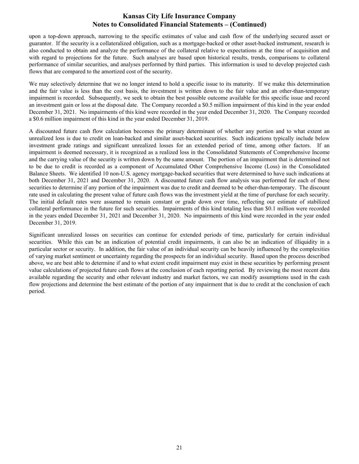upon a top-down approach, narrowing to the specific estimates of value and cash flow of the underlying secured asset or guarantor. If the security is a collateralized obligation, such as a mortgage-backed or other asset-backed instrument, research is also conducted to obtain and analyze the performance of the collateral relative to expectations at the time of acquisition and with regard to projections for the future. Such analyses are based upon historical results, trends, comparisons to collateral performance of similar securities, and analyses performed by third parties. This information is used to develop projected cash flows that are compared to the amortized cost of the security.

We may selectively determine that we no longer intend to hold a specific issue to its maturity. If we make this determination and the fair value is less than the cost basis, the investment is written down to the fair value and an other-than-temporary impairment is recorded. Subsequently, we seek to obtain the best possible outcome available for this specific issue and record an investment gain or loss at the disposal date. The Company recorded a \$0.5 million impairment of this kind in the year ended December 31, 2021. No impairments of this kind were recorded in the year ended December 31, 2020. The Company recorded a \$0.6 million impairment of this kind in the year ended December 31, 2019.

A discounted future cash flow calculation becomes the primary determinant of whether any portion and to what extent an unrealized loss is due to credit on loan-backed and similar asset-backed securities. Such indications typically include below investment grade ratings and significant unrealized losses for an extended period of time, among other factors. If an impairment is deemed necessary, it is recognized as a realized loss in the Consolidated Statements of Comprehensive Income and the carrying value of the security is written down by the same amount. The portion of an impairment that is determined not to be due to credit is recorded as a component of Accumulated Other Comprehensive Income (Loss) in the Consolidated Balance Sheets. We identified 10 non-U.S. agency mortgage-backed securities that were determined to have such indications at both December 31, 2021 and December 31, 2020. A discounted future cash flow analysis was performed for each of these securities to determine if any portion of the impairment was due to credit and deemed to be other-than-temporary. The discount rate used in calculating the present value of future cash flows was the investment yield at the time of purchase for each security. The initial default rates were assumed to remain constant or grade down over time, reflecting our estimate of stabilized collateral performance in the future for such securities. Impairments of this kind totaling less than \$0.1 million were recorded in the years ended December 31, 2021 and December 31, 2020. No impairments of this kind were recorded in the year ended December 31, 2019.

Significant unrealized losses on securities can continue for extended periods of time, particularly for certain individual securities. While this can be an indication of potential credit impairments, it can also be an indication of illiquidity in a particular sector or security. In addition, the fair value of an individual security can be heavily influenced by the complexities of varying market sentiment or uncertainty regarding the prospects for an individual security. Based upon the process described above, we are best able to determine if and to what extent credit impairment may exist in these securities by performing present value calculations of projected future cash flows at the conclusion of each reporting period. By reviewing the most recent data available regarding the security and other relevant industry and market factors, we can modify assumptions used in the cash flow projections and determine the best estimate of the portion of any impairment that is due to credit at the conclusion of each period.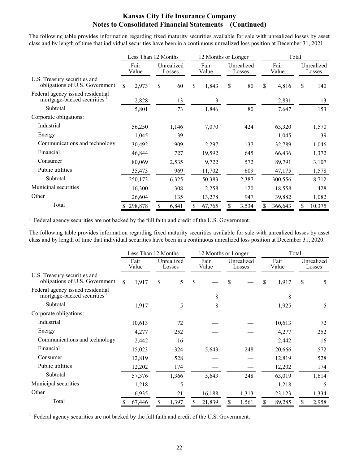The following table provides information regarding fixed maturity securities available for sale with unrealized losses by asset class and by length of time that individual securities have been in a continuous unrealized loss position at December 31, 2021.

|                                                                 |               | Less Than 12 Months |                      |    | 12 Months or Longer |                      |       |    | Total         |                      |        |  |
|-----------------------------------------------------------------|---------------|---------------------|----------------------|----|---------------------|----------------------|-------|----|---------------|----------------------|--------|--|
|                                                                 | Fair<br>Value |                     | Unrealized<br>Losses |    | Fair<br>Value       | Unrealized<br>Losses |       |    | Fair<br>Value | Unrealized<br>Losses |        |  |
| U.S. Treasury securities and<br>obligations of U.S. Government  | \$<br>2,973   | \$                  | 60                   | \$ | 1,843               | \$                   | 80    | \$ | 4,816         | \$                   | 140    |  |
| Federal agency issued residential<br>mortgage-backed securities | 2,828         |                     | 13                   |    | 3                   |                      |       |    | 2,831         |                      | 13     |  |
| Subtotal                                                        | 5,801         |                     | 73                   |    | 1,846               |                      | 80    |    | 7,647         |                      | 153    |  |
| Corporate obligations:                                          |               |                     |                      |    |                     |                      |       |    |               |                      |        |  |
| Industrial                                                      | 56,250        |                     | 1,146                |    | 7,070               |                      | 424   |    | 63,320        |                      | 1,570  |  |
| Energy                                                          | 1,045         |                     | 39                   |    |                     |                      |       |    | 1,045         |                      | 39     |  |
| Communications and technology                                   | 30,492        |                     | 909                  |    | 2,297               |                      | 137   |    | 32,789        |                      | 1,046  |  |
| Financial                                                       | 46,844        |                     | 727                  |    | 19,592              |                      | 645   |    | 66,436        |                      | 1,372  |  |
| Consumer                                                        | 80,069        |                     | 2,535                |    | 9,722               |                      | 572   |    | 89,791        |                      | 3,107  |  |
| Public utilities                                                | 35,473        |                     | 969                  |    | 11,702              |                      | 609   |    | 47,175        |                      | 1,578  |  |
| Subtotal                                                        | 250,173       |                     | 6,325                |    | 50,383              |                      | 2,387 |    | 300,556       |                      | 8,712  |  |
| Municipal securities                                            | 16,300        |                     | 308                  |    | 2,258               |                      | 120   |    | 18,558        |                      | 428    |  |
| Other                                                           | 26,604        |                     | 135                  |    | 13,278              |                      | 947   |    | 39,882        |                      | 1,082  |  |
| Total                                                           | 298,878<br>\$ | \$                  | 6,841                | \$ | 67,765              | \$                   | 3,534 | \$ | 366,643       | \$                   | 10,375 |  |

<sup>1</sup> Federal agency securities are not backed by the full faith and credit of the U.S. Government.

The following table provides information regarding fixed maturity securities available for sale with unrealized losses by asset class and by length of time that individual securities have been in a continuous unrealized loss position at December 31, 2020.

|                                                                              |               | Less Than 12 Months  |               | 12 Months or Longer  | Total         |                      |  |  |
|------------------------------------------------------------------------------|---------------|----------------------|---------------|----------------------|---------------|----------------------|--|--|
|                                                                              | Fair<br>Value | Unrealized<br>Losses | Fair<br>Value | Unrealized<br>Losses | Fair<br>Value | Unrealized<br>Losses |  |  |
| U.S. Treasury securities and<br>obligations of U.S. Government               | \$<br>1,917   | \$<br>5              | \$            | \$                   | \$<br>1,917   | \$<br>5              |  |  |
| Federal agency issued residential<br>mortgage-backed securities <sup>1</sup> |               |                      | 8             |                      | 8             |                      |  |  |
| Subtotal                                                                     | 1,917         | 5                    | 8             |                      | 1,925         | 5                    |  |  |
| Corporate obligations:                                                       |               |                      |               |                      |               |                      |  |  |
| Industrial                                                                   | 10,613        | 72                   |               |                      | 10,613        | 72                   |  |  |
| Energy                                                                       | 4,277         | 252                  |               |                      | 4,277         | 252                  |  |  |
| Communications and technology                                                | 2,442         | 16                   |               |                      | 2,442         | 16                   |  |  |
| Financial                                                                    | 15,023        | 324                  | 5,643         | 248                  | 20,666        | 572                  |  |  |
| Consumer                                                                     | 12,819        | 528                  |               |                      | 12,819        | 528                  |  |  |
| Public utilities                                                             | 12,202        | 174                  |               |                      | 12,202        | 174                  |  |  |
| Subtotal                                                                     | 57,376        | 1,366                | 5,643         | 248                  | 63,019        | 1,614                |  |  |
| Municipal securities                                                         | 1,218         | 5                    |               |                      | 1,218         | 5                    |  |  |
| Other                                                                        | 6,935         | 21                   | 16,188        | 1,313                | 23,123        | 1,334                |  |  |
| Total                                                                        | 67,446        | \$<br>1,397          | 21,839        | \$<br>1,561          | 89,285        | 2,958<br>S           |  |  |

<sup>1</sup> Federal agency securities are not backed by the full faith and credit of the U.S. Government.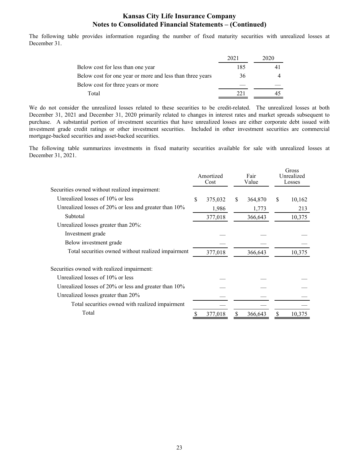The following table provides information regarding the number of fixed maturity securities with unrealized losses at December 31.

|                                                           | 2021 | 2020 |
|-----------------------------------------------------------|------|------|
| Below cost for less than one year                         | 185  |      |
| Below cost for one year or more and less than three years | 36   |      |
| Below cost for three years or more                        |      |      |
| Total                                                     | CC.  |      |

We do not consider the unrealized losses related to these securities to be credit-related. The unrealized losses at both December 31, 2021 and December 31, 2020 primarily related to changes in interest rates and market spreads subsequent to purchase. A substantial portion of investment securities that have unrealized losses are either corporate debt issued with investment grade credit ratings or other investment securities. Included in other investment securities are commercial mortgage-backed securities and asset-backed securities.

The following table summarizes investments in fixed maturity securities available for sale with unrealized losses at December 31, 2021.

|                                                             | Amortized<br>Fair<br>Cost |         | Value | Gross<br>Unrealized<br>Losses |              |
|-------------------------------------------------------------|---------------------------|---------|-------|-------------------------------|--------------|
| Securities owned without realized impairment:               |                           |         |       |                               |              |
| Unrealized losses of 10% or less                            | S                         | 375,032 | S.    | 364,870                       | \$<br>10,162 |
| Unrealized losses of 20% or less and greater than 10%       |                           | 1,986   |       | 1,773                         | 213          |
| Subtotal                                                    |                           | 377,018 |       | 366,643                       | 10,375       |
| Unrealized losses greater than 20%:                         |                           |         |       |                               |              |
| Investment grade                                            |                           |         |       |                               |              |
| Below investment grade                                      |                           |         |       |                               |              |
| Total securities owned without realized impairment          |                           | 377,018 |       | 366,643                       | 10,375       |
| Securities owned with realized impairment:                  |                           |         |       |                               |              |
| Unrealized losses of 10% or less                            |                           |         |       |                               |              |
| Unrealized losses of $20\%$ or less and greater than $10\%$ |                           |         |       |                               |              |
| Unrealized losses greater than 20%                          |                           |         |       |                               |              |
| Total securities owned with realized impairment             |                           |         |       |                               |              |
| Total                                                       |                           | 377,018 |       | 366,643                       | 10,375       |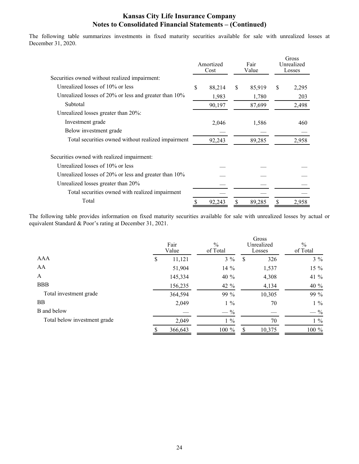The following table summarizes investments in fixed maturity securities available for sale with unrealized losses at December 31, 2020.

|                                                       | Amortized<br>Cost |        | Fair<br>Value |        | Gross<br>Unrealized<br>Losses |
|-------------------------------------------------------|-------------------|--------|---------------|--------|-------------------------------|
| Securities owned without realized impairment:         |                   |        |               |        |                               |
| Unrealized losses of 10% or less                      | S                 | 88,214 | \$            | 85,919 | \$<br>2,295                   |
| Unrealized losses of 20% or less and greater than 10% |                   | 1,983  |               | 1,780  | 203                           |
| Subtotal                                              |                   | 90,197 |               | 87,699 | 2,498                         |
| Unrealized losses greater than 20%:                   |                   |        |               |        |                               |
| Investment grade                                      |                   | 2,046  |               | 1,586  | 460                           |
| Below investment grade                                |                   |        |               |        |                               |
| Total securities owned without realized impairment    |                   | 92,243 |               | 89,285 | 2,958                         |
| Securities owned with realized impairment:            |                   |        |               |        |                               |
| Unrealized losses of 10% or less                      |                   |        |               |        |                               |
| Unrealized losses of 20% or less and greater than 10% |                   |        |               |        |                               |
| Unrealized losses greater than 20%                    |                   |        |               |        |                               |
| Total securities owned with realized impairment       |                   |        |               |        |                               |
| Total                                                 | \$                | 92,243 | \$            | 89,285 | \$<br>2,958                   |

The following table provides information on fixed maturity securities available for sale with unrealized losses by actual or equivalent Standard & Poor's rating at December 31, 2021.

|                              | Fair<br>Value | $\frac{0}{0}$<br>of Total | Gross<br>Unrealized<br>Losses |        | $\frac{0}{0}$<br>of Total |  |
|------------------------------|---------------|---------------------------|-------------------------------|--------|---------------------------|--|
| AAA                          | \$<br>11,121  | $3\%$                     | \$                            | 326    | $3\%$                     |  |
| AA                           | 51,904        | 14 %                      |                               | 1,537  | 15 %                      |  |
| A                            | 145,334       | 40 $\%$                   |                               | 4,308  | 41 $%$                    |  |
| <b>BBB</b>                   | 156,235       | 42 %                      |                               | 4,134  | 40 %                      |  |
| Total investment grade       | 364,594       | 99 %                      |                               | 10,305 | 99 %                      |  |
| BB                           | 2,049         | $1\%$                     |                               | 70     | $1\%$                     |  |
| B and below                  |               | $-$ %                     |                               |        | $-$ %                     |  |
| Total below investment grade | 2,049         | $1\%$                     |                               | 70     | $1\%$                     |  |
|                              | 366,643       | 100 %                     | \$                            | 10,375 | 100 %                     |  |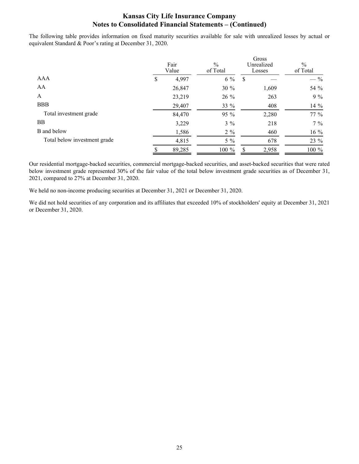The following table provides information on fixed maturity securities available for sale with unrealized losses by actual or equivalent Standard & Poor's rating at December 31, 2020.

|                              |   | Fair<br>Value | $\frac{0}{0}$<br>of Total |    | Gross<br>Unrealized<br>Losses | $\frac{0}{0}$<br>of Total |  |
|------------------------------|---|---------------|---------------------------|----|-------------------------------|---------------------------|--|
| AAA                          | S | 4,997         | $6\%$                     | \$ |                               | $- \frac{9}{6}$           |  |
| AA                           |   | 26,847        | $30\%$                    |    | 1,609                         | 54 %                      |  |
| $\mathbf{A}$                 |   | 23,219        | 26 %                      |    | 263                           | $9\%$                     |  |
| <b>BBB</b>                   |   | 29,407        | 33 %                      |    | 408                           | $14\%$                    |  |
| Total investment grade       |   | 84,470        | 95 %                      |    | 2,280                         | 77 %                      |  |
| <b>BB</b>                    |   | 3,229         | $3\%$                     |    | 218                           | $7\%$                     |  |
| B and below                  |   | 1,586         | $2\%$                     |    | 460                           | $16\%$                    |  |
| Total below investment grade |   | 4,815         | $5\%$                     |    | 678                           | 23 %                      |  |
|                              |   | 89,285        | 100 %                     | S. | 2,958                         | 100 %                     |  |

Our residential mortgage-backed securities, commercial mortgage-backed securities, and asset-backed securities that were rated below investment grade represented 30% of the fair value of the total below investment grade securities as of December 31, 2021, compared to 27% at December 31, 2020.

We held no non-income producing securities at December 31, 2021 or December 31, 2020.

We did not hold securities of any corporation and its affiliates that exceeded 10% of stockholders' equity at December 31, 2021 or December 31, 2020.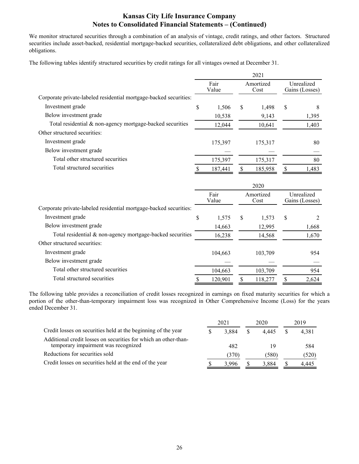We monitor structured securities through a combination of an analysis of vintage, credit ratings, and other factors. Structured securities include asset-backed, residential mortgage-backed securities, collateralized debt obligations, and other collateralized obligations.

The following tables identify structured securities by credit ratings for all vintages owned at December 31.

|                                                                   | 2021          |         |                   |                   |    |                              |  |
|-------------------------------------------------------------------|---------------|---------|-------------------|-------------------|----|------------------------------|--|
|                                                                   | Fair<br>Value |         | Amortized<br>Cost |                   |    | Unrealized<br>Gains (Losses) |  |
| Corporate private-labeled residential mortgage-backed securities: |               |         |                   |                   |    |                              |  |
| Investment grade                                                  | \$            | 1,506   | \$.               | 1,498             | \$ | 8                            |  |
| Below investment grade                                            |               | 10,538  |                   | 9,143             |    | 1,395                        |  |
| Total residential & non-agency mortgage-backed securities         |               | 12,044  |                   | 10,641            |    | 1,403                        |  |
| Other structured securities:                                      |               |         |                   |                   |    |                              |  |
| Investment grade                                                  |               | 175,397 |                   | 175,317           |    | 80                           |  |
| Below investment grade                                            |               |         |                   |                   |    |                              |  |
| Total other structured securities                                 |               | 175,397 |                   | 175,317           |    | 80                           |  |
| Total structured securities                                       |               | 187,441 |                   | 185,958           |    | 1,483                        |  |
|                                                                   |               |         |                   | 2020              |    |                              |  |
|                                                                   | Fair<br>Value |         |                   | Amortized<br>Cost |    | Unrealized<br>Gains (Losses) |  |
| Corporate private-labeled residential mortgage-backed securities: |               |         |                   |                   |    |                              |  |
| Investment grade                                                  | \$            | 1,575   | \$                | 1,573             | \$ | 2                            |  |
| Below investment grade                                            |               | 14,663  |                   | 12,995            |    | 1,668                        |  |
| Total residential & non-agency mortgage-backed securities         |               | 16,238  |                   | 14,568            |    | 1,670                        |  |
|                                                                   |               |         |                   |                   |    |                              |  |

| Other structured securities:      |         |         |       |
|-----------------------------------|---------|---------|-------|
| Investment grade                  | 104.663 | 103.709 | 954   |
| Below investment grade            |         |         |       |
| Total other structured securities | 104.663 | 103,709 | 954   |
| Total structured securities       | 120.901 | 118.277 | 2.624 |

The following table provides a reconciliation of credit losses recognized in earnings on fixed maturity securities for which a portion of the other-than-temporary impairment loss was recognized in Other Comprehensive Income (Loss) for the years ended December 31.

|                                                                                                        | 2021 |       | 2020     |         | 2019 |       |
|--------------------------------------------------------------------------------------------------------|------|-------|----------|---------|------|-------|
| Credit losses on securities held at the beginning of the year                                          |      | 3.884 | <b>S</b> | 4 4 4 5 |      | 4.381 |
| Additional credit losses on securities for which an other-than-<br>temporary impairment was recognized |      | 482   |          | 19      |      | 584   |
| Reductions for securities sold                                                                         |      | (370) |          | (580)   |      | (520) |
| Credit losses on securities held at the end of the year                                                |      | 3.996 |          | 3.884   |      | 4,445 |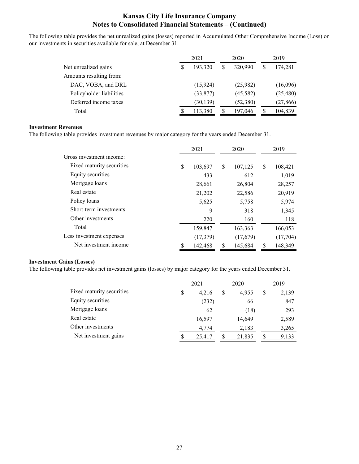The following table provides the net unrealized gains (losses) reported in Accumulated Other Comprehensive Income (Loss) on our investments in securities available for sale, at December 31.

|                          |   | 2021      | 2020      | 2019 |           |  |
|--------------------------|---|-----------|-----------|------|-----------|--|
| Net unrealized gains     | S | 193,320   | 320,990   | \$   | 174,281   |  |
| Amounts resulting from:  |   |           |           |      |           |  |
| DAC, VOBA, and DRL       |   | (15, 924) | (25,982)  |      | (16,096)  |  |
| Policyholder liabilities |   | (33, 877) | (45, 582) |      | (25, 480) |  |
| Deferred income taxes    |   | (30, 139) | (52, 380) |      | (27, 866) |  |
| Total                    |   | 113,380   | 197,046   |      | 104,839   |  |

#### **Investment Revenues**

The following table provides investment revenues by major category for the years ended December 31.

|                           | 2021 |           |   | 2020     |    | 2019     |
|---------------------------|------|-----------|---|----------|----|----------|
| Gross investment income:  |      |           |   |          |    |          |
| Fixed maturity securities | \$   | 103,697   | S | 107,125  | \$ | 108,421  |
| Equity securities         |      | 433       |   | 612      |    | 1,019    |
| Mortgage loans            |      | 28,661    |   | 26,804   |    | 28,257   |
| Real estate               |      | 21,202    |   | 22,586   |    | 20,919   |
| Policy loans              |      | 5,625     |   | 5,758    |    | 5,974    |
| Short-term investments    |      | 9         |   | 318      |    | 1,345    |
| Other investments         |      | 220       |   | 160      |    | 118      |
| Total                     |      | 159,847   |   | 163,363  |    | 166,053  |
| Less investment expenses  |      | (17, 379) |   | (17,679) |    | (17,704) |
| Net investment income     |      | 142,468   |   | 145,684  | S  | 148,349  |

### **Investment Gains (Losses)**

The following table provides net investment gains (losses) by major category for the years ended December 31.

|                           |   |        | 2020 | 2019   |    |       |
|---------------------------|---|--------|------|--------|----|-------|
| Fixed maturity securities | S | 4.216  | S    | 4,955  | \$ | 2,139 |
| Equity securities         |   | (232)  |      | 66     |    | 847   |
| Mortgage loans            |   | 62     |      | (18)   |    | 293   |
| Real estate               |   | 16,597 |      | 14,649 |    | 2,589 |
| Other investments         |   | 4,774  |      | 2,183  |    | 3,265 |
| Net investment gains      |   | 25,417 |      | 21,835 | S  | 9,133 |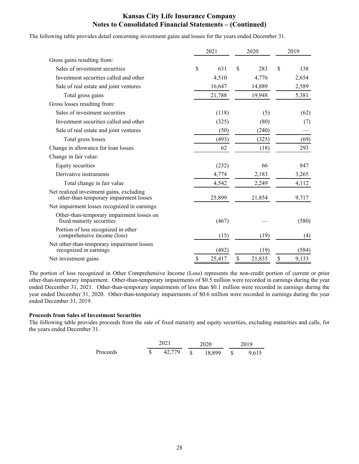The following table provides detail concerning investment gains and losses for the years ended December 31.

|                                                                                    | 2021          |        | 2020         | 2019 |       |
|------------------------------------------------------------------------------------|---------------|--------|--------------|------|-------|
| Gross gains resulting from:                                                        |               |        |              |      |       |
| Sales of investment securities                                                     | $\mathsf{\$}$ | 631    | \$<br>283    | \$   | 138   |
| Investment securities called and other                                             |               | 4,510  | 4,776        |      | 2,654 |
| Sale of real estate and joint ventures                                             |               | 16,647 | 14,889       |      | 2,589 |
| Total gross gains                                                                  |               | 21,788 | 19,948       |      | 5,381 |
| Gross losses resulting from:                                                       |               |        |              |      |       |
| Sales of investment securities                                                     |               | (118)  | (5)          |      | (62)  |
| Investment securities called and other                                             |               | (325)  | (80)         |      | (7)   |
| Sale of real estate and joint ventures                                             |               | (50)   | (240)        |      |       |
| Total gross losses                                                                 |               | (493)  | (325)        |      | (69)  |
| Change in allowance for loan losses                                                |               | 62     | (18)         |      | 293   |
| Change in fair value:                                                              |               |        |              |      |       |
| Equity securities                                                                  |               | (232)  | 66           |      | 847   |
| Derivative instruments                                                             |               | 4,774  | 2,183        |      | 3,265 |
| Total change in fair value                                                         |               | 4,542  | 2,249        |      | 4,112 |
| Net realized investment gains, excluding<br>other-than-temporary impairment losses |               | 25,899 | 21,854       |      | 9,717 |
| Net impairment losses recognized in earnings:                                      |               |        |              |      |       |
| Other-than-temporary impairment losses on<br>fixed maturity securities             |               | (467)  |              |      | (580) |
| Portion of loss recognized in other<br>comprehensive income (loss)                 |               | (15)   | (19)         |      | (4)   |
| Net other-than-temporary impairment losses<br>recognized in earnings               |               | (482)  | (19)         |      | (584) |
| Net investment gains                                                               | \$            | 25,417 | \$<br>21,835 | \$   | 9,133 |

The portion of loss recognized in Other Comprehensive Income (Loss) represents the non-credit portion of current or prior other-than-temporary impairment. Other-than-temporary impairments of \$0.5 million were recorded in earnings during the year ended December 31, 2021. Other-than-temporary impairments of less than \$0.1 million were recorded in earnings during the year ended December 31, 2020. Other-than-temporary impairments of \$0.6 million were recorded in earnings during the year ended December 31, 2019.

### **Proceeds from Sales of Investment Securities**

The following table provides proceeds from the sale of fixed maturity and equity securities, excluding maturities and calls, for the years ended December 31.

|          | 2021   | 2020   | 2019  |  |  |
|----------|--------|--------|-------|--|--|
| Proceeds | 42,779 | 18,899 | 9,615 |  |  |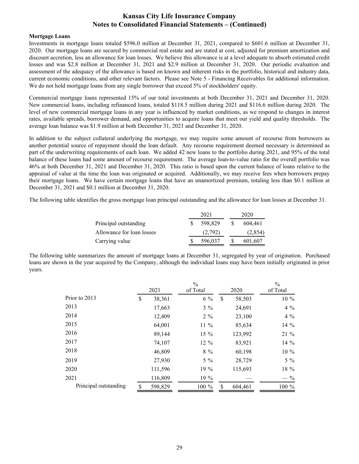#### **Mortgage Loans**

Investments in mortgage loans totaled \$596.0 million at December 31, 2021, compared to \$601.6 million at December 31, 2020. Our mortgage loans are secured by commercial real estate and are stated at cost, adjusted for premium amortization and discount accretion, less an allowance for loan losses. We believe this allowance is at a level adequate to absorb estimated credit losses and was \$2.8 million at December 31, 2021 and \$2.9 million at December 31, 2020. Our periodic evaluation and assessment of the adequacy of the allowance is based on known and inherent risks in the portfolio, historical and industry data, current economic conditions, and other relevant factors. Please see Note 5 - Financing Receivables for additional information. We do not hold mortgage loans from any single borrower that exceed 5% of stockholders' equity.

Commercial mortgage loans represented 15% of our total investments at both December 31, 2021 and December 31, 2020. New commercial loans, including refinanced loans, totaled \$118.5 million during 2021 and \$116.6 million during 2020. The level of new commercial mortgage loans in any year is influenced by market conditions, as we respond to changes in interest rates, available spreads, borrower demand, and opportunities to acquire loans that meet our yield and quality thresholds. The average loan balance was \$1.9 million at both December 31, 2021 and December 31, 2020.

In addition to the subject collateral underlying the mortgage, we may require some amount of recourse from borrowers as another potential source of repayment should the loan default. Any recourse requirement deemed necessary is determined as part of the underwriting requirements of each loan. We added 42 new loans to the portfolio during 2021, and 95% of the total balance of these loans had some amount of recourse requirement. The average loan-to-value ratio for the overall portfolio was 46% at both December 31, 2021 and December 31, 2020. This ratio is based upon the current balance of loans relative to the appraisal of value at the time the loan was originated or acquired. Additionally, we may receive fees when borrowers prepay their mortgage loans. We have certain mortgage loans that have an unamortized premium, totaling less than \$0.1 million at December 31, 2021 and \$0.1 million at December 31, 2020.

The following table identifies the gross mortgage loan principal outstanding and the allowance for loan losses at December 31.

|                           | 2021    | 2020    |
|---------------------------|---------|---------|
| Principal outstanding     | 598.829 | 604.461 |
| Allowance for loan losses | (2,792) | (2,854) |
| Carrying value            | 596,037 | 601,607 |

The following table summarizes the amount of mortgage loans at December 31, segregated by year of origination. Purchased loans are shown in the year acquired by the Company, although the individual loans may have been initially originated in prior years.

|                       |    |         | $\frac{0}{0}$ |              |          |
|-----------------------|----|---------|---------------|--------------|----------|
|                       |    | 2021    | of Total      | 2020         | of Total |
| Prior to 2013         | \$ | 38,361  | $6\%$         | \$<br>58,503 | $10\%$   |
| 2013                  |    | 17,663  | $3\%$         | 24,691       | $4\%$    |
| 2014                  |    | 12,409  | $2\%$         | 23,100       | $4\%$    |
| 2015                  |    | 64,001  | $11\%$        | 85,634       | 14 %     |
| 2016                  |    | 89,144  | 15 %          | 123,992      | $21 \%$  |
| 2017                  |    | 74,107  | 12 %          | 83,921       | 14 %     |
| 2018                  |    | 46,809  | $8\%$         | 60,198       | $10\%$   |
| 2019                  |    | 27,930  | $5\%$         | 28,729       | $5\%$    |
| 2020                  |    | 111,596 | $19\%$        | 115,693      | 18 %     |
| 2021                  |    | 116,809 | $19\%$        |              | $-$ %    |
| Principal outstanding |    | 598,829 | 100 %         | 604,461      | 100 %    |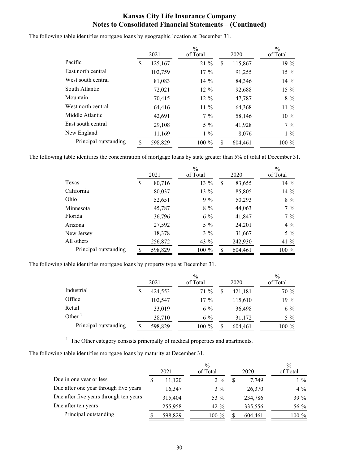The following table identifies mortgage loans by geographic location at December 31.

|                       |    |         |  | $\frac{0}{0}$ |       |     |         | $\frac{0}{0}$ |
|-----------------------|----|---------|--|---------------|-------|-----|---------|---------------|
|                       |    | 2021    |  | of Total      |       |     | 2020    | of Total      |
| Pacific               | \$ | 125,167 |  | 21 %          |       | \$  | 115,867 | $19\%$        |
| East north central    |    | 102,759 |  | $17\%$        |       |     | 91,255  | $15\%$        |
| West south central    |    | 81,083  |  | $14\%$        |       |     | 84,346  | $14\%$        |
| South Atlantic        |    | 72,021  |  | $12\%$        |       |     | 92,688  | $15\%$        |
| Mountain              |    | 70,415  |  | $12\%$        |       |     | 47,787  | $8\%$         |
| West north central    |    | 64,416  |  | $11\%$        |       |     | 64,368  | $11\%$        |
| Middle Atlantic       |    | 42,691  |  |               | $7\%$ |     | 58,146  | $10\%$        |
| East south central    |    | 29,108  |  |               | $5\%$ |     | 41,928  | $7\%$         |
| New England           |    | 11,169  |  |               | $1\%$ |     | 8,076   | $1\%$         |
| Principal outstanding | \$ | 598,829 |  | $100\%$       |       | \$. | 604,461 | 100 %         |

The following table identifies the concentration of mortgage loans by state greater than 5% of total at December 31.

|                       |               | 2021    | $\frac{0}{0}$<br>of Total | 2020         | $\frac{0}{0}$<br>of Total |
|-----------------------|---------------|---------|---------------------------|--------------|---------------------------|
| Texas                 | <sup>\$</sup> | 80,716  | 13 %                      | \$<br>83,655 | $14\%$                    |
| California            |               | 80,037  | 13 %                      | 85,805       | $14\%$                    |
| Ohio                  |               | 52,651  | $9\%$                     | 50,293       | $8\%$                     |
| Minnesota             |               | 45,787  | $8\%$                     | 44,063       | $7\%$                     |
| Florida               |               | 36,796  | $6\%$                     | 41,847       | $7\%$                     |
| Arizona               |               | 27,592  | $5\%$                     | 24,201       | $4\%$                     |
| New Jersey            |               | 18,378  | $3\%$                     | 31,667       | $5\%$                     |
| All others            |               | 256,872 | 43 %                      | 242,930      | 41 $%$                    |
| Principal outstanding | ¢             | 598,829 | 100 %                     | 604,461      | 100 %                     |

The following table identifies mortgage loans by property type at December 31.

|                       |    |         | $\frac{0}{0}$ |         |          |  |  |
|-----------------------|----|---------|---------------|---------|----------|--|--|
|                       |    | 2021    | of Total      | 2020    | of Total |  |  |
| Industrial            | \$ | 424,553 | $71\%$        | 421,181 | $70\%$   |  |  |
| Office                |    | 102,547 | $17\%$        | 115,610 | $19\%$   |  |  |
| Retail                |    | 33,019  | $6\%$         | 36,498  | $6\%$    |  |  |
| Other $1$             |    | 38,710  | $6\%$         | 31,172  | $5\%$    |  |  |
| Principal outstanding |    | 598,829 | $100 \%$      | 604,461 | $100 \%$ |  |  |

<sup>1</sup> The Other category consists principally of medical properties and apartments.

The following table identifies mortgage loans by maturity at December 31.

|                                        |  |         | $\frac{0}{0}$ |         |          |  |
|----------------------------------------|--|---------|---------------|---------|----------|--|
|                                        |  | 2021    | of Total      | 2020    | of Total |  |
| Due in one year or less                |  | 11,120  | $2\%$         | 7.749   | $1\%$    |  |
| Due after one year through five years  |  | 16.347  | $3\%$         | 26,370  | $4\%$    |  |
| Due after five years through ten years |  | 315,404 | 53 %          | 234,786 | 39 %     |  |
| Due after ten years                    |  | 255,958 | 42 $\%$       | 335,556 | 56 %     |  |
| Principal outstanding                  |  | 598,829 | $100\%$       | 604,461 | 100 %    |  |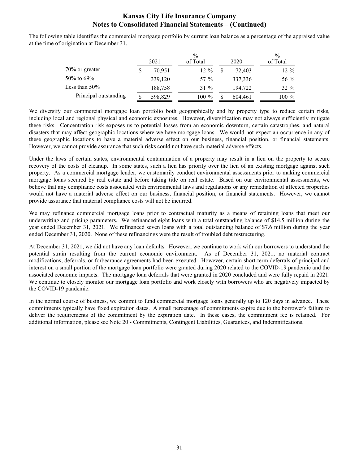The following table identifies the commercial mortgage portfolio by current loan balance as a percentage of the appraised value at the time of origination at December 31.

|                       |  |         | $\frac{0}{0}$ |   |         |          |
|-----------------------|--|---------|---------------|---|---------|----------|
|                       |  | 2021    | of Total      |   | 2020    | of Total |
| 70% or greater        |  | 70.951  | $12\%$        |   | 72,403  | $12\%$   |
| 50% to 69%            |  | 339,120 | 57 %          |   | 337,336 | 56 %     |
| Less than 50%         |  | 188,758 | $31\%$        |   | 194,722 | $32 \%$  |
| Principal outstanding |  | 598,829 | $100\%$       | S | 604,461 | 100 %    |

We diversify our commercial mortgage loan portfolio both geographically and by property type to reduce certain risks, including local and regional physical and economic exposures. However, diversification may not always sufficiently mitigate these risks. Concentration risk exposes us to potential losses from an economic downturn, certain catastrophes, and natural disasters that may affect geographic locations where we have mortgage loans. We would not expect an occurrence in any of these geographic locations to have a material adverse effect on our business, financial position, or financial statements. However, we cannot provide assurance that such risks could not have such material adverse effects.

Under the laws of certain states, environmental contamination of a property may result in a lien on the property to secure recovery of the costs of cleanup. In some states, such a lien has priority over the lien of an existing mortgage against such property. As a commercial mortgage lender, we customarily conduct environmental assessments prior to making commercial mortgage loans secured by real estate and before taking title on real estate. Based on our environmental assessments, we believe that any compliance costs associated with environmental laws and regulations or any remediation of affected properties would not have a material adverse effect on our business, financial position, or financial statements. However, we cannot provide assurance that material compliance costs will not be incurred.

We may refinance commercial mortgage loans prior to contractual maturity as a means of retaining loans that meet our underwriting and pricing parameters. We refinanced eight loans with a total outstanding balance of \$14.5 million during the year ended December 31, 2021. We refinanced seven loans with a total outstanding balance of \$7.6 million during the year ended December 31, 2020. None of these refinancings were the result of troubled debt restructuring.

At December 31, 2021, we did not have any loan defaults. However, we continue to work with our borrowers to understand the potential strain resulting from the current economic environment. As of December 31, 2021, no material contract modifications, deferrals, or forbearance agreements had been executed. However, certain short-term deferrals of principal and interest on a small portion of the mortgage loan portfolio were granted during 2020 related to the COVID-19 pandemic and the associated economic impacts. The mortgage loan deferrals that were granted in 2020 concluded and were fully repaid in 2021. We continue to closely monitor our mortgage loan portfolio and work closely with borrowers who are negatively impacted by the COVID-19 pandemic.

In the normal course of business, we commit to fund commercial mortgage loans generally up to 120 days in advance. These commitments typically have fixed expiration dates. A small percentage of commitments expire due to the borrower's failure to deliver the requirements of the commitment by the expiration date. In these cases, the commitment fee is retained. For additional information, please see Note 20 - Commitments, Contingent Liabilities, Guarantees, and Indemnifications.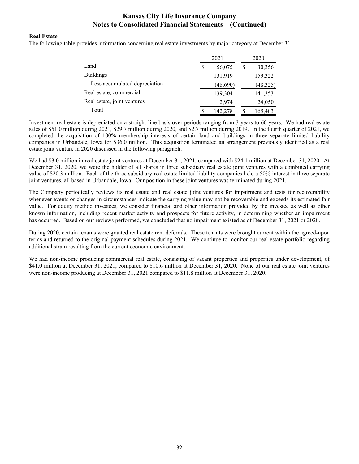#### **Real Estate**

The following table provides information concerning real estate investments by major category at December 31.

|                               |    | 2020     |   |           |
|-------------------------------|----|----------|---|-----------|
| Land                          | \$ | 56,075   | S | 30,356    |
| <b>Buildings</b>              |    | 131,919  |   | 159,322   |
| Less accumulated depreciation |    | (48,690) |   | (48, 325) |
| Real estate, commercial       |    | 139,304  |   | 141,353   |
| Real estate, joint ventures   |    | 2,974    |   | 24,050    |
| Total                         | S  | 142,278  |   | 165,403   |

Investment real estate is depreciated on a straight-line basis over periods ranging from 3 years to 60 years. We had real estate sales of \$51.0 million during 2021, \$29.7 million during 2020, and \$2.7 million during 2019. In the fourth quarter of 2021, we completed the acquisition of 100% membership interests of certain land and buildings in three separate limited liability companies in Urbandale, Iowa for \$36.0 million. This acquisition terminated an arrangement previously identified as a real estate joint venture in 2020 discussed in the following paragraph.

We had \$3.0 million in real estate joint ventures at December 31, 2021, compared with \$24.1 million at December 31, 2020. At December 31, 2020, we were the holder of all shares in three subsidiary real estate joint ventures with a combined carrying value of \$20.3 million. Each of the three subsidiary real estate limited liability companies held a 50% interest in three separate joint ventures, all based in Urbandale, Iowa. Our position in these joint ventures was terminated during 2021.

The Company periodically reviews its real estate and real estate joint ventures for impairment and tests for recoverability whenever events or changes in circumstances indicate the carrying value may not be recoverable and exceeds its estimated fair value. For equity method investees, we consider financial and other information provided by the investee as well as other known information, including recent market activity and prospects for future activity, in determining whether an impairment has occurred. Based on our reviews performed, we concluded that no impairment existed as of December 31, 2021 or 2020.

During 2020, certain tenants were granted real estate rent deferrals. These tenants were brought current within the agreed-upon terms and returned to the original payment schedules during 2021. We continue to monitor our real estate portfolio regarding additional strain resulting from the current economic environment.

We had non-income producing commercial real estate, consisting of vacant properties and properties under development, of \$41.0 million at December 31, 2021, compared to \$10.6 million at December 31, 2020. None of our real estate joint ventures were non-income producing at December 31, 2021 compared to \$11.8 million at December 31, 2020.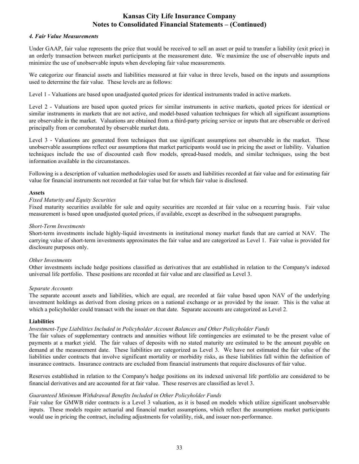#### *4. Fair Value Measurements*

Under GAAP, fair value represents the price that would be received to sell an asset or paid to transfer a liability (exit price) in an orderly transaction between market participants at the measurement date. We maximize the use of observable inputs and minimize the use of unobservable inputs when developing fair value measurements.

We categorize our financial assets and liabilities measured at fair value in three levels, based on the inputs and assumptions used to determine the fair value. These levels are as follows:

Level 1 - Valuations are based upon unadjusted quoted prices for identical instruments traded in active markets.

Level 2 - Valuations are based upon quoted prices for similar instruments in active markets, quoted prices for identical or similar instruments in markets that are not active, and model-based valuation techniques for which all significant assumptions are observable in the market. Valuations are obtained from a third-party pricing service or inputs that are observable or derived principally from or corroborated by observable market data.

Level 3 - Valuations are generated from techniques that use significant assumptions not observable in the market. These unobservable assumptions reflect our assumptions that market participants would use in pricing the asset or liability. Valuation techniques include the use of discounted cash flow models, spread-based models, and similar techniques, using the best information available in the circumstances.

Following is a description of valuation methodologies used for assets and liabilities recorded at fair value and for estimating fair value for financial instruments not recorded at fair value but for which fair value is disclosed.

### **Assets**

#### *Fixed Maturity and Equity Securities*

Fixed maturity securities available for sale and equity securities are recorded at fair value on a recurring basis. Fair value measurement is based upon unadjusted quoted prices, if available, except as described in the subsequent paragraphs.

#### *Short-Term Investments*

Short-term investments include highly-liquid investments in institutional money market funds that are carried at NAV. The carrying value of short-term investments approximates the fair value and are categorized as Level 1. Fair value is provided for disclosure purposes only.

#### *Other Investments*

Other investments include hedge positions classified as derivatives that are established in relation to the Company's indexed universal life portfolio. These positions are recorded at fair value and are classified as Level 3.

#### *Separate Accounts*

The separate account assets and liabilities, which are equal, are recorded at fair value based upon NAV of the underlying investment holdings as derived from closing prices on a national exchange or as provided by the issuer. This is the value at which a policyholder could transact with the issuer on that date. Separate accounts are categorized as Level 2.

#### **Liabilities**

### *Investment-Type Liabilities Included in Policyholder Account Balances and Other Policyholder Funds*

The fair values of supplementary contracts and annuities without life contingencies are estimated to be the present value of payments at a market yield. The fair values of deposits with no stated maturity are estimated to be the amount payable on demand at the measurement date. These liabilities are categorized as Level 3. We have not estimated the fair value of the liabilities under contracts that involve significant mortality or morbidity risks, as these liabilities fall within the definition of insurance contracts. Insurance contracts are excluded from financial instruments that require disclosures of fair value.

Reserves established in relation to the Company's hedge positions on its indexed universal life portfolio are considered to be financial derivatives and are accounted for at fair value. These reserves are classified as level 3.

### *Guaranteed Minimum Withdrawal Benefits Included in Other Policyholder Funds*

Fair value for GMWB rider contracts is a Level 3 valuation, as it is based on models which utilize significant unobservable inputs. These models require actuarial and financial market assumptions, which reflect the assumptions market participants would use in pricing the contract, including adjustments for volatility, risk, and issuer non-performance.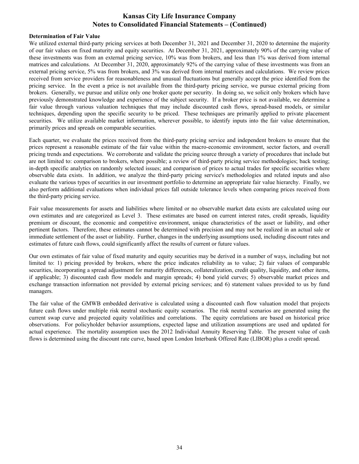#### **Determination of Fair Value**

We utilized external third-party pricing services at both December 31, 2021 and December 31, 2020 to determine the majority of our fair values on fixed maturity and equity securities. At December 31, 2021, approximately 90% of the carrying value of these investments was from an external pricing service, 10% was from brokers, and less than 1% was derived from internal matrices and calculations. At December 31, 2020, approximately 92% of the carrying value of these investments was from an external pricing service, 5% was from brokers, and 3% was derived from internal matrices and calculations. We review prices received from service providers for reasonableness and unusual fluctuations but generally accept the price identified from the pricing service. In the event a price is not available from the third-party pricing service, we pursue external pricing from brokers. Generally, we pursue and utilize only one broker quote per security. In doing so, we solicit only brokers which have previously demonstrated knowledge and experience of the subject security. If a broker price is not available, we determine a fair value through various valuation techniques that may include discounted cash flows, spread-based models, or similar techniques, depending upon the specific security to be priced. These techniques are primarily applied to private placement securities. We utilize available market information, wherever possible, to identify inputs into the fair value determination, primarily prices and spreads on comparable securities.

Each quarter, we evaluate the prices received from the third-party pricing service and independent brokers to ensure that the prices represent a reasonable estimate of the fair value within the macro-economic environment, sector factors, and overall pricing trends and expectations. We corroborate and validate the pricing source through a variety of procedures that include but are not limited to: comparison to brokers, where possible; a review of third-party pricing service methodologies; back testing; in-depth specific analytics on randomly selected issues; and comparison of prices to actual trades for specific securities where observable data exists. In addition, we analyze the third-party pricing service's methodologies and related inputs and also evaluate the various types of securities in our investment portfolio to determine an appropriate fair value hierarchy. Finally, we also perform additional evaluations when individual prices fall outside tolerance levels when comparing prices received from the third-party pricing service.

Fair value measurements for assets and liabilities where limited or no observable market data exists are calculated using our own estimates and are categorized as Level 3. These estimates are based on current interest rates, credit spreads, liquidity premium or discount, the economic and competitive environment, unique characteristics of the asset or liability, and other pertinent factors. Therefore, these estimates cannot be determined with precision and may not be realized in an actual sale or immediate settlement of the asset or liability. Further, changes in the underlying assumptions used, including discount rates and estimates of future cash flows, could significantly affect the results of current or future values.

Our own estimates of fair value of fixed maturity and equity securities may be derived in a number of ways, including but not limited to: 1) pricing provided by brokers, where the price indicates reliability as to value; 2) fair values of comparable securities, incorporating a spread adjustment for maturity differences, collateralization, credit quality, liquidity, and other items, if applicable; 3) discounted cash flow models and margin spreads; 4) bond yield curves; 5) observable market prices and exchange transaction information not provided by external pricing services; and 6) statement values provided to us by fund managers.

The fair value of the GMWB embedded derivative is calculated using a discounted cash flow valuation model that projects future cash flows under multiple risk neutral stochastic equity scenarios. The risk neutral scenarios are generated using the current swap curve and projected equity volatilities and correlations. The equity correlations are based on historical price observations. For policyholder behavior assumptions, expected lapse and utilization assumptions are used and updated for actual experience. The mortality assumption uses the 2012 Individual Annuity Reserving Table. The present value of cash flows is determined using the discount rate curve, based upon London Interbank Offered Rate (LIBOR) plus a credit spread.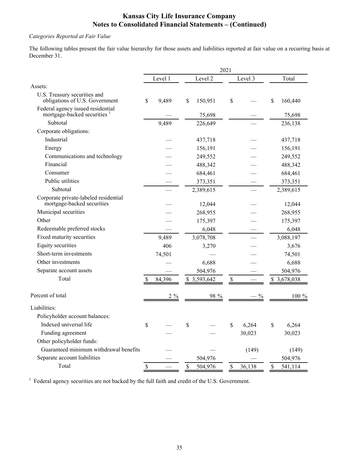### *Categories Reported at Fair Value*

The following tables present the fair value hierarchy for those assets and liabilities reported at fair value on a recurring basis at December 31.

|                                                                              | 2021 |                |               |           |                           |               |               |
|------------------------------------------------------------------------------|------|----------------|---------------|-----------|---------------------------|---------------|---------------|
|                                                                              |      | Level 1        |               | Level 2   |                           | Level 3       | Total         |
| Assets:                                                                      |      |                |               |           |                           |               |               |
| U.S. Treasury securities and<br>obligations of U.S. Government               | \$   | 9,489          | \$            | 150,951   | $\boldsymbol{\mathsf{S}}$ |               | \$<br>160,440 |
| Federal agency issued residential<br>mortgage-backed securities <sup>1</sup> |      |                |               | 75,698    |                           |               | 75,698        |
| Subtotal                                                                     |      | 9,489          |               | 226,649   |                           |               | 236,138       |
| Corporate obligations:                                                       |      |                |               |           |                           |               |               |
| Industrial                                                                   |      |                |               | 437,718   |                           |               | 437,718       |
| Energy                                                                       |      |                |               | 156,191   |                           |               | 156,191       |
| Communications and technology                                                |      |                |               | 249,552   |                           |               | 249,552       |
| Financial                                                                    |      |                |               | 488,342   |                           |               | 488,342       |
| Consumer                                                                     |      |                |               | 684,461   |                           |               | 684,461       |
| Public utilities                                                             |      |                |               | 373,351   |                           |               | 373,351       |
| Subtotal                                                                     |      |                |               | 2,389,615 |                           |               | 2,389,615     |
| Corporate private-labeled residential<br>mortgage-backed securities          |      |                |               | 12,044    |                           |               | 12,044        |
| Municipal securities                                                         |      |                |               | 268,955   |                           |               | 268,955       |
| Other                                                                        |      |                |               | 175,397   |                           |               | 175,397       |
| Redeemable preferred stocks                                                  |      |                |               | 6,048     |                           |               | 6,048         |
| Fixed maturity securities                                                    |      | 9,489          |               | 3,078,708 |                           |               | 3,088,197     |
| Equity securities                                                            |      | 406            |               | 3,270     |                           |               | 3,676         |
| Short-term investments                                                       |      | 74,501         |               |           |                           |               | 74,501        |
| Other investments                                                            |      |                |               | 6,688     |                           |               | 6,688         |
| Separate account assets                                                      |      |                |               | 504,976   |                           |               | 504,976       |
| Total                                                                        | \$   | 84,396         | \$            | 3,593,642 | \$                        |               | \$3,678,038   |
| Percent of total                                                             |      | $2\frac{9}{6}$ |               | 98 %      |                           | $\frac{0}{0}$ | 100 %         |
| Liabilities:                                                                 |      |                |               |           |                           |               |               |
| Policyholder account balances:                                               |      |                |               |           |                           |               |               |
| Indexed universal life                                                       | \$   |                | \$            |           | \$                        | 6,264         | \$<br>6,264   |
| Funding agreement                                                            |      |                |               |           |                           | 30,023        | 30,023        |
| Other policyholder funds:                                                    |      |                |               |           |                           |               |               |
| Guaranteed minimum withdrawal benefits                                       |      |                |               |           |                           | (149)         | (149)         |
| Separate account liabilities                                                 |      |                |               | 504,976   |                           |               | 504,976       |
| Total                                                                        | $\$$ |                | $\mathcal{S}$ | 504,976   | $\boldsymbol{\mathsf{S}}$ | 36,138        | \$<br>541,114 |

<sup>1</sup> Federal agency securities are not backed by the full faith and credit of the U.S. Government.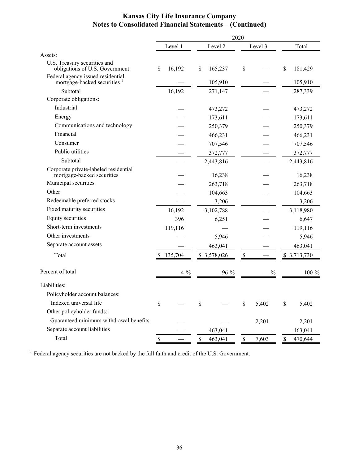|                                                                     | 2020        |         |             |             |             |               |               |             |
|---------------------------------------------------------------------|-------------|---------|-------------|-------------|-------------|---------------|---------------|-------------|
|                                                                     |             | Level 1 |             | Level 2     |             | Level 3       |               | Total       |
| Assets:                                                             |             |         |             |             |             |               |               |             |
| U.S. Treasury securities and<br>obligations of U.S. Government      | \$          | 16,192  | \$          | 165,237     | \$          |               | \$            | 181,429     |
| Federal agency issued residential<br>mortgage-backed securities     |             |         |             | 105,910     |             |               |               | 105,910     |
| Subtotal                                                            |             | 16,192  |             | 271,147     |             |               |               | 287,339     |
| Corporate obligations:                                              |             |         |             |             |             |               |               |             |
| Industrial                                                          |             |         |             | 473,272     |             |               |               | 473,272     |
| Energy                                                              |             |         |             | 173,611     |             |               |               | 173,611     |
| Communications and technology                                       |             |         |             | 250,379     |             |               |               | 250,379     |
| Financial                                                           |             |         |             | 466,231     |             |               |               | 466,231     |
| Consumer                                                            |             |         |             | 707,546     |             |               |               | 707,546     |
| Public utilities                                                    |             |         |             | 372,777     |             |               |               | 372,777     |
| Subtotal                                                            |             |         |             | 2,443,816   |             |               |               | 2,443,816   |
| Corporate private-labeled residential<br>mortgage-backed securities |             |         |             | 16,238      |             |               |               | 16,238      |
| Municipal securities                                                |             |         |             | 263,718     |             |               |               | 263,718     |
| Other                                                               |             |         |             | 104,663     |             |               |               | 104,663     |
| Redeemable preferred stocks                                         |             |         |             | 3,206       |             |               |               | 3,206       |
| Fixed maturity securities                                           |             | 16,192  |             | 3,102,788   |             |               |               | 3,118,980   |
| Equity securities                                                   |             | 396     |             | 6,251       |             |               |               | 6,647       |
| Short-term investments                                              |             | 119,116 |             |             |             |               |               | 119,116     |
| Other investments                                                   |             |         |             | 5,946       |             |               |               | 5,946       |
| Separate account assets                                             |             |         |             | 463,041     |             |               |               | 463,041     |
| Total                                                               |             | 135,704 |             | \$3,578,026 | \$          |               |               | \$3,713,730 |
| Percent of total                                                    |             | $4\%$   |             | 96 %        |             | $\frac{0}{0}$ |               | 100 %       |
| Liabilities:                                                        |             |         |             |             |             |               |               |             |
| Policyholder account balances:                                      |             |         |             |             |             |               |               |             |
| Indexed universal life                                              | \$          |         | \$          |             | \$          | 5,402         | \$            | 5,402       |
| Other policyholder funds:                                           |             |         |             |             |             |               |               |             |
| Guaranteed minimum withdrawal benefits                              |             |         |             |             |             | 2,201         |               | 2,201       |
| Separate account liabilities                                        |             |         |             | 463,041     |             |               |               | 463,041     |
| Total                                                               | $\mathbb S$ |         | $\mathbb S$ | 463,041     | $\mathbb S$ | 7,603         | $\mathsf{\$}$ | 470,644     |

<sup>1</sup> Federal agency securities are not backed by the full faith and credit of the U.S. Government.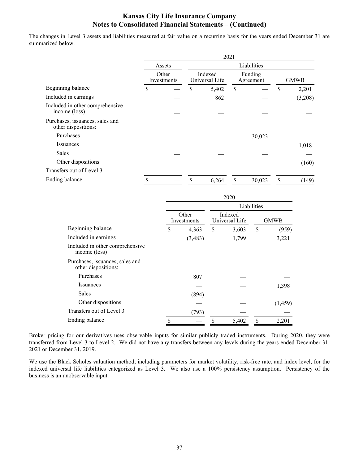The changes in Level 3 assets and liabilities measured at fair value on a recurring basis for the years ended December 31 are summarized below.

|                                                        | 2021                 |        |                           |       |                      |        |             |         |  |  |  |
|--------------------------------------------------------|----------------------|--------|---------------------------|-------|----------------------|--------|-------------|---------|--|--|--|
|                                                        |                      | Assets | Liabilities               |       |                      |        |             |         |  |  |  |
|                                                        | Other<br>Investments |        | Indexed<br>Universal Life |       | Funding<br>Agreement |        | <b>GMWB</b> |         |  |  |  |
| Beginning balance                                      | \$                   |        | <sup>\$</sup>             | 5,402 | \$                   |        | S           | 2,201   |  |  |  |
| Included in earnings                                   |                      |        |                           | 862   |                      |        |             | (3,208) |  |  |  |
| Included in other comprehensive<br>income (loss)       |                      |        |                           |       |                      |        |             |         |  |  |  |
| Purchases, issuances, sales and<br>other dispositions: |                      |        |                           |       |                      |        |             |         |  |  |  |
| Purchases                                              |                      |        |                           |       |                      | 30,023 |             |         |  |  |  |
| <b>Issuances</b>                                       |                      |        |                           |       |                      |        |             | 1,018   |  |  |  |
| Sales                                                  |                      |        |                           |       |                      |        |             |         |  |  |  |
| Other dispositions                                     |                      |        |                           |       |                      |        |             | (160)   |  |  |  |
| Transfers out of Level 3                               |                      |        |                           |       |                      |        |             |         |  |  |  |
| Ending balance                                         |                      |        |                           | 6,264 |                      | 30,023 |             | (149)   |  |  |  |

|                                                        | 2020 |                      |             |                           |    |             |  |  |  |  |  |
|--------------------------------------------------------|------|----------------------|-------------|---------------------------|----|-------------|--|--|--|--|--|
|                                                        |      |                      | Liabilities |                           |    |             |  |  |  |  |  |
|                                                        |      | Other<br>Investments |             | Indexed<br>Universal Life |    | <b>GMWB</b> |  |  |  |  |  |
| Beginning balance                                      | \$   | 4,363                | \$          | 3,603                     | \$ | (959)       |  |  |  |  |  |
| Included in earnings                                   |      | (3, 483)             |             | 1,799                     |    | 3,221       |  |  |  |  |  |
| Included in other comprehensive<br>income (loss)       |      |                      |             |                           |    |             |  |  |  |  |  |
| Purchases, issuances, sales and<br>other dispositions: |      |                      |             |                           |    |             |  |  |  |  |  |
| Purchases                                              |      | 807                  |             |                           |    |             |  |  |  |  |  |
| Issuances                                              |      |                      |             |                           |    | 1,398       |  |  |  |  |  |
| <b>Sales</b>                                           |      | (894)                |             |                           |    |             |  |  |  |  |  |
| Other dispositions                                     |      |                      |             |                           |    | (1, 459)    |  |  |  |  |  |
| Transfers out of Level 3                               |      | (793)                |             |                           |    |             |  |  |  |  |  |
| Ending balance                                         |      |                      |             | 5,402                     |    | 2,201       |  |  |  |  |  |

Broker pricing for our derivatives uses observable inputs for similar publicly traded instruments. During 2020, they were transferred from Level 3 to Level 2. We did not have any transfers between any levels during the years ended December 31, 2021 or December 31, 2019.

We use the Black Scholes valuation method, including parameters for market volatility, risk-free rate, and index level, for the indexed universal life liabilities categorized as Level 3. We also use a 100% persistency assumption. Persistency of the business is an unobservable input.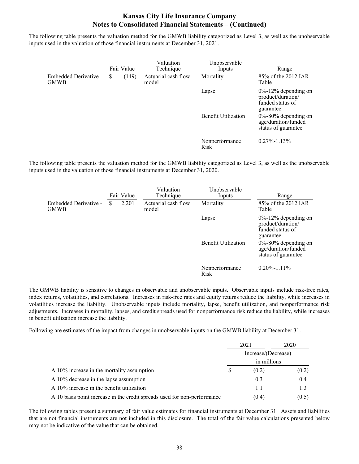The following table presents the valuation method for the GMWB liability categorized as Level 3, as well as the unobservable inputs used in the valuation of those financial instruments at December 31, 2021.

|                                      | Fair Value | Valuation<br>Technique       | Unobservable<br>Inputs | Range                                                                           |  |  |
|--------------------------------------|------------|------------------------------|------------------------|---------------------------------------------------------------------------------|--|--|
| Embedded Derivative -<br><b>GMWB</b> | (149)      | Actuarial cash flow<br>model | Mortality              | 85% of the 2012 IAR<br>Table                                                    |  |  |
|                                      |            |                              | Lapse                  | $0\% - 12\%$ depending on<br>product/duration/<br>funded status of<br>guarantee |  |  |
|                                      |            |                              | Benefit Utilization    | $0\% - 80\%$ depending on<br>age/duration/funded<br>status of guarantee         |  |  |
|                                      |            |                              | Nonperformance<br>Risk | $0.27\% - 1.13\%$                                                               |  |  |

The following table presents the valuation method for the GMWB liability categorized as Level 3, as well as the unobservable inputs used in the valuation of those financial instruments at December 31, 2020.

|                                      |            | Fair Value | Valuation<br>Technique       | Unobservable<br>Inputs | Range                                                                         |
|--------------------------------------|------------|------------|------------------------------|------------------------|-------------------------------------------------------------------------------|
| Embedded Derivative -<br><b>GMWB</b> | 2,201<br>S |            | Actuarial cash flow<br>model | Mortality              | 85% of the 2012 IAR<br>Table                                                  |
|                                      |            |            |                              | Lapse                  | $0\%$ -12% depending on<br>product/duration/<br>funded status of<br>guarantee |
|                                      |            |            |                              | Benefit Utilization    | $0\% - 80\%$ depending on<br>age/duration/funded<br>status of guarantee       |
|                                      |            |            |                              | Nonperformance<br>Risk | $0.20\% - 1.11\%$                                                             |

The GMWB liability is sensitive to changes in observable and unobservable inputs. Observable inputs include risk-free rates, index returns, volatilities, and correlations. Increases in risk-free rates and equity returns reduce the liability, while increases in volatilities increase the liability. Unobservable inputs include mortality, lapse, benefit utilization, and nonperformance risk adjustments. Increases in mortality, lapses, and credit spreads used for nonperformance risk reduce the liability, while increases in benefit utilization increase the liability.

Following are estimates of the impact from changes in unobservable inputs on the GMWB liability at December 31.

|                                                                          |   | 2021                | 2020  |  |
|--------------------------------------------------------------------------|---|---------------------|-------|--|
|                                                                          |   | Increase/(Decrease) |       |  |
|                                                                          |   | in millions         |       |  |
| A 10% increase in the mortality assumption                               | S | (0.2)               | (0.2) |  |
| A 10% decrease in the lapse assumption                                   |   | 0.3                 | 0.4   |  |
| A 10% increase in the benefit utilization                                |   | 11                  | 1.3   |  |
| A 10 basis point increase in the credit spreads used for non-performance |   | (0.4)               | (0.5) |  |

The following tables present a summary of fair value estimates for financial instruments at December 31. Assets and liabilities that are not financial instruments are not included in this disclosure. The total of the fair value calculations presented below may not be indicative of the value that can be obtained.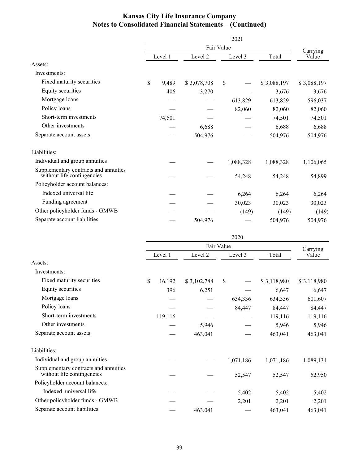|                                                                     | 2021          |          |             |           |             |             |  |  |  |
|---------------------------------------------------------------------|---------------|----------|-------------|-----------|-------------|-------------|--|--|--|
|                                                                     |               | Carrying |             |           |             |             |  |  |  |
|                                                                     | Level 1       |          | Level 2     | Level 3   | Total       | Value       |  |  |  |
| Assets:                                                             |               |          |             |           |             |             |  |  |  |
| Investments:                                                        |               |          |             |           |             |             |  |  |  |
| Fixed maturity securities                                           | $\mathsf{\$}$ | 9,489    | \$3,078,708 | \$        | \$3,088,197 | \$3,088,197 |  |  |  |
| Equity securities                                                   |               | 406      | 3,270       |           | 3,676       | 3,676       |  |  |  |
| Mortgage loans                                                      |               |          |             | 613,829   | 613,829     | 596,037     |  |  |  |
| Policy loans                                                        |               |          |             | 82,060    | 82,060      | 82,060      |  |  |  |
| Short-term investments                                              |               | 74,501   |             |           | 74,501      | 74,501      |  |  |  |
| Other investments                                                   |               |          | 6,688       |           | 6,688       | 6,688       |  |  |  |
| Separate account assets                                             |               |          | 504,976     |           | 504,976     | 504,976     |  |  |  |
| Liabilities:                                                        |               |          |             |           |             |             |  |  |  |
| Individual and group annuities                                      |               |          |             | 1,088,328 | 1,088,328   | 1,106,065   |  |  |  |
| Supplementary contracts and annuities<br>without life contingencies |               |          |             | 54,248    | 54,248      | 54,899      |  |  |  |
| Policyholder account balances:                                      |               |          |             |           |             |             |  |  |  |
| Indexed universal life                                              |               |          |             | 6,264     | 6,264       | 6,264       |  |  |  |
| Funding agreement                                                   |               |          |             | 30,023    | 30,023      | 30,023      |  |  |  |
| Other policyholder funds - GMWB                                     |               |          |             | (149)     | (149)       | (149)       |  |  |  |
| Separate account liabilities                                        |               |          | 504,976     |           | 504,976     | 504,976     |  |  |  |
|                                                                     |               |          |             |           |             |             |  |  |  |

|                                                                     | 2020 |         |             |            |             |             |  |  |  |
|---------------------------------------------------------------------|------|---------|-------------|------------|-------------|-------------|--|--|--|
|                                                                     |      |         |             | Fair Value |             | Carrying    |  |  |  |
|                                                                     |      | Level 1 | Level 2     | Level 3    | Total       | Value       |  |  |  |
| Assets:                                                             |      |         |             |            |             |             |  |  |  |
| Investments:                                                        |      |         |             |            |             |             |  |  |  |
| Fixed maturity securities                                           | \$   | 16,192  | \$3,102,788 | \$         | \$3,118,980 | \$3,118,980 |  |  |  |
| Equity securities                                                   |      | 396     | 6,251       |            | 6,647       | 6,647       |  |  |  |
| Mortgage loans                                                      |      |         |             | 634,336    | 634,336     | 601,607     |  |  |  |
| Policy loans                                                        |      |         |             | 84,447     | 84,447      | 84,447      |  |  |  |
| Short-term investments                                              |      | 119,116 |             |            | 119,116     | 119,116     |  |  |  |
| Other investments                                                   |      |         | 5,946       |            | 5,946       | 5,946       |  |  |  |
| Separate account assets                                             |      |         | 463,041     |            | 463,041     | 463,041     |  |  |  |
| Liabilities:                                                        |      |         |             |            |             |             |  |  |  |
| Individual and group annuities                                      |      |         |             | 1,071,186  | 1,071,186   | 1,089,134   |  |  |  |
| Supplementary contracts and annuities<br>without life contingencies |      |         |             | 52,547     | 52,547      | 52,950      |  |  |  |
| Policyholder account balances:                                      |      |         |             |            |             |             |  |  |  |
| Indexed universal life                                              |      |         |             | 5,402      | 5,402       | 5,402       |  |  |  |
| Other policyholder funds - GMWB                                     |      |         |             | 2,201      | 2,201       | 2,201       |  |  |  |
| Separate account liabilities                                        |      |         | 463,041     |            | 463,041     | 463,041     |  |  |  |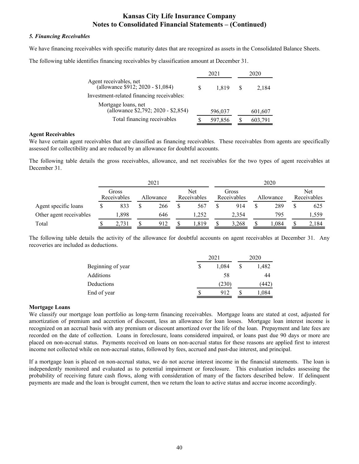#### *5. Financing Receivables*

We have financing receivables with specific maturity dates that are recognized as assets in the Consolidated Balance Sheets.

The following table identifies financing receivables by classification amount at December 31.

|                                                             |  | 2021    | 2020 |         |  |
|-------------------------------------------------------------|--|---------|------|---------|--|
| Agent receivables, net<br>(allowance \$912; 2020 - \$1,084) |  | 1.819   |      | 2,184   |  |
| Investment-related financing receivables:                   |  |         |      |         |  |
| Mortgage loans, net<br>(allowance \$2,792; 2020 - \$2,854)  |  | 596,037 |      | 601,607 |  |
| Total financing receivables                                 |  | 597,856 |      | 603,791 |  |

#### **Agent Receivables**

We have certain agent receivables that are classified as financing receivables. These receivables from agents are specifically assessed for collectibility and are reduced by an allowance for doubtful accounts.

The following table details the gross receivables, allowance, and net receivables for the two types of agent receivables at December 31.

|                         |                      |       |           | 2021 |                    |       | 2020                 |       |           |       |                    |       |
|-------------------------|----------------------|-------|-----------|------|--------------------|-------|----------------------|-------|-----------|-------|--------------------|-------|
|                         | Gross<br>Receivables |       | Allowance |      | Net<br>Receivables |       | Gross<br>Receivables |       | Allowance |       | Net<br>Receivables |       |
| Agent specific loans    |                      | 833   |           | 266  |                    | 567   |                      | 914   |           | 289   |                    | 625   |
| Other agent receivables |                      | 1.898 |           | 646  |                    | 1.252 |                      | 2.354 |           | 795   |                    | 1,559 |
| Total                   |                      | 2,731 |           | 912  |                    | 1,819 |                      | 3,268 |           | 1.084 |                    | 2,184 |

The following table details the activity of the allowance for doubtful accounts on agent receivables at December 31. Any recoveries are included as deductions.

|                   | 2021  |  |       |
|-------------------|-------|--|-------|
| Beginning of year | 1.084 |  | 1,482 |
| Additions         | 58    |  | 44    |
| Deductions        | (230) |  | 4421  |
| End of year       | 912   |  | .084  |

#### **Mortgage Loans**

We classify our mortgage loan portfolio as long-term financing receivables. Mortgage loans are stated at cost, adjusted for amortization of premium and accretion of discount, less an allowance for loan losses. Mortgage loan interest income is recognized on an accrual basis with any premium or discount amortized over the life of the loan. Prepayment and late fees are recorded on the date of collection. Loans in foreclosure, loans considered impaired, or loans past due 90 days or more are placed on non-accrual status. Payments received on loans on non-accrual status for these reasons are applied first to interest income not collected while on non-accrual status, followed by fees, accrued and past-due interest, and principal.

If a mortgage loan is placed on non-accrual status, we do not accrue interest income in the financial statements. The loan is independently monitored and evaluated as to potential impairment or foreclosure. This evaluation includes assessing the probability of receiving future cash flows, along with consideration of many of the factors described below. If delinquent payments are made and the loan is brought current, then we return the loan to active status and accrue income accordingly.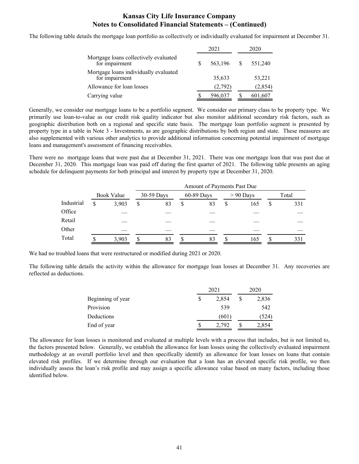The following table details the mortgage loan portfolio as collectively or individually evaluated for impairment at December 31.

|                                                         | 2021 |            |  | 2020    |  |  |
|---------------------------------------------------------|------|------------|--|---------|--|--|
| Mortgage loans collectively evaluated<br>for impairment |      | 563,196 \$ |  | 551,240 |  |  |
| Mortgage loans individually evaluated<br>for impairment |      | 35,633     |  | 53,221  |  |  |
| Allowance for loan losses                               |      | (2,792)    |  | (2,854) |  |  |
| Carrying value                                          |      | 596,037    |  | 601,607 |  |  |

Generally, we consider our mortgage loans to be a portfolio segment. We consider our primary class to be property type. We primarily use loan-to-value as our credit risk quality indicator but also monitor additional secondary risk factors, such as geographic distribution both on a regional and specific state basis. The mortgage loan portfolio segment is presented by property type in a table in Note 3 - Investments, as are geographic distributions by both region and state. These measures are also supplemented with various other analytics to provide additional information concerning potential impairment of mortgage loans and management's assessment of financing receivables.

There were no mortgage loans that were past due at December 31, 2021. There was one mortgage loan that was past due at December 31, 2020. This mortgage loan was paid off during the first quarter of 2021. The following table presents an aging schedule for delinquent payments for both principal and interest by property type at December 31, 2020.

|            |            |       | Amount of Payments Past Due |    |            |    |             |     |       |     |  |  |  |
|------------|------------|-------|-----------------------------|----|------------|----|-------------|-----|-------|-----|--|--|--|
|            | Book Value |       | 30-59 Days                  |    | 60-89 Days |    | $> 90$ Days |     | Total |     |  |  |  |
| Industrial | \$         | 3,903 |                             | 83 |            | 83 | S           | 165 |       | 331 |  |  |  |
| Office     |            |       |                             |    |            |    |             |     |       |     |  |  |  |
| Retail     |            |       |                             |    |            |    |             |     |       |     |  |  |  |
| Other      |            |       |                             |    |            |    |             |     |       |     |  |  |  |
| Total      |            | 3,903 |                             | 83 |            | 83 | J           | 165 |       | 331 |  |  |  |

We had no troubled loans that were restructured or modified during 2021 or 2020.

The following table details the activity within the allowance for mortgage loan losses at December 31. Any recoveries are reflected as deductions.

|                   |       | 2021  | 2020 |       |  |  |
|-------------------|-------|-------|------|-------|--|--|
| Beginning of year |       | 2,854 |      | 2,836 |  |  |
| Provision         |       | 539   |      | 542   |  |  |
| Deductions        |       | (601) |      | (524) |  |  |
| End of year       | 2,792 |       |      | 2,854 |  |  |

The allowance for loan losses is monitored and evaluated at multiple levels with a process that includes, but is not limited to, the factors presented below. Generally, we establish the allowance for loan losses using the collectively evaluated impairment methodology at an overall portfolio level and then specifically identify an allowance for loan losses on loans that contain elevated risk profiles. If we determine through our evaluation that a loan has an elevated specific risk profile, we then individually assess the loan's risk profile and may assign a specific allowance value based on many factors, including those identified below.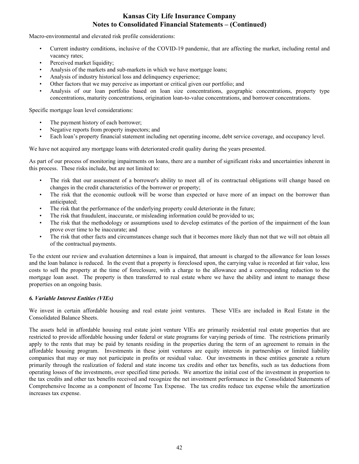Macro-environmental and elevated risk profile considerations:

- Current industry conditions, inclusive of the COVID-19 pandemic, that are affecting the market, including rental and vacancy rates;
- Perceived market liquidity;
- Analysis of the markets and sub-markets in which we have mortgage loans;
- Analysis of industry historical loss and delinquency experience;
- Other factors that we may perceive as important or critical given our portfolio; and
- Analysis of our loan portfolio based on loan size concentrations, geographic concentrations, property type concentrations, maturity concentrations, origination loan-to-value concentrations, and borrower concentrations.

Specific mortgage loan level considerations:

- The payment history of each borrower;
- Negative reports from property inspectors; and
- Each loan's property financial statement including net operating income, debt service coverage, and occupancy level.

We have not acquired any mortgage loans with deteriorated credit quality during the years presented.

As part of our process of monitoring impairments on loans, there are a number of significant risks and uncertainties inherent in this process. These risks include, but are not limited to:

- The risk that our assessment of a borrower's ability to meet all of its contractual obligations will change based on changes in the credit characteristics of the borrower or property;
- The risk that the economic outlook will be worse than expected or have more of an impact on the borrower than anticipated;
- The risk that the performance of the underlying property could deteriorate in the future;
- The risk that fraudulent, inaccurate, or misleading information could be provided to us;
- The risk that the methodology or assumptions used to develop estimates of the portion of the impairment of the loan prove over time to be inaccurate; and
- The risk that other facts and circumstances change such that it becomes more likely than not that we will not obtain all of the contractual payments.

To the extent our review and evaluation determines a loan is impaired, that amount is charged to the allowance for loan losses and the loan balance is reduced. In the event that a property is foreclosed upon, the carrying value is recorded at fair value, less costs to sell the property at the time of foreclosure, with a charge to the allowance and a corresponding reduction to the mortgage loan asset. The property is then transferred to real estate where we have the ability and intent to manage these properties on an ongoing basis.

## *6. Variable Interest Entities (VIEs)*

We invest in certain affordable housing and real estate joint ventures. These VIEs are included in Real Estate in the Consolidated Balance Sheets.

The assets held in affordable housing real estate joint venture VIEs are primarily residential real estate properties that are restricted to provide affordable housing under federal or state programs for varying periods of time. The restrictions primarily apply to the rents that may be paid by tenants residing in the properties during the term of an agreement to remain in the affordable housing program. Investments in these joint ventures are equity interests in partnerships or limited liability companies that may or may not participate in profits or residual value. Our investments in these entities generate a return primarily through the realization of federal and state income tax credits and other tax benefits, such as tax deductions from operating losses of the investments, over specified time periods. We amortize the initial cost of the investment in proportion to the tax credits and other tax benefits received and recognize the net investment performance in the Consolidated Statements of Comprehensive Income as a component of Income Tax Expense. The tax credits reduce tax expense while the amortization increases tax expense.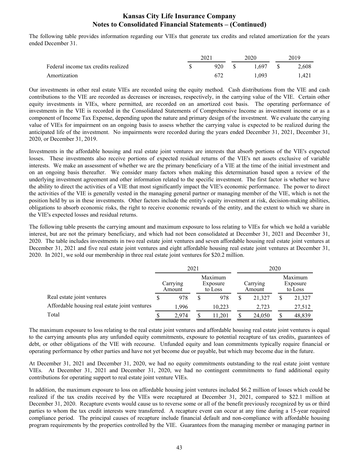The following table provides information regarding our VIEs that generate tax credits and related amortization for the years ended December 31.

|                                     | 2021  | 2020    | 2019 |       |  |  |
|-------------------------------------|-------|---------|------|-------|--|--|
| Federal income tax credits realized | 920 S | 1.697 S |      | 2.608 |  |  |
| Amortization                        |       | 1.093   |      | 1.421 |  |  |

Our investments in other real estate VIEs are recorded using the equity method. Cash distributions from the VIE and cash contributions to the VIE are recorded as decreases or increases, respectively, in the carrying value of the VIE. Certain other equity investments in VIEs, where permitted, are recorded on an amortized cost basis. The operating performance of investments in the VIE is recorded in the Consolidated Statements of Comprehensive Income as investment income or as a component of Income Tax Expense, depending upon the nature and primary design of the investment. We evaluate the carrying value of VIEs for impairment on an ongoing basis to assess whether the carrying value is expected to be realized during the anticipated life of the investment. No impairments were recorded during the years ended December 31, 2021, December 31, 2020, or December 31, 2019.

Investments in the affordable housing and real estate joint ventures are interests that absorb portions of the VIE's expected losses. These investments also receive portions of expected residual returns of the VIE's net assets exclusive of variable interests. We make an assessment of whether we are the primary beneficiary of a VIE at the time of the initial investment and on an ongoing basis thereafter. We consider many factors when making this determination based upon a review of the underlying investment agreement and other information related to the specific investment. The first factor is whether we have the ability to direct the activities of a VIE that most significantly impact the VIE's economic performance. The power to direct the activities of the VIE is generally vested in the managing general partner or managing member of the VIE, which is not the position held by us in these investments. Other factors include the entity's equity investment at risk, decision-making abilities, obligations to absorb economic risks, the right to receive economic rewards of the entity, and the extent to which we share in the VIE's expected losses and residual returns.

The following table presents the carrying amount and maximum exposure to loss relating to VIEs for which we hold a variable interest, but are not the primary beneficiary, and which had not been consolidated at December 31, 2021 and December 31, 2020. The table includes investments in two real estate joint ventures and seven affordable housing real estate joint ventures at December 31, 2021 and five real estate joint ventures and eight affordable housing real estate joint ventures at December 31, 2020. In 2021, we sold our membership in three real estate joint ventures for \$20.2 million.

|                                               |   | 2021               |                                |    | 2020               |  |                                |  |  |  |
|-----------------------------------------------|---|--------------------|--------------------------------|----|--------------------|--|--------------------------------|--|--|--|
|                                               |   | Carrying<br>Amount | Maximum<br>Exposure<br>to Loss |    | Carrying<br>Amount |  | Maximum<br>Exposure<br>to Loss |  |  |  |
| Real estate joint ventures                    | S | 978                | 978                            | \$ | 21,327             |  | 21,327                         |  |  |  |
| Affordable housing real estate joint ventures |   | 1.996              | 10.223                         |    | 2,723              |  | 27,512                         |  |  |  |
| Total                                         |   | 2.974              | 11.201                         | S  | 24,050             |  | 48,839                         |  |  |  |

The maximum exposure to loss relating to the real estate joint ventures and affordable housing real estate joint ventures is equal to the carrying amounts plus any unfunded equity commitments, exposure to potential recapture of tax credits, guarantees of debt, or other obligations of the VIE with recourse. Unfunded equity and loan commitments typically require financial or operating performance by other parties and have not yet become due or payable, but which may become due in the future.

At December 31, 2021 and December 31, 2020, we had no equity commitments outstanding to the real estate joint venture VIEs. At December 31, 2021 and December 31, 2020, we had no contingent commitments to fund additional equity contributions for operating support to real estate joint venture VIEs.

In addition, the maximum exposure to loss on affordable housing joint ventures included \$6.2 million of losses which could be realized if the tax credits received by the VIEs were recaptured at December 31, 2021, compared to \$22.1 million at December 31, 2020. Recapture events would cause us to reverse some or all of the benefit previously recognized by us or third parties to whom the tax credit interests were transferred. A recapture event can occur at any time during a 15-year required compliance period. The principal causes of recapture include financial default and non-compliance with affordable housing program requirements by the properties controlled by the VIE. Guarantees from the managing member or managing partner in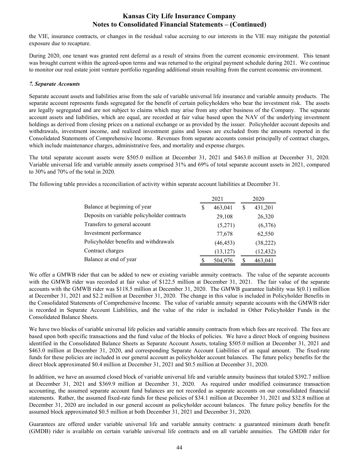the VIE, insurance contracts, or changes in the residual value accruing to our interests in the VIE may mitigate the potential exposure due to recapture.

During 2020, one tenant was granted rent deferral as a result of strains from the current economic environment. This tenant was brought current within the agreed-upon terms and was returned to the original payment schedule during 2021. We continue to monitor our real estate joint venture portfolio regarding additional strain resulting from the current economic environment.

### *7. Separate Accounts*

Separate account assets and liabilities arise from the sale of variable universal life insurance and variable annuity products. The separate account represents funds segregated for the benefit of certain policyholders who bear the investment risk. The assets are legally segregated and are not subject to claims which may arise from any other business of the Company. The separate account assets and liabilities, which are equal, are recorded at fair value based upon the NAV of the underlying investment holdings as derived from closing prices on a national exchange or as provided by the issuer. Policyholder account deposits and withdrawals, investment income, and realized investment gains and losses are excluded from the amounts reported in the Consolidated Statements of Comprehensive Income. Revenues from separate accounts consist principally of contract charges, which include maintenance charges, administrative fees, and mortality and expense charges.

The total separate account assets were \$505.0 million at December 31, 2021 and \$463.0 million at December 31, 2020. Variable universal life and variable annuity assets comprised 31% and 69% of total separate account assets in 2021, compared to 30% and 70% of the total in 2020.

The following table provides a reconciliation of activity within separate account liabilities at December 31.

|                                             |   | 2021      |   | 2020      |
|---------------------------------------------|---|-----------|---|-----------|
| Balance at beginning of year                | S | 463,041   | S | 431,201   |
| Deposits on variable policyholder contracts |   | 29,108    |   | 26,320    |
| Transfers to general account                |   | (5,271)   |   | (6,376)   |
| Investment performance                      |   | 77,678    |   | 62,550    |
| Policyholder benefits and withdrawals       |   | (46, 453) |   | (38, 222) |
| Contract charges                            |   | (13, 127) |   | (12, 432) |
| Balance at end of year                      |   | 504,976   |   | 463,041   |

We offer a GMWB rider that can be added to new or existing variable annuity contracts. The value of the separate accounts with the GMWB rider was recorded at fair value of \$122.5 million at December 31, 2021. The fair value of the separate accounts with the GMWB rider was \$118.5 million at December 31, 2020. The GMWB guarantee liability was \$(0.1) million at December 31, 2021 and \$2.2 million at December 31, 2020. The change in this value is included in Policyholder Benefits in the Consolidated Statements of Comprehensive Income. The value of variable annuity separate accounts with the GMWB rider is recorded in Separate Account Liabilities, and the value of the rider is included in Other Policyholder Funds in the Consolidated Balance Sheets.

We have two blocks of variable universal life policies and variable annuity contracts from which fees are received. The fees are based upon both specific transactions and the fund value of the blocks of policies. We have a direct block of ongoing business identified in the Consolidated Balance Sheets as Separate Account Assets, totaling \$505.0 million at December 31, 2021 and \$463.0 million at December 31, 2020, and corresponding Separate Account Liabilities of an equal amount. The fixed-rate funds for these policies are included in our general account as policyholder account balances. The future policy benefits for the direct block approximated \$0.4 million at December 31, 2021 and \$0.5 million at December 31, 2020.

In addition, we have an assumed closed block of variable universal life and variable annuity business that totaled \$392.7 million at December 31, 2021 and \$369.9 million at December 31, 2020. As required under modified coinsurance transaction accounting, the assumed separate account fund balances are not recorded as separate accounts on our consolidated financial statements. Rather, the assumed fixed-rate funds for these policies of \$34.1 million at December 31, 2021 and \$32.8 million at December 31, 2020 are included in our general account as policyholder account balances. The future policy benefits for the assumed block approximated \$0.5 million at both December 31, 2021 and December 31, 2020.

Guarantees are offered under variable universal life and variable annuity contracts: a guaranteed minimum death benefit (GMDB) rider is available on certain variable universal life contracts and on all variable annuities. The GMDB rider for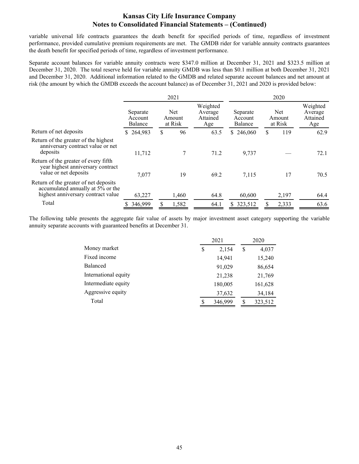variable universal life contracts guarantees the death benefit for specified periods of time, regardless of investment performance, provided cumulative premium requirements are met. The GMDB rider for variable annuity contracts guarantees the death benefit for specified periods of time, regardless of investment performance.

Separate account balances for variable annuity contracts were \$347.0 million at December 31, 2021 and \$323.5 million at December 31, 2020. The total reserve held for variable annuity GMDB was less than \$0.1 million at both December 31, 2021 and December 31, 2020. Additional information related to the GMDB and related separate account balances and net amount at risk (the amount by which the GMDB exceeds the account balance) as of December 31, 2021 and 2020 is provided below:

|                                                                                                                  |                                | 2021                     |                                        |                                |   | 2020                            |                                        |
|------------------------------------------------------------------------------------------------------------------|--------------------------------|--------------------------|----------------------------------------|--------------------------------|---|---------------------------------|----------------------------------------|
|                                                                                                                  | Separate<br>Account<br>Balance | Net<br>Amount<br>at Risk | Weighted<br>Average<br>Attained<br>Age | Separate<br>Account<br>Balance |   | <b>Net</b><br>Amount<br>at Risk | Weighted<br>Average<br>Attained<br>Age |
| Return of net deposits                                                                                           | \$264,983                      | \$<br>96                 | 63.5                                   | \$246,060                      | S | 119                             | 62.9                                   |
| Return of the greater of the highest<br>anniversary contract value or net<br>deposits                            | 11,712                         | 7                        | 71.2                                   | 9,737                          |   |                                 | 72.1                                   |
| Return of the greater of every fifth<br>year highest anniversary contract<br>value or net deposits               | 7,077                          | 19                       | 69.2                                   | 7,115                          |   | 17                              | 70.5                                   |
| Return of the greater of net deposits<br>accumulated annually at 5% or the<br>highest anniversary contract value | 63,227                         | 1,460                    | 64.8                                   | 60,600                         |   | 2,197                           | 64.4                                   |
| Total                                                                                                            | 346,999                        | 1,582                    | 64.1                                   | 323,512<br>S                   |   | 2,333                           | 63.6                                   |

The following table presents the aggregate fair value of assets by major investment asset category supporting the variable annuity separate accounts with guaranteed benefits at December 31.

|                      |    |         | 2020 |         |
|----------------------|----|---------|------|---------|
| Money market         | \$ | 2,154   | S    | 4,037   |
| Fixed income         |    | 14,941  |      | 15,240  |
| Balanced             |    | 91,029  |      | 86,654  |
| International equity |    | 21,238  |      | 21,769  |
| Intermediate equity  |    | 180,005 |      | 161,628 |
| Aggressive equity    |    | 37,632  |      | 34,184  |
| Total                |    | 346,999 | S    | 323,512 |
|                      |    |         |      |         |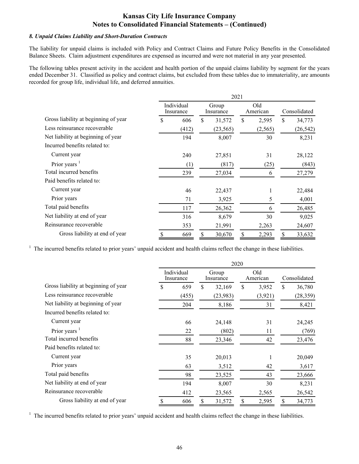## *8. Unpaid Claims Liability and Short-Duration Contracts*

The liability for unpaid claims is included with Policy and Contract Claims and Future Policy Benefits in the Consolidated Balance Sheets. Claim adjustment expenditures are expensed as incurred and were not material in any year presented.

The following tables present activity in the accident and health portion of the unpaid claims liability by segment for the years ended December 31. Classified as policy and contract claims, but excluded from these tables due to immateriality, are amounts recorded for group life, individual life, and deferred annuities.

|                                      | 2021                    |        |                    |       |                 |              |           |  |  |  |  |  |  |
|--------------------------------------|-------------------------|--------|--------------------|-------|-----------------|--------------|-----------|--|--|--|--|--|--|
|                                      | Individual<br>Insurance |        | Group<br>Insurance |       | Old<br>American | Consolidated |           |  |  |  |  |  |  |
| Gross liability at beginning of year | \$<br>606               | \$     | 31,572             | \$    | 2,595           | \$           | 34,773    |  |  |  |  |  |  |
| Less reinsurance recoverable         | (412)                   |        | (23, 565)          |       | (2, 565)        |              | (26, 542) |  |  |  |  |  |  |
| Net liability at beginning of year   | 194                     |        | 8,007              |       | 30              |              | 8,231     |  |  |  |  |  |  |
| Incurred benefits related to:        |                         |        |                    |       |                 |              |           |  |  |  |  |  |  |
| Current year                         | 240                     |        | 27,851             |       | 31              |              | 28,122    |  |  |  |  |  |  |
| Prior years $1$                      | (1)                     |        | (817)              | (25)  |                 |              | (843)     |  |  |  |  |  |  |
| Total incurred benefits              | 239                     |        | 27,034             |       | 6               |              | 27,279    |  |  |  |  |  |  |
| Paid benefits related to:            |                         |        |                    |       |                 |              |           |  |  |  |  |  |  |
| Current year                         | 46                      |        | 22,437             |       | 1               |              | 22,484    |  |  |  |  |  |  |
| Prior years                          | 71                      |        | 3,925              |       | 5               |              | 4,001     |  |  |  |  |  |  |
| Total paid benefits                  | 117                     |        | 26,362             |       | 6               |              | 26,485    |  |  |  |  |  |  |
| Net liability at end of year         | 316                     |        | 8,679              |       | 30              |              | 9,025     |  |  |  |  |  |  |
| Reinsurance recoverable              | 353                     | 21,991 |                    | 2,263 |                 |              | 24,607    |  |  |  |  |  |  |
| Gross liability at end of year       | \$<br>669               | \$     | 30,670             | \$    | 2,293           | \$           | 33,632    |  |  |  |  |  |  |

<sup>1</sup> The incurred benefits related to prior years' unpaid accident and health claims reflect the change in these liabilities.

|                                      | 2020 |                         |        |                    |       |                 |              |           |  |  |  |  |  |
|--------------------------------------|------|-------------------------|--------|--------------------|-------|-----------------|--------------|-----------|--|--|--|--|--|
|                                      |      | Individual<br>Insurance |        | Group<br>Insurance |       | Old<br>American | Consolidated |           |  |  |  |  |  |
| Gross liability at beginning of year | \$   | 659                     | \$     | 32,169             | \$    | 3,952           | \$           | 36,780    |  |  |  |  |  |
| Less reinsurance recoverable         |      | (455)                   |        | (23,983)           |       | (3,921)         |              | (28, 359) |  |  |  |  |  |
| Net liability at beginning of year   |      | 204                     |        | 8,186              |       | 31              |              | 8,421     |  |  |  |  |  |
| Incurred benefits related to:        |      |                         |        |                    |       |                 |              |           |  |  |  |  |  |
| Current year                         |      | 66                      |        | 24,148             |       | 31              |              | 24,245    |  |  |  |  |  |
| Prior years $1$                      |      | 22                      |        | (802)              |       | 11              |              | (769)     |  |  |  |  |  |
| Total incurred benefits              |      | 88                      |        | 23,346             |       | 42              |              | 23,476    |  |  |  |  |  |
| Paid benefits related to:            |      |                         |        |                    |       |                 |              |           |  |  |  |  |  |
| Current year                         |      | 35                      |        | 20,013             |       |                 |              | 20,049    |  |  |  |  |  |
| Prior years                          |      | 63                      |        | 3,512              |       | 42              |              | 3,617     |  |  |  |  |  |
| Total paid benefits                  |      | 98                      |        | 23,525             | 43    |                 |              | 23,666    |  |  |  |  |  |
| Net liability at end of year         |      | 194                     |        | 8,007              |       | 30              |              | 8,231     |  |  |  |  |  |
| Reinsurance recoverable              | 412  |                         | 23,565 |                    | 2,565 |                 | 26,542       |           |  |  |  |  |  |
| Gross liability at end of year       | \$   | 606                     |        | 31,572             | \$    | 2,595           | \$           | 34,773    |  |  |  |  |  |

<sup>1</sup> The incurred benefits related to prior years' unpaid accident and health claims reflect the change in these liabilities.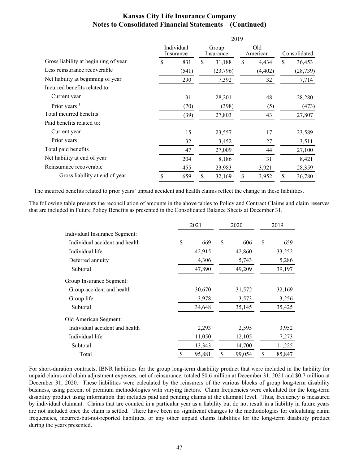|                                      |                         |    |                    | 2019 |                 |              |           |  |
|--------------------------------------|-------------------------|----|--------------------|------|-----------------|--------------|-----------|--|
|                                      | Individual<br>Insurance |    | Group<br>Insurance |      | Old<br>American | Consolidated |           |  |
| Gross liability at beginning of year | \$<br>831               | \$ | 31,188             | \$   | 4,434           |              | 36,453    |  |
| Less reinsurance recoverable         | (541)                   |    | (23,796)           |      | (4, 402)        |              | (28, 739) |  |
| Net liability at beginning of year   | 290                     |    | 7,392              |      | 32              |              | 7,714     |  |
| Incurred benefits related to:        |                         |    |                    |      |                 |              |           |  |
| Current year                         | 31                      |    | 28,201             |      | 48              |              | 28,280    |  |
| Prior years $1$                      | (70)                    |    | (398)              |      | (5)             |              | (473)     |  |
| Total incurred benefits              | (39)                    |    | 27,803             |      | 43              |              | 27,807    |  |
| Paid benefits related to:            |                         |    |                    |      |                 |              |           |  |
| Current year                         | 15                      |    | 23,557             |      | 17              |              | 23,589    |  |
| Prior years                          | 32                      |    | 3,452              |      | 27              |              | 3,511     |  |
| Total paid benefits                  | 47                      |    | 27,009             |      | 44              |              | 27,100    |  |
| Net liability at end of year         | 204                     |    | 8,186              |      | 31              |              | 8,421     |  |
| Reinsurance recoverable              | 455                     |    | 23,983             |      | 3,921           |              | 28,359    |  |
| Gross liability at end of year       | \$<br>659               | \$ | 32,169             | \$   | 3,952           | \$           | 36,780    |  |

1 The incurred benefits related to prior years' unpaid accident and health claims reflect the change in these liabilities.

The following table presents the reconciliation of amounts in the above tables to Policy and Contract Claims and claim reserves that are included in Future Policy Benefits as presented in the Consolidated Balance Sheets at December 31.

|                                | 2021         |    | 2020   | 2019         |
|--------------------------------|--------------|----|--------|--------------|
| Individual Insurance Segment:  |              |    |        |              |
| Individual accident and health | \$<br>669    | \$ | 606    | \$<br>659    |
| Individual life                | 42,915       |    | 42,860 | 33,252       |
| Deferred annuity               | 4,306        |    | 5,743  | 5,286        |
| Subtotal                       | 47,890       |    | 49,209 | 39,197       |
| Group Insurance Segment:       |              |    |        |              |
| Group accident and health      | 30,670       |    | 31,572 | 32,169       |
| Group life                     | 3,978        |    | 3,573  | 3,256        |
| Subtotal                       | 34,648       |    | 35,145 | 35,425       |
| Old American Segment:          |              |    |        |              |
| Individual accident and health | 2,293        |    | 2,595  | 3,952        |
| Individual life                | 11,050       |    | 12,105 | 7,273        |
| Subtotal                       | 13,343       |    | 14,700 | 11,225       |
| Total                          | \$<br>95,881 | S  | 99,054 | \$<br>85,847 |

For short-duration contracts, IBNR liabilities for the group long-term disability product that were included in the liability for unpaid claims and claim adjustment expenses, net of reinsurance, totaled \$0.6 million at December 31, 2021 and \$0.7 million at December 31, 2020. These liabilities were calculated by the reinsurers of the various blocks of group long-term disability business, using percent of premium methodologies with varying factors. Claim frequencies were calculated for the long-term disability product using information that includes paid and pending claims at the claimant level. Thus, frequency is measured by individual claimant. Claims that are counted in a particular year as a liability but do not result in a liability in future years are not included once the claim is settled. There have been no significant changes to the methodologies for calculating claim frequencies, incurred-but-not-reported liabilities, or any other unpaid claims liabilities for the long-term disability product during the years presented.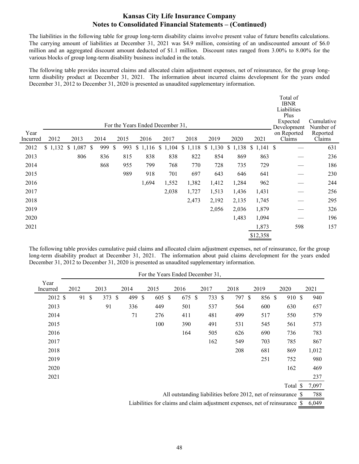The liabilities in the following table for group long-term disability claims involve present value of future benefits calculations. The carrying amount of liabilities at December 31, 2021 was \$4.9 million, consisting of an undiscounted amount of \$6.0 million and an aggregated discount amount deducted of \$1.1 million. Discount rates ranged from 3.00% to 8.00% for the various blocks of group long-term disability business included in the totals.

The following table provides incurred claims and allocated claim adjustment expenses, net of reinsurance, for the group longterm disability product at December 31, 2021. The information about incurred claims development for the years ended December 31, 2012 to December 31, 2020 is presented as unaudited supplementary information.

|                  |         |             |        | For the Years Ended December 31, |           |                   |                       |                    |         |             | Total of<br><b>IBNR</b><br>Liabilities<br>Plus<br>Expected | Cumulative |
|------------------|---------|-------------|--------|----------------------------------|-----------|-------------------|-----------------------|--------------------|---------|-------------|------------------------------------------------------------|------------|
|                  |         |             |        | Development                      | Number of |                   |                       |                    |         |             |                                                            |            |
| Year<br>Incurred | 2012    | 2013        | 2014   | 2015                             | 2016      | 2017              | on Reported<br>Claims | Reported<br>Claims |         |             |                                                            |            |
| 2012             | \$1,132 | $$1,087$ \$ | 999 \$ | 993                              |           | $$1,116$ $$1,104$ | \$1,118               | \$1,130            | \$1,138 | $$1,141$ \, |                                                            | 631        |
| 2013             |         | 806         | 836    | 815                              | 838       | 838               | 822                   | 854                | 869     | 863         |                                                            | 236        |
| 2014             |         |             | 868    | 955                              | 799       | 768               | 770                   | 728                | 735     | 729         |                                                            | 186        |
| 2015             |         |             |        | 989                              | 918       | 701               | 697                   | 643                | 646     | 641         |                                                            | 230        |
| 2016             |         |             |        |                                  | 1,694     | 1,552             | 1,382                 | 1,412              | 1,284   | 962         |                                                            | 244        |
| 2017             |         |             |        |                                  |           | 2,038             | 1,727                 | 1,513              | 1,436   | 1,431       |                                                            | 256        |
| 2018             |         |             |        |                                  |           |                   | 2,473                 | 2,192              | 2,135   | 1,745       |                                                            | 295        |
| 2019             |         |             |        |                                  |           |                   |                       | 2,056              | 2,036   | 1,879       |                                                            | 326        |
| 2020             |         |             |        |                                  |           |                   |                       |                    | 1,483   | 1,094       |                                                            | 196        |
| 2021             |         |             |        |                                  |           |                   |                       |                    |         | 1,873       | 598                                                        | 157        |
|                  |         |             |        |                                  |           |                   |                       |                    |         | \$12,358    |                                                            |            |

The following table provides cumulative paid claims and allocated claim adjustment expenses, net of reinsurance, for the group long-term disability product at December 31, 2021. The information about paid claims development for the years ended December 31, 2012 to December 31, 2020 is presented as unaudited supplementary information.

|                  | For the Years Ended December 31, |      |               |      |               |        |  |        |  |        |  |        |  |        |        |          |       |
|------------------|----------------------------------|------|---------------|------|---------------|--------|--|--------|--|--------|--|--------|--|--------|--------|----------|-------|
| Year<br>Incurred |                                  | 2012 |               | 2013 |               | 2014   |  | 2015   |  | 2016   |  | 2017   |  | 2018   | 2019   | 2020     | 2021  |
| 2012 \$          |                                  | 91   | $\mathcal{S}$ | 373  | $\mathcal{S}$ | 499 \$ |  | 605 \$ |  | 675 \$ |  | 733 \$ |  | 797 \$ | 856 \$ | 910 \$   | 940   |
| 2013             |                                  |      |               | 91   |               | 336    |  | 449    |  | 501    |  | 537    |  | 564    | 600    | 630      | 657   |
| 2014             |                                  |      |               |      |               | 71     |  | 276    |  | 411    |  | 481    |  | 499    | 517    | 550      | 579   |
| 2015             |                                  |      |               |      |               |        |  | 100    |  | 390    |  | 491    |  | 531    | 545    | 561      | 573   |
| 2016             |                                  |      |               |      |               |        |  |        |  | 164    |  | 505    |  | 626    | 690    | 736      | 783   |
| 2017             |                                  |      |               |      |               |        |  |        |  |        |  | 162    |  | 549    | 703    | 785      | 867   |
| 2018             |                                  |      |               |      |               |        |  |        |  |        |  |        |  | 208    | 681    | 869      | 1,012 |
| 2019             |                                  |      |               |      |               |        |  |        |  |        |  |        |  |        | 251    | 752      | 980   |
| 2020             |                                  |      |               |      |               |        |  |        |  |        |  |        |  |        |        | 162      | 469   |
| 2021             |                                  |      |               |      |               |        |  |        |  |        |  |        |  |        |        |          | 237   |
|                  |                                  |      |               |      |               |        |  |        |  |        |  |        |  |        |        | Total \$ | 7,097 |
|                  |                                  |      |               |      |               |        |  |        |  |        |  |        |  |        |        |          |       |

All outstanding liabilities before 2012, net of reinsurance  $\frac{1}{2}$  788

Liabilities for claims and claim adjustment expenses, net of reinsurance \$ 6,049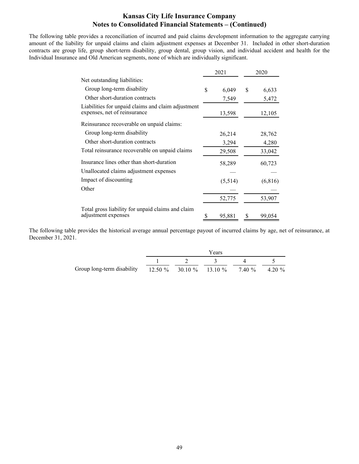The following table provides a reconciliation of incurred and paid claims development information to the aggregate carrying amount of the liability for unpaid claims and claim adjustment expenses at December 31. Included in other short-duration contracts are group life, group short-term disability, group dental, group vision, and individual accident and health for the Individual Insurance and Old American segments, none of which are individually significant.

|                                                                                    | 2021 |         | 2020         |  |
|------------------------------------------------------------------------------------|------|---------|--------------|--|
| Net outstanding liabilities:                                                       |      |         |              |  |
| Group long-term disability                                                         | \$   | 6,049   | \$<br>6,633  |  |
| Other short-duration contracts                                                     |      | 7,549   | 5,472        |  |
| Liabilities for unpaid claims and claim adjustment<br>expenses, net of reinsurance |      | 13,598  | 12,105       |  |
| Reinsurance recoverable on unpaid claims:                                          |      |         |              |  |
| Group long-term disability                                                         |      | 26,214  | 28,762       |  |
| Other short-duration contracts                                                     |      | 3,294   | 4,280        |  |
| Total reinsurance recoverable on unpaid claims                                     |      | 29,508  | 33,042       |  |
| Insurance lines other than short-duration                                          |      | 58,289  | 60,723       |  |
| Unallocated claims adjustment expenses                                             |      |         |              |  |
| Impact of discounting                                                              |      | (5,514) | (6, 816)     |  |
| Other                                                                              |      |         |              |  |
|                                                                                    |      | 52,775  | 53,907       |  |
| Total gross liability for unpaid claims and claim<br>adjustment expenses           | \$   | 95,881  | \$<br>99,054 |  |

The following table provides the historical average annual percentage payout of incurred claims by age, net of reinsurance, at December 31, 2021.

|                                                                  |  | Years |  |
|------------------------------------------------------------------|--|-------|--|
|                                                                  |  |       |  |
| Group long-term disability 12.50 % 30.10 % 13.10 % 7.40 % 4.20 % |  |       |  |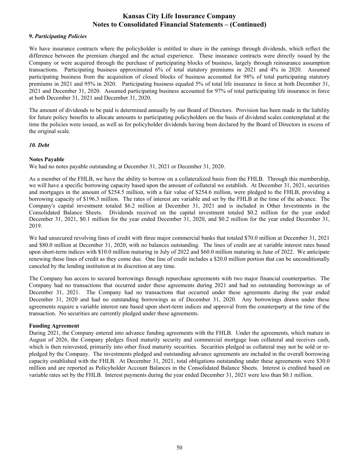### **9.** *Participating Policies*

We have insurance contracts where the policyholder is entitled to share in the earnings through dividends, which reflect the difference between the premium charged and the actual experience. These insurance contracts were directly issued by the Company or were acquired through the purchase of participating blocks of business, largely through reinsurance assumption transactions. Participating business approximated 6% of total statutory premiums in 2021 and 4% in 2020. Assumed participating business from the acquisition of closed blocks of business accounted for 98% of total participating statutory premiums in 2021 and 95% in 2020. Participating business equaled 5% of total life insurance in force at both December 31, 2021 and December 31, 2020. Assumed participating business accounted for 97% of total participating life insurance in force at both December 31, 2021 and December 31, 2020.

The amount of dividends to be paid is determined annually by our Board of Directors. Provision has been made in the liability for future policy benefits to allocate amounts to participating policyholders on the basis of dividend scales contemplated at the time the policies were issued, as well as for policyholder dividends having been declared by the Board of Directors in excess of the original scale.

#### *10. Debt*

### **Notes Payable**

We had no notes payable outstanding at December 31, 2021 or December 31, 2020.

As a member of the FHLB, we have the ability to borrow on a collateralized basis from the FHLB. Through this membership, we will have a specific borrowing capacity based upon the amount of collateral we establish. At December 31, 2021, securities and mortgages in the amount of \$254.5 million, with a fair value of \$254.6 million, were pledged to the FHLB, providing a borrowing capacity of \$196.3 million. The rates of interest are variable and set by the FHLB at the time of the advance. The Company's capital investment totaled \$6.2 million at December 31, 2021 and is included in Other Investments in the Consolidated Balance Sheets. Dividends received on the capital investment totaled \$0.2 million for the year ended December 31, 2021, \$0.1 million for the year ended December 31, 2020, and \$0.2 million for the year ended December 31, 2019.

We had unsecured revolving lines of credit with three major commercial banks that totaled \$70.0 million at December 31, 2021 and \$80.0 million at December 31, 2020, with no balances outstanding. The lines of credit are at variable interest rates based upon short-term indices with \$10.0 million maturing in July of 2022 and \$60.0 million maturing in June of 2022. We anticipate renewing these lines of credit as they come due. One line of credit includes a \$20.0 million portion that can be unconditionally canceled by the lending institution at its discretion at any time.

The Company has access to secured borrowings through repurchase agreements with two major financial counterparties. The Company had no transactions that occurred under these agreements during 2021 and had no outstanding borrowings as of December 31, 2021. The Company had no transactions that occurred under these agreements during the year ended December 31, 2020 and had no outstanding borrowings as of December 31, 2020. Any borrowings drawn under these agreements require a variable interest rate based upon short-term indices and approval from the counterparty at the time of the transaction. No securities are currently pledged under these agreements.

#### **Funding Agreement**

During 2021, the Company entered into advance funding agreements with the FHLB. Under the agreements, which mature in August of 2026, the Company pledges fixed maturity security and commercial mortgage loan collateral and receives cash, which is then reinvested, primarily into other fixed maturity securities. Securities pledged as collateral may not be sold or repledged by the Company. The investments pledged and outstanding advance agreements are included in the overall borrowing capacity established with the FHLB. At December 31, 2021, total obligations outstanding under these agreements were \$30.0 million and are reported as Policyholder Account Balances in the Consolidated Balance Sheets. Interest is credited based on variable rates set by the FHLB. Interest payments during the year ended December 31, 2021 were less than \$0.1 million.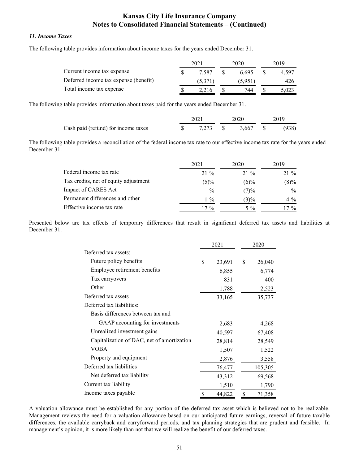### *11. Income Taxes*

The following table provides information about income taxes for the years ended December 31.

|                                       | 2021    | 2020    | 2019  |
|---------------------------------------|---------|---------|-------|
| Current income tax expense            | 7.587   | 6.695   | 4.597 |
| Deferred income tax expense (benefit) | (5,371) | (5.951) | 426   |
| Total income tax expense              | 2.216   | 744     | 5.023 |

The following table provides information about taxes paid for the years ended December 31.

|                                     |  |  |  | 2020 | 2019 |  |
|-------------------------------------|--|--|--|------|------|--|
| Cash paid (refund) for income taxes |  |  |  |      |      |  |

The following table provides a reconciliation of the federal income tax rate to our effective income tax rate for the years ended December 31.

|                                       | 2021    | 2020    | 2019            |
|---------------------------------------|---------|---------|-----------------|
| Federal income tax rate               | $21\%$  | $21\%$  | $21\%$          |
| Tax credits, net of equity adjustment | $(5)\%$ | $(6)\%$ | $(8)\%$         |
| Impact of CARES Act                   | $-$ %   | (7)%    | $- \frac{9}{6}$ |
| Permanent differences and other       | $1\%$   | $(3)\%$ | $4\%$           |
| Effective income tax rate             | 17 %    | $5\%$   | $17\%$          |

Presented below are tax effects of temporary differences that result in significant deferred tax assets and liabilities at December 31.

|                                            | 2021         | 2020         |
|--------------------------------------------|--------------|--------------|
| Deferred tax assets:                       |              |              |
| Future policy benefits                     | \$<br>23,691 | \$<br>26,040 |
| Employee retirement benefits               | 6,855        | 6,774        |
| Tax carryovers                             | 831          | 400          |
| Other                                      | 1,788        | 2,523        |
| Deferred tax assets                        | 33,165       | 35,737       |
| Deferred tax liabilities:                  |              |              |
| Basis differences between tax and          |              |              |
| GAAP accounting for investments            | 2,683        | 4,268        |
| Unrealized investment gains                | 40,597       | 67,408       |
| Capitalization of DAC, net of amortization | 28,814       | 28,549       |
| VOBA                                       | 1,507        | 1,522        |
| Property and equipment                     | 2,876        | 3,558        |
| Deferred tax liabilities                   | 76,477       | 105,305      |
| Net deferred tax liability                 | 43,312       | 69,568       |
| Current tax liability                      | 1,510        | 1,790        |
| Income taxes payable                       | \$<br>44,822 | \$<br>71,358 |

A valuation allowance must be established for any portion of the deferred tax asset which is believed not to be realizable. Management reviews the need for a valuation allowance based on our anticipated future earnings, reversal of future taxable differences, the available carryback and carryforward periods, and tax planning strategies that are prudent and feasible. In management's opinion, it is more likely than not that we will realize the benefit of our deferred taxes.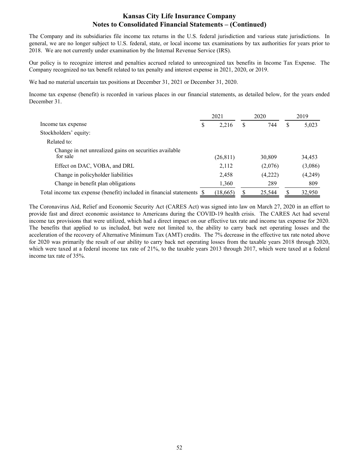The Company and its subsidiaries file income tax returns in the U.S. federal jurisdiction and various state jurisdictions. In general, we are no longer subject to U.S. federal, state, or local income tax examinations by tax authorities for years prior to 2018. We are not currently under examination by the Internal Revenue Service (IRS).

Our policy is to recognize interest and penalties accrued related to unrecognized tax benefits in Income Tax Expense. The Company recognized no tax benefit related to tax penalty and interest expense in 2021, 2020, or 2019.

We had no material uncertain tax positions at December 31, 2021 or December 31, 2020.

Income tax expense (benefit) is recorded in various places in our financial statements, as detailed below, for the years ended December 31.

|                                                                     |   | 2021      | 2020      |    | 2019    |
|---------------------------------------------------------------------|---|-----------|-----------|----|---------|
| Income tax expense                                                  | S | 2,216     | \$<br>744 | \$ | 5,023   |
| Stockholders' equity:                                               |   |           |           |    |         |
| Related to:                                                         |   |           |           |    |         |
| Change in net unrealized gains on securities available<br>for sale  |   | (26, 811) | 30,809    |    | 34,453  |
| Effect on DAC, VOBA, and DRL                                        |   | 2,112     | (2,076)   |    | (3,086) |
| Change in policyholder liabilities                                  |   | 2,458     | (4,222)   |    | (4,249) |
| Change in benefit plan obligations                                  |   | 1,360     | 289       |    | 809     |
| Total income tax expense (benefit) included in financial statements |   | (18, 665) | 25,544    | S  | 32,950  |

The Coronavirus Aid, Relief and Economic Security Act (CARES Act) was signed into law on March 27, 2020 in an effort to provide fast and direct economic assistance to Americans during the COVID-19 health crisis. The CARES Act had several income tax provisions that were utilized, which had a direct impact on our effective tax rate and income tax expense for 2020. The benefits that applied to us included, but were not limited to, the ability to carry back net operating losses and the acceleration of the recovery of Alternative Minimum Tax (AMT) credits. The 7% decrease in the effective tax rate noted above for 2020 was primarily the result of our ability to carry back net operating losses from the taxable years 2018 through 2020, which were taxed at a federal income tax rate of 21%, to the taxable years 2013 through 2017, which were taxed at a federal income tax rate of 35%.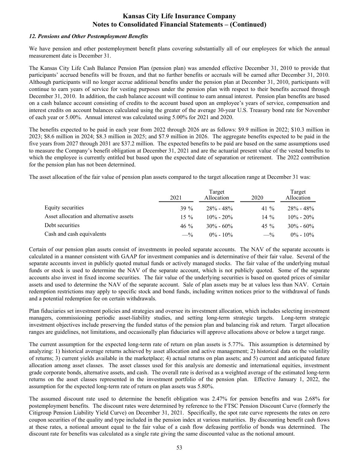### *12. Pensions and Other Postemployment Benefits*

We have pension and other postemployment benefit plans covering substantially all of our employees for which the annual measurement date is December 31.

The Kansas City Life Cash Balance Pension Plan (pension plan) was amended effective December 31, 2010 to provide that participants' accrued benefits will be frozen, and that no further benefits or accruals will be earned after December 31, 2010. Although participants will no longer accrue additional benefits under the pension plan at December 31, 2010, participants will continue to earn years of service for vesting purposes under the pension plan with respect to their benefits accrued through December 31, 2010. In addition, the cash balance account will continue to earn annual interest. Pension plan benefits are based on a cash balance account consisting of credits to the account based upon an employee's years of service, compensation and interest credits on account balances calculated using the greater of the average 30-year U.S. Treasury bond rate for November of each year or 5.00%. Annual interest was calculated using 5.00% for 2021 and 2020.

The benefits expected to be paid in each year from 2022 through 2026 are as follows: \$9.9 million in 2022; \$10.3 million in 2023; \$8.6 million in 2024; \$8.3 million in 2025; and \$7.9 million in 2026. The aggregate benefits expected to be paid in the five years from 2027 through 2031 are \$37.2 million. The expected benefits to be paid are based on the same assumptions used to measure the Company's benefit obligation at December 31, 2021 and are the actuarial present value of the vested benefits to which the employee is currently entitled but based upon the expected date of separation or retirement. The 2022 contribution for the pension plan has not been determined.

The asset allocation of the fair value of pension plan assets compared to the target allocation range at December 31 was:

|                                         | 2021   | Target<br>Allocation | 2020    | Target<br>Allocation |
|-----------------------------------------|--------|----------------------|---------|----------------------|
| Equity securities                       | 39 %   | $28\% - 48\%$        | 41 %    | $28\%$ - 48%         |
| Asset allocation and alternative assets | $15\%$ | $10\% - 20\%$        | $14\%$  | $10\% - 20\%$        |
| Debt securities                         | $46\%$ | $30\% - 60\%$        | 45 $\%$ | $30\% - 60\%$        |
| Cash and cash equivalents               | $-$ %  | $0\% - 10\%$         | $-$ %   | $0\% - 10\%$         |

Certain of our pension plan assets consist of investments in pooled separate accounts. The NAV of the separate accounts is calculated in a manner consistent with GAAP for investment companies and is determinative of their fair value. Several of the separate accounts invest in publicly quoted mutual funds or actively managed stocks. The fair value of the underlying mutual funds or stock is used to determine the NAV of the separate account, which is not publicly quoted. Some of the separate accounts also invest in fixed income securities. The fair value of the underlying securities is based on quoted prices of similar assets and used to determine the NAV of the separate account. Sale of plan assets may be at values less than NAV. Certain redemption restrictions may apply to specific stock and bond funds, including written notices prior to the withdrawal of funds and a potential redemption fee on certain withdrawals.

Plan fiduciaries set investment policies and strategies and oversee its investment allocation, which includes selecting investment managers, commissioning periodic asset-liability studies, and setting long-term strategic targets. Long-term strategic investment objectives include preserving the funded status of the pension plan and balancing risk and return. Target allocation ranges are guidelines, not limitations, and occasionally plan fiduciaries will approve allocations above or below a target range.

The current assumption for the expected long-term rate of return on plan assets is 5.77%. This assumption is determined by analyzing: 1) historical average returns achieved by asset allocation and active management; 2) historical data on the volatility of returns; 3) current yields available in the marketplace; 4) actual returns on plan assets; and 5) current and anticipated future allocation among asset classes. The asset classes used for this analysis are domestic and international equities, investment grade corporate bonds, alternative assets, and cash. The overall rate is derived as a weighted average of the estimated long-term returns on the asset classes represented in the investment portfolio of the pension plan. Effective January 1, 2022, the assumption for the expected long-term rate of return on plan assets was 5.80%.

The assumed discount rate used to determine the benefit obligation was 2.47% for pension benefits and was 2.68% for postemployment benefits. The discount rates were determined by reference to the FTSC Pension Discount Curve (formerly the Citigroup Pension Liability Yield Curve) on December 31, 2021. Specifically, the spot rate curve represents the rates on zero coupon securities of the quality and type included in the pension index at various maturities. By discounting benefit cash flows at these rates, a notional amount equal to the fair value of a cash flow defeasing portfolio of bonds was determined. The discount rate for benefits was calculated as a single rate giving the same discounted value as the notional amount.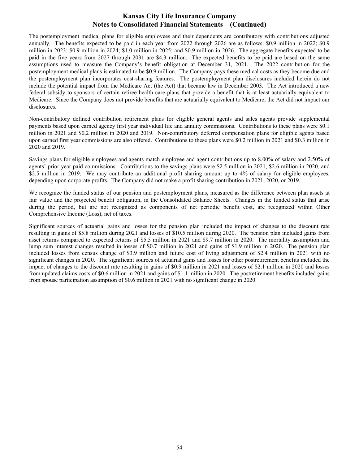The postemployment medical plans for eligible employees and their dependents are contributory with contributions adjusted annually. The benefits expected to be paid in each year from 2022 through 2026 are as follows: \$0.9 million in 2022; \$0.9 million in 2023; \$0.9 million in 2024; \$1.0 million in 2025; and \$0.9 million in 2026. The aggregate benefits expected to be paid in the five years from 2027 through 2031 are \$4.3 million. The expected benefits to be paid are based on the same assumptions used to measure the Company's benefit obligation at December 31, 2021. The 2022 contribution for the postemployment medical plans is estimated to be \$0.9 million. The Company pays these medical costs as they become due and the postemployment plan incorporates cost-sharing features. The postemployment plan disclosures included herein do not include the potential impact from the Medicare Act (the Act) that became law in December 2003. The Act introduced a new federal subsidy to sponsors of certain retiree health care plans that provide a benefit that is at least actuarially equivalent to Medicare. Since the Company does not provide benefits that are actuarially equivalent to Medicare, the Act did not impact our disclosures.

Non-contributory defined contribution retirement plans for eligible general agents and sales agents provide supplemental payments based upon earned agency first year individual life and annuity commissions. Contributions to these plans were \$0.1 million in 2021 and \$0.2 million in 2020 and 2019. Non-contributory deferred compensation plans for eligible agents based upon earned first year commissions are also offered. Contributions to these plans were \$0.2 million in 2021 and \$0.3 million in 2020 and 2019.

Savings plans for eligible employees and agents match employee and agent contributions up to 8.00% of salary and 2.50% of agents' prior year paid commissions. Contributions to the savings plans were \$2.5 million in 2021, \$2.6 million in 2020, and \$2.5 million in 2019. We may contribute an additional profit sharing amount up to 4% of salary for eligible employees, depending upon corporate profits. The Company did not make a profit sharing contribution in 2021, 2020, or 2019.

We recognize the funded status of our pension and postemployment plans, measured as the difference between plan assets at fair value and the projected benefit obligation, in the Consolidated Balance Sheets. Changes in the funded status that arise during the period, but are not recognized as components of net periodic benefit cost, are recognized within Other Comprehensive Income (Loss), net of taxes.

Significant sources of actuarial gains and losses for the pension plan included the impact of changes to the discount rate resulting in gains of \$5.8 million during 2021 and losses of \$10.5 million during 2020. The pension plan included gains from asset returns compared to expected returns of \$5.5 million in 2021 and \$9.7 million in 2020. The mortality assumption and lump sum interest changes resulted in losses of \$0.7 million in 2021 and gains of \$1.9 million in 2020. The pension plan included losses from census change of \$3.9 million and future cost of living adjustment of \$2.4 million in 2021 with no significant changes in 2020. The significant sources of actuarial gains and losses for other postretirement benefits included the impact of changes to the discount rate resulting in gains of \$0.9 million in 2021 and losses of \$2.1 million in 2020 and losses from updated claims costs of \$0.6 million in 2021 and gains of \$1.1 million in 2020. The postretirement benefits included gains from spouse participation assumption of \$0.6 million in 2021 with no significant change in 2020.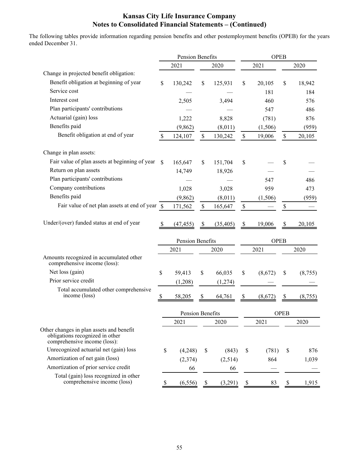The following tables provide information regarding pension benefits and other postemployment benefits (OPEB) for the years ended December 31.

|                                                                                                             |                    | Pension Benefits |             |           |                          | <b>OPEB</b> |             |         |
|-------------------------------------------------------------------------------------------------------------|--------------------|------------------|-------------|-----------|--------------------------|-------------|-------------|---------|
|                                                                                                             |                    | 2021             |             | 2020      |                          | 2021        |             | 2020    |
| Change in projected benefit obligation:                                                                     |                    |                  |             |           |                          |             |             |         |
| Benefit obligation at beginning of year                                                                     | \$                 | 130,242          | \$          | 125,931   | \$                       | 20,105      | \$          | 18,942  |
| Service cost                                                                                                |                    |                  |             |           |                          | 181         |             | 184     |
| Interest cost                                                                                               |                    | 2,505            |             | 3,494     |                          | 460         |             | 576     |
| Plan participants' contributions                                                                            |                    |                  |             |           |                          | 547         |             | 486     |
| Actuarial (gain) loss                                                                                       |                    | 1,222            |             | 8,828     |                          | (781)       |             | 876     |
| Benefits paid                                                                                               |                    | (9,862)          |             | (8,011)   |                          | (1,506)     |             | (959)   |
| Benefit obligation at end of year                                                                           | $\mathbb{S}$       | 124,107          | $\mathbb S$ | 130,242   | $\$$                     | 19,006      | $\mathbb S$ | 20,105  |
| Change in plan assets:                                                                                      |                    |                  |             |           |                          |             |             |         |
| Fair value of plan assets at beginning of year                                                              | $\mathbf{\hat{S}}$ | 165,647          | \$          | 151,704   | \$                       |             | \$          |         |
| Return on plan assets                                                                                       |                    | 14,749           |             | 18,926    |                          |             |             |         |
| Plan participants' contributions                                                                            |                    |                  |             |           |                          | 547         |             | 486     |
| Company contributions                                                                                       |                    | 1,028            |             | 3,028     |                          | 959         |             | 473     |
| Benefits paid                                                                                               |                    | (9, 862)         |             | (8,011)   |                          | (1,506)     |             | (959)   |
| Fair value of net plan assets at end of year §                                                              |                    | 171,562          | \$          | 165,647   | $\mathbb{S}$             |             | $\$$        |         |
| Under/(over) funded status at end of year                                                                   | S                  | (47, 455)        | \$          | (35, 405) | \$                       | 19,006      | \$          | 20,105  |
|                                                                                                             |                    | Pension Benefits |             |           |                          | <b>OPEB</b> |             |         |
|                                                                                                             |                    | 2021             |             | 2020      |                          | 2021        |             | 2020    |
| Amounts recognized in accumulated other<br>comprehensive income (loss):                                     |                    |                  |             |           |                          |             |             |         |
| Net loss (gain)                                                                                             | \$                 | 59,413           | \$          | 66,035    | \$                       | (8,672)     | \$          | (8,755) |
| Prior service credit                                                                                        |                    | (1,208)          |             | (1,274)   |                          |             |             |         |
| Total accumulated other comprehensive<br>income (loss)                                                      | \$                 | 58,205           | \$          | 64,761    | $\overline{\mathcal{E}}$ | (8,672)     | \$          | (8,755) |
|                                                                                                             |                    |                  |             |           |                          |             |             |         |
|                                                                                                             |                    | Pension Benefits |             |           |                          |             | <b>OPEB</b> |         |
|                                                                                                             |                    | 2021             |             | 2020      |                          | 2021        |             | 2020    |
| Other changes in plan assets and benefit<br>obligations recognized in other<br>comprehensive income (loss): |                    |                  |             |           |                          |             |             |         |
| Unrecognized actuarial net (gain) loss                                                                      | \$                 | (4,248)          | \$          | (843)     | \$                       | (781)       | \$          | 876     |
| Amortization of net gain (loss)                                                                             |                    | (2,374)          |             | (2,514)   |                          | 864         |             | 1,039   |
| Amortization of prior service credit                                                                        |                    | 66               |             | 66        |                          |             |             |         |
| Total (gain) loss recognized in other<br>comprehensive income (loss)                                        | \$                 | (6, 556)         | \$          | (3,291)   | \$                       | 83          | \$          | 1,915   |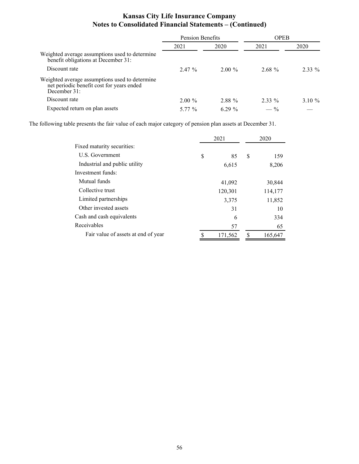|                                                                                                                | Pension Benefits |          | <b>OPEB</b> |          |
|----------------------------------------------------------------------------------------------------------------|------------------|----------|-------------|----------|
|                                                                                                                | 2021             | 2020     | 2021        | 2020     |
| Weighted average assumptions used to determine<br>benefit obligations at December 31:                          |                  |          |             |          |
| Discount rate                                                                                                  | $2.47\%$         | $2.00\%$ | $2.68 \%$   | $2.33\%$ |
| Weighted average assumptions used to determine<br>net periodic benefit cost for years ended<br>December $31$ : |                  |          |             |          |
| Discount rate                                                                                                  | $2.00\%$         | 2.88 %   | $2.33\%$    | 3.10 $%$ |
| Expected return on plan assets                                                                                 | 5.77 %           | $6.29\%$ | $-$ %       |          |
|                                                                                                                |                  |          |             |          |

The following table presents the fair value of each major category of pension plan assets at December 31.

|                                     | 2021          | 2020 |         |  |
|-------------------------------------|---------------|------|---------|--|
| Fixed maturity securities:          |               |      |         |  |
| U.S. Government                     | \$<br>85      | S    | 159     |  |
| Industrial and public utility       | 6,615         |      | 8,206   |  |
| Investment funds:                   |               |      |         |  |
| Mutual funds                        | 41,092        |      | 30,844  |  |
| Collective trust                    | 120,301       |      | 114,177 |  |
| Limited partnerships                | 3,375         |      | 11,852  |  |
| Other invested assets               | 31            |      | 10      |  |
| Cash and cash equivalents           | 6             |      | 334     |  |
| Receivables                         | 57            |      | 65      |  |
| Fair value of assets at end of year | \$<br>171,562 | \$   | 165,647 |  |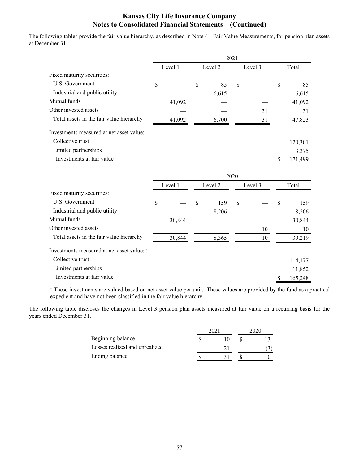The following tables provide the fair value hierarchy, as described in Note 4 - Fair Value Measurements, for pension plan assets at December 31.

|                                            | 2021          |         |    |         |               |         |               |         |  |
|--------------------------------------------|---------------|---------|----|---------|---------------|---------|---------------|---------|--|
|                                            |               | Level 1 |    | Level 2 |               | Level 3 |               | Total   |  |
| Fixed maturity securities:                 |               |         |    |         |               |         |               |         |  |
| U.S. Government                            | \$            |         | \$ | 85      | \$            |         | \$            | 85      |  |
| Industrial and public utility              |               |         |    | 6,615   |               |         |               | 6,615   |  |
| Mutual funds                               |               | 41,092  |    |         |               |         |               | 41,092  |  |
| Other invested assets                      |               |         |    |         |               | 31      |               | 31      |  |
| Total assets in the fair value hierarchy   |               | 41,092  |    | 6,700   |               | 31      |               | 47,823  |  |
| Investments measured at net asset value: 1 |               |         |    |         |               |         |               |         |  |
| Collective trust                           |               |         |    |         |               |         |               | 120,301 |  |
| Limited partnerships                       |               |         |    |         |               |         |               | 3,375   |  |
| Investments at fair value                  |               |         |    |         |               |         | <sup>22</sup> | 171,499 |  |
|                                            |               |         |    |         | 2020          |         |               |         |  |
|                                            |               | Level 1 |    | Level 2 |               | Level 3 |               | Total   |  |
| Fixed maturity securities:                 |               |         |    |         |               |         |               |         |  |
| U.S. Government                            | $\mathsf{\$}$ |         | \$ | 159     | $\mathsf{\$}$ |         | \$            | 159     |  |
|                                            |               |         |    |         |               |         |               |         |  |
| Industrial and public utility              |               |         |    | 8,206   |               |         |               | 8,206   |  |
| Mutual funds                               |               | 30,844  |    |         |               |         |               | 30,844  |  |
| Other invested assets                      |               |         |    |         |               | 10      |               | 10      |  |
| Total assets in the fair value hierarchy   |               | 30,844  |    | 8,365   |               | 10      |               | 39,219  |  |
| Investments measured at net asset value: 1 |               |         |    |         |               |         |               |         |  |
| Collective trust                           |               |         |    |         |               |         |               | 114,177 |  |
| Limited partnerships                       |               |         |    |         |               |         |               | 11,852  |  |

<sup>1</sup> These investments are valued based on net asset value per unit. These values are provided by the fund as a practical expedient and have not been classified in the fair value hierarchy.

The following table discloses the changes in Level 3 pension plan assets measured at fair value on a recurring basis for the years ended December 31.

|                                |  |  | າ20 |
|--------------------------------|--|--|-----|
| Beginning balance              |  |  |     |
| Losses realized and unrealized |  |  |     |
| Ending balance                 |  |  |     |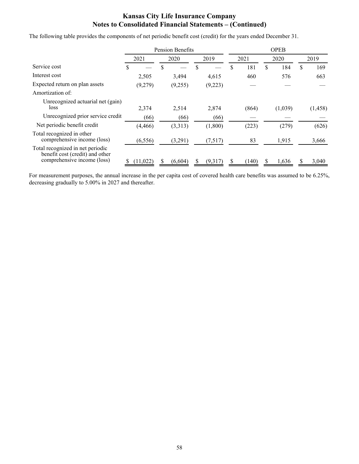The following table provides the components of net periodic benefit cost (credit) for the years ended December 31.

|                                                                                                    |      |           |      | Pension Benefits |      |         | <b>OPEB</b> |       |      |         |      |          |
|----------------------------------------------------------------------------------------------------|------|-----------|------|------------------|------|---------|-------------|-------|------|---------|------|----------|
|                                                                                                    | 2021 |           | 2020 |                  | 2019 |         | 2021        |       | 2020 |         | 2019 |          |
| Service cost                                                                                       |      |           | \$   |                  | S    |         | \$          | 181   | S.   | 184     | \$   | 169      |
| Interest cost                                                                                      |      | 2,505     |      | 3,494            |      | 4,615   |             | 460   |      | 576     |      | 663      |
| Expected return on plan assets                                                                     |      | (9,279)   |      | (9,255)          |      | (9,223) |             |       |      |         |      |          |
| Amortization of:                                                                                   |      |           |      |                  |      |         |             |       |      |         |      |          |
| Unrecognized actuarial net (gain)<br>loss                                                          |      | 2,374     |      | 2,514            |      | 2,874   |             | (864) |      | (1,039) |      | (1, 458) |
| Unrecognized prior service credit                                                                  |      | (66)      |      | (66)             |      | (66)    |             |       |      |         |      |          |
| Net periodic benefit credit                                                                        |      | (4, 466)  |      | (3,313)          |      | (1,800) |             | (223) |      | (279)   |      | (626)    |
| Total recognized in other<br>comprehensive income (loss)                                           |      | (6, 556)  |      | (3,291)          |      | (7,517) |             | 83    |      | 1,915   |      | 3,666    |
| Total recognized in net periodic<br>benefit cost (credit) and other<br>comprehensive income (loss) |      | (11, 022) |      | (6,604)          |      | (9,317) |             | (140) |      | 1,636   |      | 3,040    |

For measurement purposes, the annual increase in the per capita cost of covered health care benefits was assumed to be 6.25%, decreasing gradually to 5.00% in 2027 and thereafter.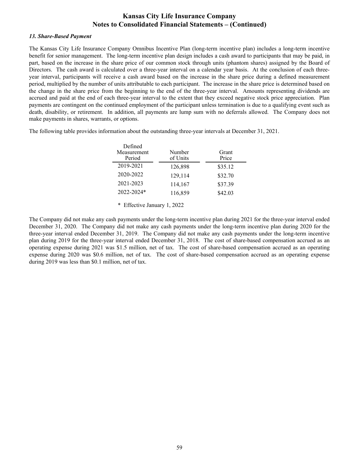#### *13. Share-Based Payment*

The Kansas City Life Insurance Company Omnibus Incentive Plan (long-term incentive plan) includes a long-term incentive benefit for senior management. The long-term incentive plan design includes a cash award to participants that may be paid, in part, based on the increase in the share price of our common stock through units (phantom shares) assigned by the Board of Directors. The cash award is calculated over a three-year interval on a calendar year basis. At the conclusion of each threeyear interval, participants will receive a cash award based on the increase in the share price during a defined measurement period, multiplied by the number of units attributable to each participant. The increase in the share price is determined based on the change in the share price from the beginning to the end of the three-year interval. Amounts representing dividends are accrued and paid at the end of each three-year interval to the extent that they exceed negative stock price appreciation. Plan payments are contingent on the continued employment of the participant unless termination is due to a qualifying event such as death, disability, or retirement. In addition, all payments are lump sum with no deferrals allowed. The Company does not make payments in shares, warrants, or options.

The following table provides information about the outstanding three-year intervals at December 31, 2021.

| Defined<br>Measurement<br>Period | Number<br>of Units | Grant<br>Price |
|----------------------------------|--------------------|----------------|
| 2019-2021                        | 126,898            | \$35.12        |
| 2020-2022                        | 129,114            | \$32.70        |
| 2021-2023                        | 114,167            | \$37.39        |
| 2022-2024*                       | 116,859            | \$42.03        |

\* Effective January 1, 2022

The Company did not make any cash payments under the long-term incentive plan during 2021 for the three-year interval ended December 31, 2020. The Company did not make any cash payments under the long-term incentive plan during 2020 for the three-year interval ended December 31, 2019. The Company did not make any cash payments under the long-term incentive plan during 2019 for the three-year interval ended December 31, 2018. The cost of share-based compensation accrued as an operating expense during 2021 was \$1.5 million, net of tax. The cost of share-based compensation accrued as an operating expense during 2020 was \$0.6 million, net of tax. The cost of share-based compensation accrued as an operating expense during 2019 was less than \$0.1 million, net of tax.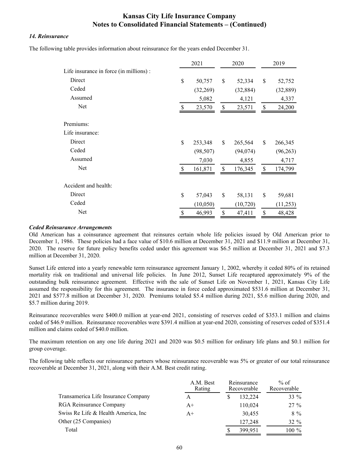#### *14. Reinsurance*

The following table provides information about reinsurance for the years ended December 31.

|                                        | 2021          |           |    | 2020      | 2019          |
|----------------------------------------|---------------|-----------|----|-----------|---------------|
| Life insurance in force (in millions): |               |           |    |           |               |
| Direct                                 | \$            | 50,757    | \$ | 52,334    | \$<br>52,752  |
| Ceded                                  |               | (32,269)  |    | (32, 884) | (32, 889)     |
| Assumed                                |               | 5,082     |    | 4,121     | 4,337         |
| Net                                    | \$            | 23,570    | \$ | 23,571    | \$<br>24,200  |
| Premiums:                              |               |           |    |           |               |
| Life insurance:                        |               |           |    |           |               |
| Direct                                 | \$            | 253,348   | \$ | 265,564   | \$<br>266,345 |
| Ceded                                  |               | (98, 507) |    | (94, 074) | (96,263)      |
| Assumed                                |               | 7,030     |    | 4,855     | 4,717         |
| Net                                    | $\mathsf{\$}$ | 161,871   | \$ | 176,345   | \$<br>174,799 |
| Accident and health:                   |               |           |    |           |               |
| Direct                                 | \$            | 57,043    | \$ | 58,131    | \$<br>59,681  |
| Ceded                                  |               | (10,050)  |    | (10, 720) | (11,253)      |
| Net                                    | \$            | 46,993    | \$ | 47,411    | \$<br>48,428  |

#### *Ceded Reinsurance Arrangements*

Old American has a coinsurance agreement that reinsures certain whole life policies issued by Old American prior to December 1, 1986. These policies had a face value of \$10.6 million at December 31, 2021 and \$11.9 million at December 31, 2020. The reserve for future policy benefits ceded under this agreement was \$6.5 million at December 31, 2021 and \$7.3 million at December 31, 2020.

Sunset Life entered into a yearly renewable term reinsurance agreement January 1, 2002, whereby it ceded 80% of its retained mortality risk on traditional and universal life policies. In June 2012, Sunset Life recaptured approximately 9% of the outstanding bulk reinsurance agreement. Effective with the sale of Sunset Life on November 1, 2021, Kansas City Life assumed the responsibility for this agreement. The insurance in force ceded approximated \$531.6 million at December 31, 2021 and \$577.8 million at December 31, 2020. Premiums totaled \$5.4 million during 2021, \$5.6 million during 2020, and \$5.7 million during 2019.

Reinsurance recoverables were \$400.0 million at year-end 2021, consisting of reserves ceded of \$353.1 million and claims ceded of \$46.9 million. Reinsurance recoverables were \$391.4 million at year-end 2020, consisting of reserves ceded of \$351.4 million and claims ceded of \$40.0 million.

The maximum retention on any one life during 2021 and 2020 was \$0.5 million for ordinary life plans and \$0.1 million for group coverage.

The following table reflects our reinsurance partners whose reinsurance recoverable was 5% or greater of our total reinsurance recoverable at December 31, 2021, along with their A.M. Best credit rating.

|                                      | A.M. Best<br>Rating | Reinsurance<br>Recoverable | % of<br>Recoverable |
|--------------------------------------|---------------------|----------------------------|---------------------|
| Transamerica Life Insurance Company  | A                   | 132,224                    | $33\%$              |
| RGA Reinsurance Company              | $A+$                | 110,024                    | $27\%$              |
| Swiss Re Life & Health America, Inc. | $A+$                | 30,455                     | $8\%$               |
| Other (25 Companies)                 |                     | 127,248                    | $32 \%$             |
| Total                                |                     | 399,951                    | $100 \%$            |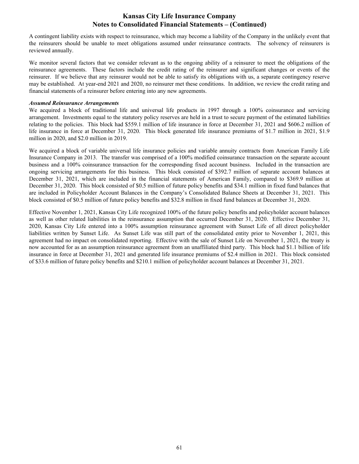A contingent liability exists with respect to reinsurance, which may become a liability of the Company in the unlikely event that the reinsurers should be unable to meet obligations assumed under reinsurance contracts. The solvency of reinsurers is reviewed annually.

We monitor several factors that we consider relevant as to the ongoing ability of a reinsurer to meet the obligations of the reinsurance agreements. These factors include the credit rating of the reinsurer and significant changes or events of the reinsurer. If we believe that any reinsurer would not be able to satisfy its obligations with us, a separate contingency reserve may be established. At year-end 2021 and 2020, no reinsurer met these conditions. In addition, we review the credit rating and financial statements of a reinsurer before entering into any new agreements.

#### *Assumed Reinsurance Arrangements*

We acquired a block of traditional life and universal life products in 1997 through a 100% coinsurance and servicing arrangement. Investments equal to the statutory policy reserves are held in a trust to secure payment of the estimated liabilities relating to the policies. This block had \$559.1 million of life insurance in force at December 31, 2021 and \$606.2 million of life insurance in force at December 31, 2020. This block generated life insurance premiums of \$1.7 million in 2021, \$1.9 million in 2020, and \$2.0 million in 2019.

We acquired a block of variable universal life insurance policies and variable annuity contracts from American Family Life Insurance Company in 2013. The transfer was comprised of a 100% modified coinsurance transaction on the separate account business and a 100% coinsurance transaction for the corresponding fixed account business. Included in the transaction are ongoing servicing arrangements for this business. This block consisted of \$392.7 million of separate account balances at December 31, 2021, which are included in the financial statements of American Family, compared to \$369.9 million at December 31, 2020. This block consisted of \$0.5 million of future policy benefits and \$34.1 million in fixed fund balances that are included in Policyholder Account Balances in the Company's Consolidated Balance Sheets at December 31, 2021. This block consisted of \$0.5 million of future policy benefits and \$32.8 million in fixed fund balances at December 31, 2020.

Effective November 1, 2021, Kansas City Life recognized 100% of the future policy benefits and policyholder account balances as well as other related liabilities in the reinsurance assumption that occurred December 31, 2020. Effective December 31, 2020, Kansas City Life entered into a 100% assumption reinsurance agreement with Sunset Life of all direct policyholder liabilities written by Sunset Life. As Sunset Life was still part of the consolidated entity prior to November 1, 2021, this agreement had no impact on consolidated reporting. Effective with the sale of Sunset Life on November 1, 2021, the treaty is now accounted for as an assumption reinsurance agreement from an unaffiliated third party. This block had \$1.1 billion of life insurance in force at December 31, 2021 and generated life insurance premiums of \$2.4 million in 2021. This block consisted of \$33.6 million of future policy benefits and \$210.1 million of policyholder account balances at December 31, 2021.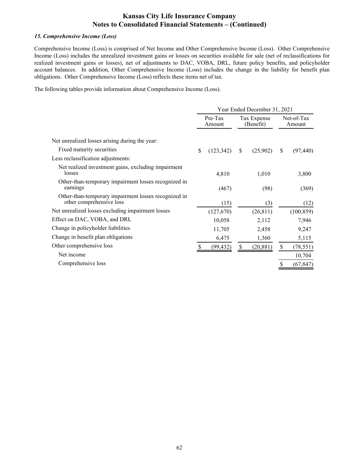## *15. Comprehensive Income (Loss)*

Comprehensive Income (Loss) is comprised of Net Income and Other Comprehensive Income (Loss). Other Comprehensive Income (Loss) includes the unrealized investment gains or losses on securities available for sale (net of reclassifications for realized investment gains or losses), net of adjustments to DAC, VOBA, DRL, future policy benefits, and policyholder account balances. In addition, Other Comprehensive Income (Loss) includes the change in the liability for benefit plan obligations. Other Comprehensive Income (Loss) reflects these items net of tax.

The following tables provide information about Comprehensive Income (Loss).

|                                                                                  |                   | Year Ended December 31, 2021 |                      |            |  |
|----------------------------------------------------------------------------------|-------------------|------------------------------|----------------------|------------|--|
|                                                                                  | Pre-Tax<br>Amount | Tax Expense<br>(Benefit)     | Net-of-Tax<br>Amount |            |  |
| Net unrealized losses arising during the year:                                   |                   |                              |                      |            |  |
| Fixed maturity securities                                                        | \$<br>(123, 342)  | \$<br>(25,902)               | <sup>\$</sup>        | (97, 440)  |  |
| Less reclassification adjustments:                                               |                   |                              |                      |            |  |
| Net realized investment gains, excluding impairment<br>losses                    | 4,810             | 1,010                        |                      | 3,800      |  |
| Other-than-temporary impairment losses recognized in<br>earnings                 | (467)             | (98)                         |                      | (369)      |  |
| Other-than-temporary impairment losses recognized in<br>other comprehensive loss | (15)              | (3)                          |                      | (12)       |  |
| Net unrealized losses excluding impairment losses                                | (127,670)         | (26, 811)                    |                      | (100, 859) |  |
| Effect on DAC, VOBA, and DRL                                                     | 10,058            | 2,112                        |                      | 7,946      |  |
| Change in policyholder liabilities                                               | 11,705            | 2,458                        |                      | 9,247      |  |
| Change in benefit plan obligations                                               | 6,475             | 1,360                        |                      | 5,115      |  |
| Other comprehensive loss                                                         | (99,432)          | \$<br>(20, 881)              | \$                   | (78, 551)  |  |
| Net income                                                                       |                   |                              |                      | 10,704     |  |
| Comprehensive loss                                                               |                   |                              | \$                   | (67, 847)  |  |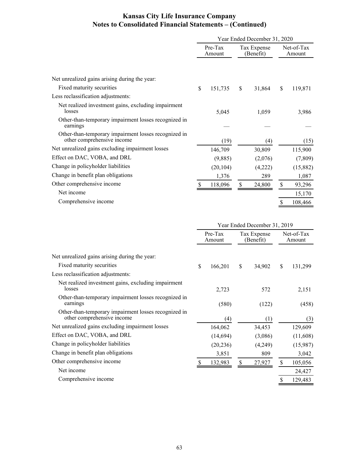|                                                                                    |                   | Year Ended December 31, 2020 |    |                      |  |
|------------------------------------------------------------------------------------|-------------------|------------------------------|----|----------------------|--|
|                                                                                    | Pre-Tax<br>Amount | Tax Expense<br>(Benefit)     |    | Net-of-Tax<br>Amount |  |
|                                                                                    |                   |                              |    |                      |  |
| Net unrealized gains arising during the year:                                      |                   |                              |    |                      |  |
| Fixed maturity securities                                                          | \$<br>151,735     | \$<br>31,864                 | \$ | 119,871              |  |
| Less reclassification adjustments:                                                 |                   |                              |    |                      |  |
| Net realized investment gains, excluding impairment<br>losses                      | 5,045             | 1,059                        |    | 3,986                |  |
| Other-than-temporary impairment losses recognized in<br>earnings                   |                   |                              |    |                      |  |
| Other-than-temporary impairment losses recognized in<br>other comprehensive income | (19)              | (4)                          |    | (15)                 |  |
| Net unrealized gains excluding impairment losses                                   | 146,709           | 30,809                       |    | 115,900              |  |
| Effect on DAC, VOBA, and DRL                                                       | (9,885)           | (2,076)                      |    | (7,809)              |  |
| Change in policyholder liabilities                                                 | (20, 104)         | (4,222)                      |    | (15,882)             |  |
| Change in benefit plan obligations                                                 | 1,376             | 289                          |    | 1,087                |  |
| Other comprehensive income                                                         | 118,096           | \$<br>24,800                 | \$ | 93,296               |  |
| Net income                                                                         |                   |                              |    | 15,170               |  |
| Comprehensive income                                                               |                   |                              | \$ | 108,466              |  |

|                                                                                    |    | Year Ended December 31, 2019 |                          |    |                      |
|------------------------------------------------------------------------------------|----|------------------------------|--------------------------|----|----------------------|
|                                                                                    |    | Pre-Tax<br>Amount            | Tax Expense<br>(Benefit) |    | Net-of-Tax<br>Amount |
| Net unrealized gains arising during the year:                                      |    |                              |                          |    |                      |
| Fixed maturity securities                                                          | \$ | 166,201                      | \$<br>34,902             | \$ | 131,299              |
| Less reclassification adjustments:                                                 |    |                              |                          |    |                      |
| Net realized investment gains, excluding impairment<br>losses                      |    | 2,723                        | 572                      |    | 2,151                |
| Other-than-temporary impairment losses recognized in<br>earnings                   |    | (580)                        | (122)                    |    | (458)                |
| Other-than-temporary impairment losses recognized in<br>other comprehensive income |    | (4)                          | (1)                      |    | (3)                  |
| Net unrealized gains excluding impairment losses                                   |    | 164,062                      | 34,453                   |    | 129,609              |
| Effect on DAC, VOBA, and DRL                                                       |    | (14, 694)                    | (3,086)                  |    | (11,608)             |
| Change in policyholder liabilities                                                 |    | (20, 236)                    | (4,249)                  |    | (15,987)             |
| Change in benefit plan obligations                                                 |    | 3,851                        | 809                      |    | 3,042                |
| Other comprehensive income                                                         |    | 132,983                      | \$<br>27,927             | \$ | 105,056              |
| Net income                                                                         |    |                              |                          |    | 24,427               |
| Comprehensive income                                                               |    |                              |                          | S  | 129,483              |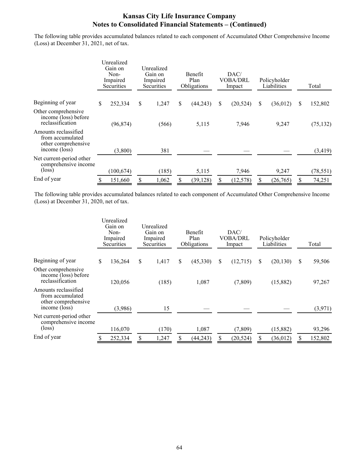The following table provides accumulated balances related to each component of Accumulated Other Comprehensive Income (Loss) at December 31, 2021, net of tax.

|                                                                                  |    | Unrealized<br>Gain on<br>Non-<br>Impaired<br>Securities | Unrealized<br>Gain on<br>Impaired<br>Securities |   | <b>Benefit</b><br>Plan<br>Obligations |   | DAC/<br><b>VOBA/DRL</b><br>Impact |   | Policyholder<br>Liabilities |          | Total     |
|----------------------------------------------------------------------------------|----|---------------------------------------------------------|-------------------------------------------------|---|---------------------------------------|---|-----------------------------------|---|-----------------------------|----------|-----------|
| Beginning of year                                                                | \$ | 252,334                                                 | \$<br>1,247                                     | S | (44, 243)                             | S | (20, 524)                         | S | (36, 012)                   | <b>S</b> | 152,802   |
| Other comprehensive<br>income (loss) before<br>reclassification                  |    | (96, 874)                                               | (566)                                           |   | 5,115                                 |   | 7,946                             |   | 9,247                       |          | (75, 132) |
| Amounts reclassified<br>from accumulated<br>other comprehensive<br>income (loss) |    | (3,800)                                                 | 381                                             |   |                                       |   |                                   |   |                             |          | (3, 419)  |
| Net current-period other<br>comprehensive income                                 |    |                                                         |                                                 |   |                                       |   |                                   |   |                             |          |           |
| $(\text{loss})$                                                                  |    | (100, 674)                                              | (185)                                           |   | 5,115                                 |   | 7,946                             |   | 9,247                       |          | (78, 551) |
| End of year                                                                      |    | 151,660                                                 | 1,062                                           |   | (39, 128)                             |   | (12, 578)                         |   | (26,765)                    |          | 74,251    |

The following table provides accumulated balances related to each component of Accumulated Other Comprehensive Income (Loss) at December 31, 2020, net of tax.

|                                                                                  |    | Unrealized<br>Gain on<br>Non-<br>Impaired<br>Securities | Unrealized<br>Gain on<br>Impaired<br>Securities | <b>Benefit</b><br>Plan<br>Obligations | DAC/<br>VOBA/DRL<br>Impact | Policyholder<br>Liabilities |   | Total   |
|----------------------------------------------------------------------------------|----|---------------------------------------------------------|-------------------------------------------------|---------------------------------------|----------------------------|-----------------------------|---|---------|
| Beginning of year                                                                | \$ | 136,264                                                 | \$<br>1,417                                     | \$<br>(45,330)                        | \$<br>(12,715)             | \$<br>(20, 130)             | S | 59,506  |
| Other comprehensive<br>income (loss) before<br>reclassification                  |    | 120,056                                                 | (185)                                           | 1,087                                 | (7,809)                    | (15,882)                    |   | 97,267  |
| Amounts reclassified<br>from accumulated<br>other comprehensive<br>income (loss) |    | (3,986)                                                 | 15                                              |                                       |                            |                             |   | (3,971) |
| Net current-period other<br>comprehensive income                                 |    |                                                         |                                                 |                                       |                            |                             |   |         |
| $(\text{loss})$                                                                  |    | 116,070                                                 | (170)                                           | 1,087                                 | (7,809)                    | (15, 882)                   |   | 93,296  |
| End of year                                                                      |    | 252,334                                                 | 1,247                                           | (44, 243)                             | (20, 524)                  | (36, 012)                   |   | 152,802 |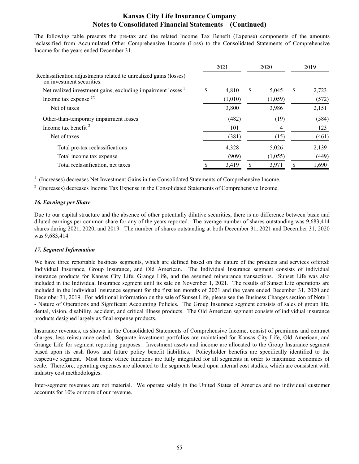The following table presents the pre-tax and the related Income Tax Benefit (Expense) components of the amounts reclassified from Accumulated Other Comprehensive Income (Loss) to the Consolidated Statements of Comprehensive Income for the years ended December 31.

|                                                                                                | 2021        |   | 2020    |     | 2019  |
|------------------------------------------------------------------------------------------------|-------------|---|---------|-----|-------|
| Reclassification adjustments related to unrealized gains (losses)<br>on investment securities: |             |   |         |     |       |
| Net realized investment gains, excluding impairment losses <sup>1</sup>                        | \$<br>4,810 | S | 5,045   | \$. | 2,723 |
| Income tax expense $(2)$                                                                       | (1,010)     |   | (1,059) |     | (572) |
| Net of taxes                                                                                   | 3,800       |   | 3,986   |     | 2,151 |
| Other-than-temporary impairment losses $1$                                                     | (482)       |   | (19)    |     | (584) |
| Income tax benefit $2$                                                                         | 101         |   | 4       |     | 123   |
| Net of taxes                                                                                   | (381)       |   | (15)    |     | (461) |
| Total pre-tax reclassifications                                                                | 4,328       |   | 5,026   |     | 2,139 |
| Total income tax expense                                                                       | (909)       |   | (1,055) |     | (449) |
| Total reclassification, net taxes                                                              | 3,419       |   | 3,971   |     | 1,690 |

<sup>1</sup> (Increases) decreases Net Investment Gains in the Consolidated Statements of Comprehensive Income.

 $2\,$  (Increases) decreases Income Tax Expense in the Consolidated Statements of Comprehensive Income.

## *16. Earnings per Share*

Due to our capital structure and the absence of other potentially dilutive securities, there is no difference between basic and diluted earnings per common share for any of the years reported. The average number of shares outstanding was 9,683,414 shares during 2021, 2020, and 2019. The number of shares outstanding at both December 31, 2021 and December 31, 2020 was 9,683,414.

## *17. Segment Information*

We have three reportable business segments, which are defined based on the nature of the products and services offered: Individual Insurance, Group Insurance, and Old American. The Individual Insurance segment consists of individual insurance products for Kansas City Life, Grange Life, and the assumed reinsurance transactions. Sunset Life was also included in the Individual Insurance segment until its sale on November 1, 2021. The results of Sunset Life operations are included in the Individual Insurance segment for the first ten months of 2021 and the years ended December 31, 2020 and December 31, 2019. For additional information on the sale of Sunset Life, please see the Business Changes section of Note 1 - Nature of Operations and Significant Accounting Policies. The Group Insurance segment consists of sales of group life, dental, vision, disability, accident, and critical illness products. The Old American segment consists of individual insurance products designed largely as final expense products.

Insurance revenues, as shown in the Consolidated Statements of Comprehensive Income, consist of premiums and contract charges, less reinsurance ceded. Separate investment portfolios are maintained for Kansas City Life, Old American, and Grange Life for segment reporting purposes. Investment assets and income are allocated to the Group Insurance segment based upon its cash flows and future policy benefit liabilities. Policyholder benefits are specifically identified to the respective segment. Most home office functions are fully integrated for all segments in order to maximize economies of scale. Therefore, operating expenses are allocated to the segments based upon internal cost studies, which are consistent with industry cost methodologies.

Inter-segment revenues are not material. We operate solely in the United States of America and no individual customer accounts for 10% or more of our revenue.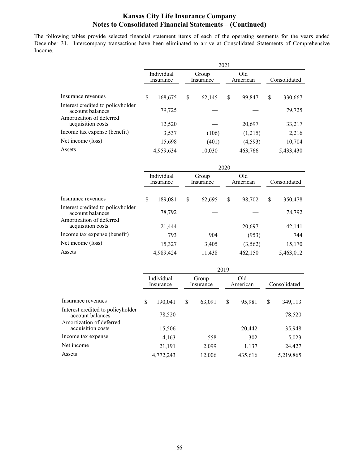The following tables provide selected financial statement items of each of the operating segments for the years ended December 31. Intercompany transactions have been eliminated to arrive at Consolidated Statements of Comprehensive Income.

|                                                       | Individual<br>Insurance | Group<br>Insurance | Old<br>American | Consolidated  |
|-------------------------------------------------------|-------------------------|--------------------|-----------------|---------------|
|                                                       |                         |                    |                 |               |
| Insurance revenues                                    | \$<br>168,675           | \$<br>62.145       | \$<br>99,847    | \$<br>330,667 |
| Interest credited to policyholder<br>account balances | 79,725                  |                    |                 | 79,725        |
| Amortization of deferred<br>acquisition costs         | 12,520                  |                    | 20,697          | 33,217        |
| Income tax expense (benefit)                          | 3,537                   | (106)              | (1,215)         | 2,216         |
| Net income (loss)                                     | 15,698                  | (401)              | (4, 593)        | 10,704        |
| Assets                                                | 4,959,634               | 10,030             | 463,766         | 5,433,430     |

|                                                       | 2020                    |           |                    |        |                 |          |              |           |
|-------------------------------------------------------|-------------------------|-----------|--------------------|--------|-----------------|----------|--------------|-----------|
|                                                       | Individual<br>Insurance |           | Group<br>Insurance |        | Old<br>American |          | Consolidated |           |
| Insurance revenues                                    |                         |           |                    |        |                 |          |              |           |
|                                                       | \$                      | 189,081   | S                  | 62,695 | S               | 98,702   | \$           | 350,478   |
| Interest credited to policyholder<br>account balances |                         | 78,792    |                    |        |                 |          |              | 78,792    |
| Amortization of deferred                              |                         |           |                    |        |                 |          |              |           |
| acquisition costs                                     |                         | 21,444    |                    |        |                 | 20,697   |              | 42,141    |
| Income tax expense (benefit)                          |                         | 793       |                    | 904    |                 | (953)    |              | 744       |
| Net income (loss)                                     |                         | 15,327    |                    | 3,405  |                 | (3, 562) |              | 15,170    |
| Assets                                                |                         | 4,989,424 |                    | 11,438 |                 | 462,150  |              | 5,463,012 |

|                                                       | 2019                    |           |                    |        |                 |         |              |           |  |
|-------------------------------------------------------|-------------------------|-----------|--------------------|--------|-----------------|---------|--------------|-----------|--|
|                                                       | Individual<br>Insurance |           | Group<br>Insurance |        | Old<br>American |         | Consolidated |           |  |
| Insurance revenues                                    | \$                      | 190,041   | \$                 | 63,091 | \$              | 95,981  | \$           | 349,113   |  |
| Interest credited to policyholder<br>account balances |                         | 78,520    |                    |        |                 |         |              | 78,520    |  |
| Amortization of deferred<br>acquisition costs         |                         | 15,506    |                    |        |                 | 20,442  |              | 35,948    |  |
| Income tax expense                                    |                         | 4,163     |                    | 558    |                 | 302     |              | 5,023     |  |
| Net income                                            |                         | 21,191    |                    | 2,099  |                 | 1,137   |              | 24,427    |  |
| Assets                                                |                         | 4,772,243 |                    | 12,006 |                 | 435,616 |              | 5,219,865 |  |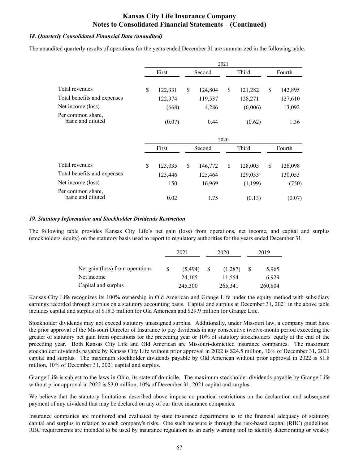### *18. Quarterly Consolidated Financial Data (unaudited)*

The unaudited quarterly results of operations for the years ended December 31 are summarized in the following table.

|                                        |    | 2021    |    |         |    |         |    |         |  |  |
|----------------------------------------|----|---------|----|---------|----|---------|----|---------|--|--|
|                                        |    | First   |    | Second  |    | Third   |    | Fourth  |  |  |
| Total revenues                         |    | 122,331 | \$ | 124,804 | \$ | 121,282 | \$ | 142,895 |  |  |
| Total benefits and expenses            |    | 122,974 |    | 119,537 |    | 128,271 |    | 127,610 |  |  |
| Net income (loss)                      |    | (668)   |    | 4,286   |    | (6,006) |    | 13,092  |  |  |
| Per common share,<br>basic and diluted |    | (0.07)  |    | 0.44    |    | (0.62)  |    | 1.36    |  |  |
|                                        |    | 2020    |    |         |    |         |    |         |  |  |
|                                        |    | First   |    | Second  |    | Third   |    | Fourth  |  |  |
| Total revenues                         | \$ | 123,035 | \$ | 146,772 | \$ | 128,005 | \$ | 126,098 |  |  |
| Total benefits and expenses            |    | 123,446 |    | 125,464 |    | 129,033 |    | 130,053 |  |  |
| Net income (loss)                      |    | 150     |    | 16,969  |    | (1,199) |    | (750)   |  |  |
| Per common share,<br>basic and diluted |    | 0.02    |    | 1.75    |    | (0.13)  |    | (0.07)  |  |  |

### *19. Statutory Information and Stockholder Dividends Restriction*

The following table provides Kansas City Life's net gain (loss) from operations, net income, and capital and surplus (stockholders' equity) on the statutory basis used to report to regulatory authorities for the years ended December 31.

|                                 | 2021    |    | 2020    | 2019 |         |  |
|---------------------------------|---------|----|---------|------|---------|--|
|                                 |         |    |         |      |         |  |
| Net gain (loss) from operations | (5.494) | -S | (1,287) |      | 5,965   |  |
| Net income                      | 24,165  |    | 11.554  |      | 6.929   |  |
| Capital and surplus             | 245,300 |    | 265,341 |      | 260,804 |  |

Kansas City Life recognizes its 100% ownership in Old American and Grange Life under the equity method with subsidiary earnings recorded through surplus on a statutory accounting basis. Capital and surplus at December 31, 2021 in the above table includes capital and surplus of \$18.3 million for Old American and \$29.9 million for Grange Life.

Stockholder dividends may not exceed statutory unassigned surplus. Additionally, under Missouri law, a company must have the prior approval of the Missouri Director of Insurance to pay dividends in any consecutive twelve-month period exceeding the greater of statutory net gain from operations for the preceding year or 10% of statutory stockholders' equity at the end of the preceding year. Both Kansas City Life and Old American are Missouri-domiciled insurance companies. The maximum stockholder dividends payable by Kansas City Life without prior approval in 2022 is \$24.5 million, 10% of December 31, 2021 capital and surplus. The maximum stockholder dividends payable by Old American without prior approval in 2022 is \$1.8 million, 10% of December 31, 2021 capital and surplus.

Grange Life is subject to the laws in Ohio, its state of domicile. The maximum stockholder dividends payable by Grange Life without prior approval in 2022 is \$3.0 million, 10% of December 31, 2021 capital and surplus.

We believe that the statutory limitations described above impose no practical restrictions on the declaration and subsequent payment of any dividend that may be declared on any of our three insurance companies.

Insurance companies are monitored and evaluated by state insurance departments as to the financial adequacy of statutory capital and surplus in relation to each company's risks. One such measure is through the risk-based capital (RBC) guidelines. RBC requirements are intended to be used by insurance regulators as an early warning tool to identify deteriorating or weakly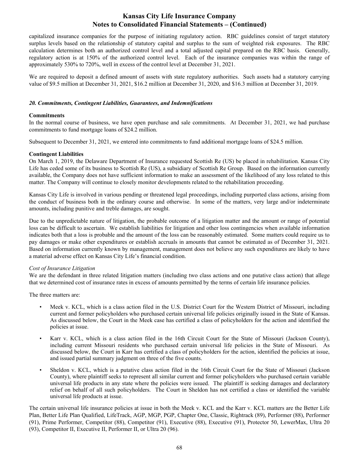capitalized insurance companies for the purpose of initiating regulatory action. RBC guidelines consist of target statutory surplus levels based on the relationship of statutory capital and surplus to the sum of weighted risk exposures. The RBC calculation determines both an authorized control level and a total adjusted capital prepared on the RBC basis. Generally, regulatory action is at 150% of the authorized control level. Each of the insurance companies was within the range of approximately 530% to 720%, well in excess of the control level at December 31, 2021.

We are required to deposit a defined amount of assets with state regulatory authorities. Such assets had a statutory carrying value of \$9.5 million at December 31, 2021, \$16.2 million at December 31, 2020, and \$16.3 million at December 31, 2019.

### *20. Commitments, Contingent Liabilities, Guarantees, and Indemnifications*

#### **Commitments**

In the normal course of business, we have open purchase and sale commitments. At December 31, 2021, we had purchase commitments to fund mortgage loans of \$24.2 million.

Subsequent to December 31, 2021, we entered into commitments to fund additional mortgage loans of \$24.5 million.

#### **Contingent Liabilities**

On March 1, 2019, the Delaware Department of Insurance requested Scottish Re (US) be placed in rehabilitation. Kansas City Life has ceded some of its business to Scottish Re (US), a subsidiary of Scottish Re Group. Based on the information currently available, the Company does not have sufficient information to make an assessment of the likelihood of any loss related to this matter. The Company will continue to closely monitor developments related to the rehabilitation proceeding.

Kansas City Life is involved in various pending or threatened legal proceedings, including purported class actions, arising from the conduct of business both in the ordinary course and otherwise. In some of the matters, very large and/or indeterminate amounts, including punitive and treble damages, are sought.

Due to the unpredictable nature of litigation, the probable outcome of a litigation matter and the amount or range of potential loss can be difficult to ascertain. We establish liabilities for litigation and other loss contingencies when available information indicates both that a loss is probable and the amount of the loss can be reasonably estimated. Some matters could require us to pay damages or make other expenditures or establish accruals in amounts that cannot be estimated as of December 31, 2021. Based on information currently known by management, management does not believe any such expenditures are likely to have a material adverse effect on Kansas City Life's financial condition.

#### *Cost of Insurance Litigation*

We are the defendant in three related litigation matters (including two class actions and one putative class action) that allege that we determined cost of insurance rates in excess of amounts permitted by the terms of certain life insurance policies.

The three matters are:

- Meek v. KCL, which is a class action filed in the U.S. District Court for the Western District of Missouri, including current and former policyholders who purchased certain universal life policies originally issued in the State of Kansas. As discussed below, the Court in the Meek case has certified a class of policyholders for the action and identified the policies at issue.
- Karr v. KCL, which is a class action filed in the 16th Circuit Court for the State of Missouri (Jackson County), including current Missouri residents who purchased certain universal life policies in the State of Missouri. As discussed below, the Court in Karr has certified a class of policyholders for the action, identified the policies at issue, and issued partial summary judgment on three of the five counts.
- Sheldon v. KCL, which is a putative class action filed in the 16th Circuit Court for the State of Missouri (Jackson County), where plaintiff seeks to represent all similar current and former policyholders who purchased certain variable universal life products in any state where the policies were issued. The plaintiff is seeking damages and declaratory relief on behalf of all such policyholders. The Court in Sheldon has not certified a class or identified the variable universal life products at issue.

The certain universal life insurance policies at issue in both the Meek v. KCL and the Karr v. KCL matters are the Better Life Plan, Better Life Plan Qualified, LifeTrack, AGP, MGP, PGP, Chapter One, Classic, Rightrack (89), Performer (88), Performer (91), Prime Performer, Competitor (88), Competitor (91), Executive (88), Executive (91), Protector 50, LewerMax, Ultra 20 (93), Competitor II, Executive II, Performer II, or Ultra 20 (96).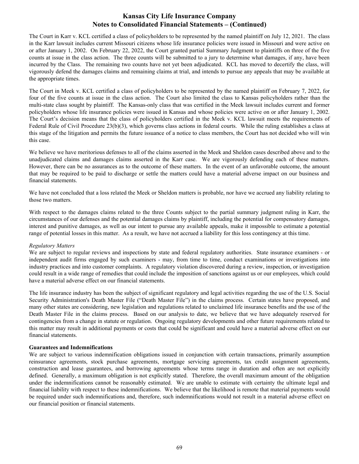The Court in Karr v. KCL certified a class of policyholders to be represented by the named plaintiff on July 12, 2021. The class in the Karr lawsuit includes current Missouri citizens whose life insurance policies were issued in Missouri and were active on or after January 1, 2002. On February 22, 2022, the Court granted partial Summary Judgment to plaintiffs on three of the five counts at issue in the class action. The three counts will be submitted to a jury to determine what damages, if any, have been incurred by the Class. The remaining two counts have not yet been adjudicated. KCL has moved to decertify the class, will vigorously defend the damages claims and remaining claims at trial, and intends to pursue any appeals that may be available at the appropriate times.

The Court in Meek v. KCL certified a class of policyholders to be represented by the named plaintiff on February 7, 2022, for four of the five counts at issue in the class action. The Court also limited the class to Kansas policyholders rather than the multi-state class sought by plaintiff. The Kansas-only class that was certified in the Meek lawsuit includes current and former policyholders whose life insurance policies were issued in Kansas and whose policies were active on or after January 1, 2002. The Court's decision means that the class of policyholders certified in the Meek v. KCL lawsuit meets the requirements of Federal Rule of Civil Procedure 23(b)(3), which governs class actions in federal courts. While the ruling establishes a class at this stage of the litigation and permits the future issuance of a notice to class members, the Court has not decided who will win this case.

We believe we have meritorious defenses to all of the claims asserted in the Meek and Sheldon cases described above and to the unadjudicated claims and damages claims asserted in the Karr case. We are vigorously defending each of these matters. However, there can be no assurances as to the outcome of these matters. In the event of an unfavorable outcome, the amount that may be required to be paid to discharge or settle the matters could have a material adverse impact on our business and financial statements.

We have not concluded that a loss related the Meek or Sheldon matters is probable, nor have we accrued any liability relating to those two matters.

With respect to the damages claims related to the three Counts subject to the partial summary judgment ruling in Karr, the circumstances of our defenses and the potential damages claims by plaintiff, including the potential for compensatory damages, interest and punitive damages, as well as our intent to pursue any available appeals, make it impossible to estimate a potential range of potential losses in this matter. As a result, we have not accrued a liability for this loss contingency at this time.

### *Regulatory Matters*

We are subject to regular reviews and inspections by state and federal regulatory authorities. State insurance examiners - or independent audit firms engaged by such examiners - may, from time to time, conduct examinations or investigations into industry practices and into customer complaints. A regulatory violation discovered during a review, inspection, or investigation could result in a wide range of remedies that could include the imposition of sanctions against us or our employees, which could have a material adverse effect on our financial statements.

The life insurance industry has been the subject of significant regulatory and legal activities regarding the use of the U.S. Social Security Administration's Death Master File ("Death Master File") in the claims process. Certain states have proposed, and many other states are considering, new legislation and regulations related to unclaimed life insurance benefits and the use of the Death Master File in the claims process. Based on our analysis to date, we believe that we have adequately reserved for contingencies from a change in statute or regulation. Ongoing regulatory developments and other future requirements related to this matter may result in additional payments or costs that could be significant and could have a material adverse effect on our financial statements.

### **Guarantees and Indemnifications**

We are subject to various indemnification obligations issued in conjunction with certain transactions, primarily assumption reinsurance agreements, stock purchase agreements, mortgage servicing agreements, tax credit assignment agreements, construction and lease guarantees, and borrowing agreements whose terms range in duration and often are not explicitly defined. Generally, a maximum obligation is not explicitly stated. Therefore, the overall maximum amount of the obligation under the indemnifications cannot be reasonably estimated. We are unable to estimate with certainty the ultimate legal and financial liability with respect to these indemnifications. We believe that the likelihood is remote that material payments would be required under such indemnifications and, therefore, such indemnifications would not result in a material adverse effect on our financial position or financial statements.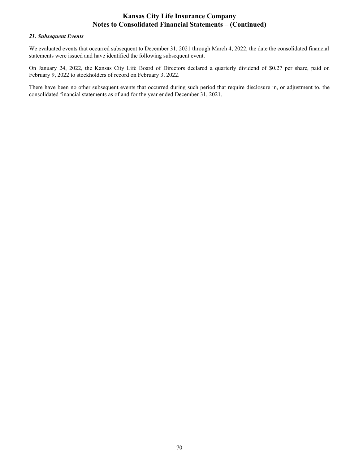### *21. Subsequent Events*

We evaluated events that occurred subsequent to December 31, 2021 through March 4, 2022, the date the consolidated financial statements were issued and have identified the following subsequent event.

On January 24, 2022, the Kansas City Life Board of Directors declared a quarterly dividend of \$0.27 per share, paid on February 9, 2022 to stockholders of record on February 3, 2022.

There have been no other subsequent events that occurred during such period that require disclosure in, or adjustment to, the consolidated financial statements as of and for the year ended December 31, 2021.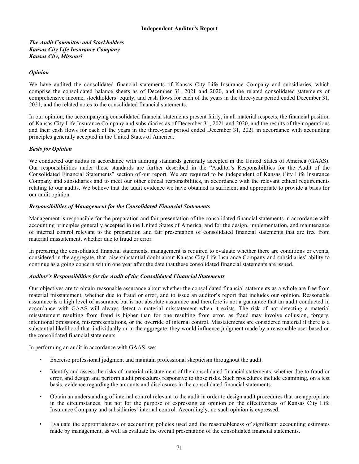*The Audit Committee and Stockholders Kansas City Life Insurance Company Kansas City, Missouri*

### *Opinion*

We have audited the consolidated financial statements of Kansas City Life Insurance Company and subsidiaries, which comprise the consolidated balance sheets as of December 31, 2021 and 2020, and the related consolidated statements of comprehensive income, stockholders' equity, and cash flows for each of the years in the three-year period ended December 31, 2021, and the related notes to the consolidated financial statements.

In our opinion, the accompanying consolidated financial statements present fairly, in all material respects, the financial position of Kansas City Life Insurance Company and subsidiaries as of December 31, 2021 and 2020, and the results of their operations and their cash flows for each of the years in the three-year period ended December 31, 2021 in accordance with accounting principles generally accepted in the United States of America.

### *Basis for Opinion*

We conducted our audits in accordance with auditing standards generally accepted in the United States of America (GAAS). Our responsibilities under those standards are further described in the "Auditor's Responsibilities for the Audit of the Consolidated Financial Statements" section of our report. We are required to be independent of Kansas City Life Insurance Company and subsidiaries and to meet our other ethical responsibilities, in accordance with the relevant ethical requirements relating to our audits. We believe that the audit evidence we have obtained is sufficient and appropriate to provide a basis for our audit opinion.

### *Responsibilities of Management for the Consolidated Financial Statements*

Management is responsible for the preparation and fair presentation of the consolidated financial statements in accordance with accounting principles generally accepted in the United States of America, and for the design, implementation, and maintenance of internal control relevant to the preparation and fair presentation of consolidated financial statements that are free from material misstatement, whether due to fraud or error.

In preparing the consolidated financial statements, management is required to evaluate whether there are conditions or events, considered in the aggregate, that raise substantial doubt about Kansas City Life Insurance Company and subsidiaries' ability to continue as a going concern within one year after the date that these consolidated financial statements are issued.

### *Auditor's Responsibilities for the Audit of the Consolidated Financial Statements*

Our objectives are to obtain reasonable assurance about whether the consolidated financial statements as a whole are free from material misstatement, whether due to fraud or error, and to issue an auditor's report that includes our opinion. Reasonable assurance is a high level of assurance but is not absolute assurance and therefore is not a guarantee that an audit conducted in accordance with GAAS will always detect a material misstatement when it exists. The risk of not detecting a material misstatement resulting from fraud is higher than for one resulting from error, as fraud may involve collusion, forgery, intentional omissions, misrepresentations, or the override of internal control. Misstatements are considered material if there is a substantial likelihood that, individually or in the aggregate, they would influence judgment made by a reasonable user based on the consolidated financial statements.

In performing an audit in accordance with GAAS, we:

- Exercise professional judgment and maintain professional skepticism throughout the audit.
- Identify and assess the risks of material misstatement of the consolidated financial statements, whether due to fraud or error, and design and perform audit procedures responsive to those risks. Such procedures include examining, on a test basis, evidence regarding the amounts and disclosures in the consolidated financial statements.
- Obtain an understanding of internal control relevant to the audit in order to design audit procedures that are appropriate in the circumstances, but not for the purpose of expressing an opinion on the effectiveness of Kansas City Life Insurance Company and subsidiaries' internal control. Accordingly, no such opinion is expressed.
- Evaluate the appropriateness of accounting policies used and the reasonableness of significant accounting estimates made by management, as well as evaluate the overall presentation of the consolidated financial statements.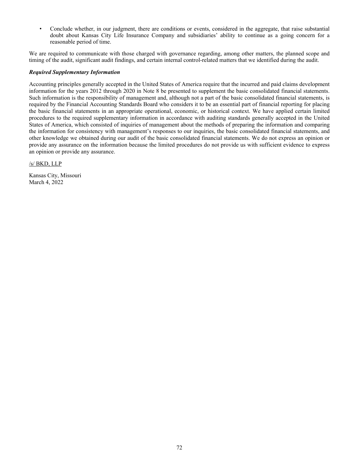• Conclude whether, in our judgment, there are conditions or events, considered in the aggregate, that raise substantial doubt about Kansas City Life Insurance Company and subsidiaries' ability to continue as a going concern for a reasonable period of time.

We are required to communicate with those charged with governance regarding, among other matters, the planned scope and timing of the audit, significant audit findings, and certain internal control-related matters that we identified during the audit.

#### *Required Supplementary Information*

Accounting principles generally accepted in the United States of America require that the incurred and paid claims development information for the years 2012 through 2020 in Note 8 be presented to supplement the basic consolidated financial statements. Such information is the responsibility of management and, although not a part of the basic consolidated financial statements, is required by the Financial Accounting Standards Board who considers it to be an essential part of financial reporting for placing the basic financial statements in an appropriate operational, economic, or historical context. We have applied certain limited procedures to the required supplementary information in accordance with auditing standards generally accepted in the United States of America, which consisted of inquiries of management about the methods of preparing the information and comparing the information for consistency with management's responses to our inquiries, the basic consolidated financial statements, and other knowledge we obtained during our audit of the basic consolidated financial statements. We do not express an opinion or provide any assurance on the information because the limited procedures do not provide us with sufficient evidence to express an opinion or provide any assurance.

/s/ BKD, LLP

Kansas City, Missouri March 4, 2022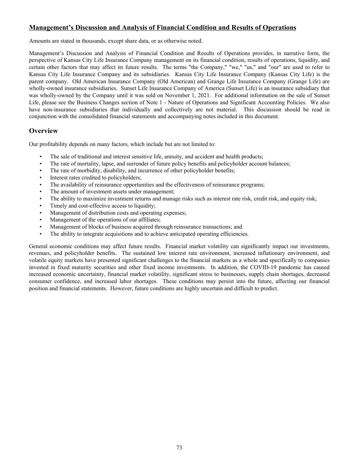# **Management's Discussion and Analysis of Financial Condition and Results of Operations**

Amounts are stated in thousands, except share data, or as otherwise noted.

Management's Discussion and Analysis of Financial Condition and Results of Operations provides, in narrative form, the perspective of Kansas City Life Insurance Company management on its financial condition, results of operations, liquidity, and certain other factors that may affect its future results. The terms "the Company," "we," "us," and "our" are used to refer to Kansas City Life Insurance Company and its subsidiaries. Kansas City Life Insurance Company (Kansas City Life) is the parent company. Old American Insurance Company (Old American) and Grange Life Insurance Company (Grange Life) are wholly-owned insurance subsidiaries. Sunset Life Insurance Company of America (Sunset Life) is an insurance subsidiary that was wholly-owned by the Company until it was sold on November 1, 2021. For additional information on the sale of Sunset Life, please see the Business Changes section of Note 1 - Nature of Operations and Significant Accounting Policies. We also have non-insurance subsidiaries that individually and collectively are not material. This discussion should be read in conjunction with the consolidated financial statements and accompanying notes included in this document.

# **Overview**

Our profitability depends on many factors, which include but are not limited to:

- The sale of traditional and interest sensitive life, annuity, and accident and health products;
- The rate of mortality, lapse, and surrender of future policy benefits and policyholder account balances;
- The rate of morbidity, disability, and incurrence of other policyholder benefits;
- Interest rates credited to policyholders;
- The availability of reinsurance opportunities and the effectiveness of reinsurance programs;
- The amount of investment assets under management;
- The ability to maximize investment returns and manage risks such as interest rate risk, credit risk, and equity risk;
- Timely and cost-effective access to liquidity;
- Management of distribution costs and operating expenses;
- Management of the operations of our affiliates;
- Management of blocks of business acquired through reinsurance transactions; and
- The ability to integrate acquisitions and to achieve anticipated operating efficiencies.

General economic conditions may affect future results. Financial market volatility can significantly impact our investments, revenues, and policyholder benefits. The sustained low interest rate environment, increased inflationary environment, and volatile equity markets have presented significant challenges to the financial markets as a whole and specifically to companies invested in fixed maturity securities and other fixed income investments. In addition, the COVID-19 pandemic has caused increased economic uncertainty, financial market volatility, significant stress to businesses, supply chain shortages, decreased consumer confidence, and increased labor shortages. These conditions may persist into the future, affecting our financial position and financial statements. However, future conditions are highly uncertain and difficult to predict.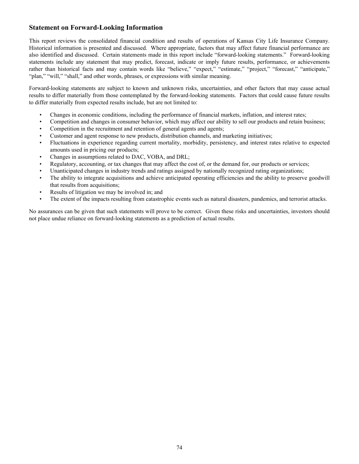# **Statement on Forward-Looking Information**

This report reviews the consolidated financial condition and results of operations of Kansas City Life Insurance Company. Historical information is presented and discussed. Where appropriate, factors that may affect future financial performance are also identified and discussed. Certain statements made in this report include "forward-looking statements." Forward-looking statements include any statement that may predict, forecast, indicate or imply future results, performance, or achievements rather than historical facts and may contain words like "believe," "expect," "estimate," "project," "forecast," "anticipate," "plan," "will," "shall," and other words, phrases, or expressions with similar meaning.

Forward-looking statements are subject to known and unknown risks, uncertainties, and other factors that may cause actual results to differ materially from those contemplated by the forward-looking statements. Factors that could cause future results to differ materially from expected results include, but are not limited to:

- Changes in economic conditions, including the performance of financial markets, inflation, and interest rates;
- Competition and changes in consumer behavior, which may affect our ability to sell our products and retain business;
- Competition in the recruitment and retention of general agents and agents;
- Customer and agent response to new products, distribution channels, and marketing initiatives;
- Fluctuations in experience regarding current mortality, morbidity, persistency, and interest rates relative to expected amounts used in pricing our products;
- Changes in assumptions related to DAC, VOBA, and DRL;
- Regulatory, accounting, or tax changes that may affect the cost of, or the demand for, our products or services;
- Unanticipated changes in industry trends and ratings assigned by nationally recognized rating organizations;
- The ability to integrate acquisitions and achieve anticipated operating efficiencies and the ability to preserve goodwill that results from acquisitions;
- Results of litigation we may be involved in; and
- The extent of the impacts resulting from catastrophic events such as natural disasters, pandemics, and terrorist attacks.

No assurances can be given that such statements will prove to be correct. Given these risks and uncertainties, investors should not place undue reliance on forward-looking statements as a prediction of actual results.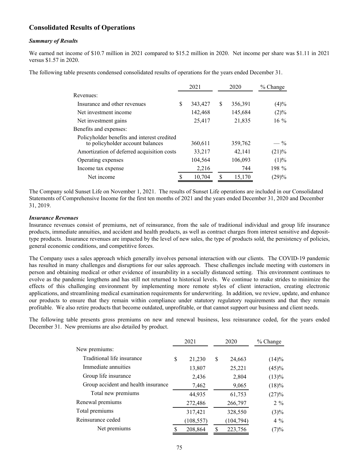# **Consolidated Results of Operations**

# *Summary of Results*

We earned net income of \$10.7 million in 2021 compared to \$15.2 million in 2020. Net income per share was \$1.11 in 2021 versus \$1.57 in 2020.

The following table presents condensed consolidated results of operations for the years ended December 31.

|                                                                                 | 2021 |         |   | 2020    | $%$ Change      |
|---------------------------------------------------------------------------------|------|---------|---|---------|-----------------|
| Revenues:                                                                       |      |         |   |         |                 |
| Insurance and other revenues                                                    | \$   | 343,427 | S | 356,391 | (4)%            |
| Net investment income                                                           |      | 142,468 |   | 145,684 | $(2)\%$         |
| Net investment gains                                                            |      | 25,417  |   | 21,835  | $16\%$          |
| Benefits and expenses:                                                          |      |         |   |         |                 |
| Policyholder benefits and interest credited<br>to policyholder account balances |      | 360,611 |   | 359,762 | $- \frac{9}{6}$ |
| Amortization of deferred acquisition costs                                      |      | 33,217  |   | 42,141  | $(21)\%$        |
| Operating expenses                                                              |      | 104,564 |   | 106,093 | $(1)\%$         |
| Income tax expense                                                              |      | 2,216   |   | 744     | $198 \%$        |
| Net income                                                                      |      | 10,704  |   | 15,170  | (29)%           |

The Company sold Sunset Life on November 1, 2021. The results of Sunset Life operations are included in our Consolidated Statements of Comprehensive Income for the first ten months of 2021 and the years ended December 31, 2020 and December 31, 2019.

# *Insurance Revenues*

Insurance revenues consist of premiums, net of reinsurance, from the sale of traditional individual and group life insurance products, immediate annuities, and accident and health products, as well as contract charges from interest sensitive and deposittype products. Insurance revenues are impacted by the level of new sales, the type of products sold, the persistency of policies, general economic conditions, and competitive forces.

The Company uses a sales approach which generally involves personal interaction with our clients. The COVID-19 pandemic has resulted in many challenges and disruptions for our sales approach. These challenges include meeting with customers in person and obtaining medical or other evidence of insurability in a socially distanced setting. This environment continues to evolve as the pandemic lengthens and has still not returned to historical levels. We continue to make strides to minimize the effects of this challenging environment by implementing more remote styles of client interaction, creating electronic applications, and streamlining medical examination requirements for underwriting. In addition, we review, update, and enhance our products to ensure that they remain within compliance under statutory regulatory requirements and that they remain profitable. We also retire products that become outdated, unprofitable, or that cannot support our business and client needs.

The following table presents gross premiums on new and renewal business, less reinsurance ceded, for the years ended December 31. New premiums are also detailed by product.

|                                     |    | 2021       | 2020          | % Change |
|-------------------------------------|----|------------|---------------|----------|
| New premiums:                       |    |            |               |          |
| Traditional life insurance          | \$ | 21,230     | \$<br>24,663  | (14)%    |
| Immediate annuities                 |    | 13,807     | 25,221        | (45)%    |
| Group life insurance                |    | 2,436      | 2,804         | $(13)\%$ |
| Group accident and health insurance |    | 7,462      | 9,065         | $(18)\%$ |
| Total new premiums                  |    | 44,935     | 61,753        | (27)%    |
| Renewal premiums                    |    | 272,486    | 266,797       | $2\%$    |
| Total premiums                      |    | 317,421    | 328,550       | $(3)\%$  |
| Reinsurance ceded                   |    | (108, 557) | (104, 794)    | $4\%$    |
| Net premiums                        | S  | 208,864    | \$<br>223,756 | (7)%     |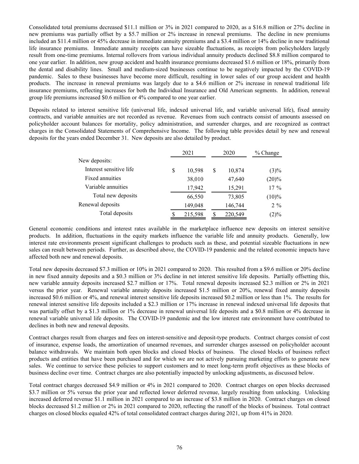Consolidated total premiums decreased \$11.1 million or 3% in 2021 compared to 2020, as a \$16.8 million or 27% decline in new premiums was partially offset by a \$5.7 million or 2% increase in renewal premiums. The decline in new premiums included an \$11.4 million or 45% decrease in immediate annuity premiums and a \$3.4 million or 14% decline in new traditional life insurance premiums. Immediate annuity receipts can have sizeable fluctuations, as receipts from policyholders largely result from one-time premiums. Internal rollovers from various individual annuity products declined \$8.8 million compared to one year earlier. In addition, new group accident and health insurance premiums decreased \$1.6 million or 18%, primarily from the dental and disability lines. Small and medium-sized businesses continue to be negatively impacted by the COVID-19 pandemic. Sales to these businesses have become more difficult, resulting in lower sales of our group accident and health products. The increase in renewal premiums was largely due to a \$4.6 million or 2% increase in renewal traditional life insurance premiums, reflecting increases for both the Individual Insurance and Old American segments. In addition, renewal group life premiums increased \$0.6 million or 4% compared to one year earlier.

Deposits related to interest sensitive life (universal life, indexed universal life, and variable universal life), fixed annuity contracts, and variable annuities are not recorded as revenue. Revenues from such contracts consist of amounts assessed on policyholder account balances for mortality, policy administration, and surrender charges, and are recognized as contract charges in the Consolidated Statements of Comprehensive Income. The following table provides detail by new and renewal deposits for the years ended December 31. New deposits are also detailed by product.

|                         | 2021         |    | 2020    | % Change |
|-------------------------|--------------|----|---------|----------|
| New deposits:           |              |    |         |          |
| Interest sensitive life | \$<br>10,598 | \$ | 10,874  | $(3)\%$  |
| Fixed annuities         | 38,010       |    | 47,640  | $(20)\%$ |
| Variable annuities      | 17,942       |    | 15,291  | $17\%$   |
| Total new deposits      | 66,550       |    | 73,805  | $(10)\%$ |
| Renewal deposits        | 149,048      |    | 146,744 | $2\%$    |
| Total deposits          | 215,598      | S  | 220,549 | $(2)\%$  |

General economic conditions and interest rates available in the marketplace influence new deposits on interest sensitive products. In addition, fluctuations in the equity markets influence the variable life and annuity products. Generally, low interest rate environments present significant challenges to products such as these, and potential sizeable fluctuations in new sales can result between periods. Further, as described above, the COVID-19 pandemic and the related economic impacts have affected both new and renewal deposits.

Total new deposits decreased \$7.3 million or 10% in 2021 compared to 2020. This resulted from a \$9.6 million or 20% decline in new fixed annuity deposits and a \$0.3 million or 3% decline in net interest sensitive life deposits. Partially offsetting this, new variable annuity deposits increased \$2.7 million or 17%. Total renewal deposits increased \$2.3 million or 2% in 2021 versus the prior year. Renewal variable annuity deposits increased \$1.5 million or 20%, renewal fixed annuity deposits increased \$0.6 million or 4%, and renewal interest sensitive life deposits increased \$0.2 million or less than 1%. The results for renewal interest sensitive life deposits included a \$2.3 million or 17% increase in renewal indexed universal life deposits that was partially offset by a \$1.3 million or 1% decrease in renewal universal life deposits and a \$0.8 million or 4% decrease in renewal variable universal life deposits. The COVID-19 pandemic and the low interest rate environment have contributed to declines in both new and renewal deposits.

Contract charges result from charges and fees on interest-sensitive and deposit-type products. Contract charges consist of cost of insurance, expense loads, the amortization of unearned revenues, and surrender charges assessed on policyholder account balance withdrawals. We maintain both open blocks and closed blocks of business. The closed blocks of business reflect products and entities that have been purchased and for which we are not actively pursuing marketing efforts to generate new sales. We continue to service these policies to support customers and to meet long-term profit objectives as these blocks of business decline over time. Contract charges are also potentially impacted by unlocking adjustments, as discussed below.

Total contract charges decreased \$4.9 million or 4% in 2021 compared to 2020. Contract charges on open blocks decreased \$3.7 million or 5% versus the prior year and reflected lower deferred revenue, largely resulting from unlocking. Unlocking increased deferred revenue \$1.1 million in 2021 compared to an increase of \$3.8 million in 2020. Contract charges on closed blocks decreased \$1.2 million or 2% in 2021 compared to 2020, reflecting the runoff of the blocks of business. Total contract charges on closed blocks equaled 42% of total consolidated contract charges during 2021, up from 41% in 2020.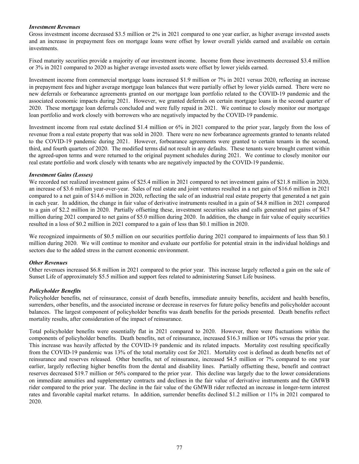#### *Investment Revenues*

Gross investment income decreased \$3.5 million or 2% in 2021 compared to one year earlier, as higher average invested assets and an increase in prepayment fees on mortgage loans were offset by lower overall yields earned and available on certain investments.

Fixed maturity securities provide a majority of our investment income. Income from these investments decreased \$3.4 million or 3% in 2021 compared to 2020 as higher average invested assets were offset by lower yields earned.

Investment income from commercial mortgage loans increased \$1.9 million or 7% in 2021 versus 2020, reflecting an increase in prepayment fees and higher average mortgage loan balances that were partially offset by lower yields earned. There were no new deferrals or forbearance agreements granted on our mortgage loan portfolio related to the COVID-19 pandemic and the associated economic impacts during 2021. However, we granted deferrals on certain mortgage loans in the second quarter of 2020. These mortgage loan deferrals concluded and were fully repaid in 2021. We continue to closely monitor our mortgage loan portfolio and work closely with borrowers who are negatively impacted by the COVID-19 pandemic.

Investment income from real estate declined \$1.4 million or 6% in 2021 compared to the prior year, largely from the loss of revenue from a real estate property that was sold in 2020. There were no new forbearance agreements granted to tenants related to the COVID-19 pandemic during 2021. However, forbearance agreements were granted to certain tenants in the second, third, and fourth quarters of 2020. The modified terms did not result in any defaults. These tenants were brought current within the agreed-upon terms and were returned to the original payment schedules during 2021. We continue to closely monitor our real estate portfolio and work closely with tenants who are negatively impacted by the COVID-19 pandemic.

#### *Investment Gains (Losses)*

We recorded net realized investment gains of \$25.4 million in 2021 compared to net investment gains of \$21.8 million in 2020, an increase of \$3.6 million year-over-year. Sales of real estate and joint ventures resulted in a net gain of \$16.6 million in 2021 compared to a net gain of \$14.6 million in 2020, reflecting the sale of an industrial real estate property that generated a net gain in each year. In addition, the change in fair value of derivative instruments resulted in a gain of \$4.8 million in 2021 compared to a gain of \$2.2 million in 2020. Partially offsetting these, investment securities sales and calls generated net gains of \$4.7 million during 2021 compared to net gains of \$5.0 million during 2020. In addition, the change in fair value of equity securities resulted in a loss of \$0.2 million in 2021 compared to a gain of less than \$0.1 million in 2020.

We recognized impairments of \$0.5 million on our securities portfolio during 2021 compared to impairments of less than \$0.1 million during 2020. We will continue to monitor and evaluate our portfolio for potential strain in the individual holdings and sectors due to the added stress in the current economic environment.

# *Other Revenues*

Other revenues increased \$6.8 million in 2021 compared to the prior year. This increase largely reflected a gain on the sale of Sunset Life of approximately \$5.5 million and support fees related to administering Sunset Life business.

# *Policyholder Benefits*

Policyholder benefits, net of reinsurance, consist of death benefits, immediate annuity benefits, accident and health benefits, surrenders, other benefits, and the associated increase or decrease in reserves for future policy benefits and policyholder account balances. The largest component of policyholder benefits was death benefits for the periods presented. Death benefits reflect mortality results, after consideration of the impact of reinsurance.

Total policyholder benefits were essentially flat in 2021 compared to 2020. However, there were fluctuations within the components of policyholder benefits. Death benefits, net of reinsurance, increased \$16.3 million or 10% versus the prior year. This increase was heavily affected by the COVID-19 pandemic and its related impacts. Mortality cost resulting specifically from the COVID-19 pandemic was 13% of the total mortality cost for 2021. Mortality cost is defined as death benefits net of reinsurance and reserves released. Other benefits, net of reinsurance, increased \$4.5 million or 7% compared to one year earlier, largely reflecting higher benefits from the dental and disability lines. Partially offsetting these, benefit and contract reserves decreased \$19.7 million or 56% compared to the prior year. This decline was largely due to the lower considerations on immediate annuities and supplementary contracts and declines in the fair value of derivative instruments and the GMWB rider compared to the prior year. The decline in the fair value of the GMWB rider reflected an increase in longer-term interest rates and favorable capital market returns. In addition, surrender benefits declined \$1.2 million or 11% in 2021 compared to 2020.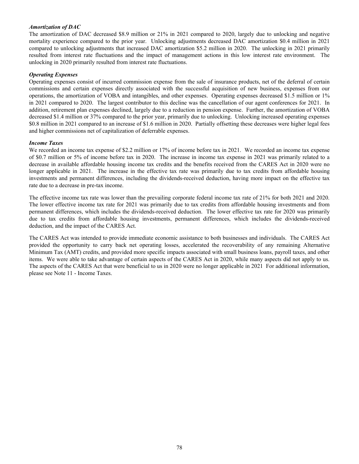### *Amortization of DAC*

The amortization of DAC decreased \$8.9 million or 21% in 2021 compared to 2020, largely due to unlocking and negative mortality experience compared to the prior year. Unlocking adjustments decreased DAC amortization \$0.4 million in 2021 compared to unlocking adjustments that increased DAC amortization \$5.2 million in 2020. The unlocking in 2021 primarily resulted from interest rate fluctuations and the impact of management actions in this low interest rate environment. The unlocking in 2020 primarily resulted from interest rate fluctuations.

### *Operating Expenses*

Operating expenses consist of incurred commission expense from the sale of insurance products, net of the deferral of certain commissions and certain expenses directly associated with the successful acquisition of new business, expenses from our operations, the amortization of VOBA and intangibles, and other expenses. Operating expenses decreased \$1.5 million or 1% in 2021 compared to 2020. The largest contributor to this decline was the cancellation of our agent conferences for 2021. In addition, retirement plan expenses declined, largely due to a reduction in pension expense. Further, the amortization of VOBA decreased \$1.4 million or 37% compared to the prior year, primarily due to unlocking. Unlocking increased operating expenses \$0.8 million in 2021 compared to an increase of \$1.6 million in 2020. Partially offsetting these decreases were higher legal fees and higher commissions net of capitalization of deferrable expenses.

#### *Income Taxes*

We recorded an income tax expense of \$2.2 million or 17% of income before tax in 2021. We recorded an income tax expense of \$0.7 million or 5% of income before tax in 2020. The increase in income tax expense in 2021 was primarily related to a decrease in available affordable housing income tax credits and the benefits received from the CARES Act in 2020 were no longer applicable in 2021. The increase in the effective tax rate was primarily due to tax credits from affordable housing investments and permanent differences, including the dividends-received deduction, having more impact on the effective tax rate due to a decrease in pre-tax income.

The effective income tax rate was lower than the prevailing corporate federal income tax rate of 21% for both 2021 and 2020. The lower effective income tax rate for 2021 was primarily due to tax credits from affordable housing investments and from permanent differences, which includes the dividends-received deduction. The lower effective tax rate for 2020 was primarily due to tax credits from affordable housing investments, permanent differences, which includes the dividends-received deduction, and the impact of the CARES Act.

The CARES Act was intended to provide immediate economic assistance to both businesses and individuals. The CARES Act provided the opportunity to carry back net operating losses, accelerated the recoverability of any remaining Alternative Minimum Tax (AMT) credits, and provided more specific impacts associated with small business loans, payroll taxes, and other items. We were able to take advantage of certain aspects of the CARES Act in 2020, while many aspects did not apply to us. The aspects of the CARES Act that were beneficial to us in 2020 were no longer applicable in 2021 For additional information, please see Note 11 - Income Taxes.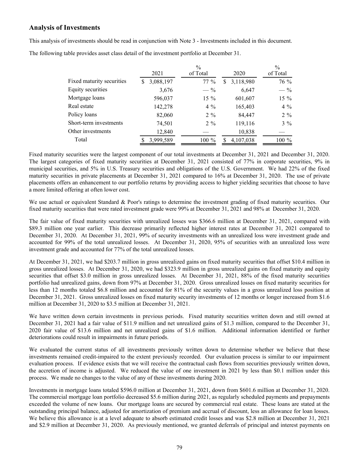# **Analysis of Investments**

This analysis of investments should be read in conjunction with Note 3 - Investments included in this document. The following table provides asset class detail of the investment portfolio at December 31.

|                           |           | $\frac{0}{0}$ |                 | $\frac{0}{0}$ |
|---------------------------|-----------|---------------|-----------------|---------------|
|                           | 2021      | of Total      | 2020            | of Total      |
| Fixed maturity securities | 3,088,197 | $77\%$        | 3,118,980<br>S. | $76\%$        |
| Equity securities         | 3,676     | $-$ %         | 6,647           | $-$ %         |
| Mortgage loans            | 596,037   | $15\%$        | 601,607         | $15\%$        |
| Real estate               | 142,278   | $4\%$         | 165,403         | $4\%$         |
| Policy loans              | 82,060    | $2\%$         | 84,447          | $2\%$         |
| Short-term investments    | 74,501    | $2\%$         | 119,116         | $3\%$         |
| Other investments         | 12,840    |               | 10,838          |               |
| Total                     | 3,999,589 | $100\%$       | 4,107,038       | $100 \%$      |

Fixed maturity securities were the largest component of our total investments at December 31, 2021 and December 31, 2020. The largest categories of fixed maturity securities at December 31, 2021 consisted of 77% in corporate securities, 9% in municipal securities, and 5% in U.S. Treasury securities and obligations of the U.S. Government. We had 22% of the fixed maturity securities in private placements at December 31, 2021 compared to 16% at December 31, 2020. The use of private placements offers an enhancement to our portfolio returns by providing access to higher yielding securities that choose to have a more limited offering at often lower cost.

We use actual or equivalent Standard & Poor's ratings to determine the investment grading of fixed maturity securities. Our fixed maturity securities that were rated investment grade were 99% at December 31, 2021 and 98% at December 31, 2020.

The fair value of fixed maturity securities with unrealized losses was \$366.6 million at December 31, 2021, compared with \$89.3 million one year earlier. This decrease primarily reflected higher interest rates at December 31, 2021 compared to December 31, 2020. At December 31, 2021, 99% of security investments with an unrealized loss were investment grade and accounted for 99% of the total unrealized losses. At December 31, 2020, 95% of securities with an unrealized loss were investment grade and accounted for 77% of the total unrealized losses.

At December 31, 2021, we had \$203.7 million in gross unrealized gains on fixed maturity securities that offset \$10.4 million in gross unrealized losses. At December 31, 2020, we had \$323.9 million in gross unrealized gains on fixed maturity and equity securities that offset \$3.0 million in gross unrealized losses. At December 31, 2021, 88% of the fixed maturity securities portfolio had unrealized gains, down from 97% at December 31, 2020. Gross unrealized losses on fixed maturity securities for less than 12 months totaled \$6.8 million and accounted for 81% of the security values in a gross unrealized loss position at December 31, 2021. Gross unrealized losses on fixed maturity security investments of 12 months or longer increased from \$1.6 million at December 31, 2020 to \$3.5 million at December 31, 2021.

We have written down certain investments in previous periods. Fixed maturity securities written down and still owned at December 31, 2021 had a fair value of \$11.9 million and net unrealized gains of \$1.3 million, compared to the December 31, 2020 fair value of \$13.6 million and net unrealized gains of \$1.6 million. Additional information identified or further deteriorations could result in impairments in future periods.

We evaluated the current status of all investments previously written down to determine whether we believe that these investments remained credit-impaired to the extent previously recorded. Our evaluation process is similar to our impairment evaluation process. If evidence exists that we will receive the contractual cash flows from securities previously written down, the accretion of income is adjusted. We reduced the value of one investment in 2021 by less than \$0.1 million under this process. We made no changes to the value of any of these investments during 2020.

Investments in mortgage loans totaled \$596.0 million at December 31, 2021, down from \$601.6 million at December 31, 2020. The commercial mortgage loan portfolio decreased \$5.6 million during 2021, as regularly scheduled payments and prepayments exceeded the volume of new loans. Our mortgage loans are secured by commercial real estate. These loans are stated at the outstanding principal balance, adjusted for amortization of premium and accrual of discount, less an allowance for loan losses. We believe this allowance is at a level adequate to absorb estimated credit losses and was \$2.8 million at December 31, 2021 and \$2.9 million at December 31, 2020. As previously mentioned, we granted deferrals of principal and interest payments on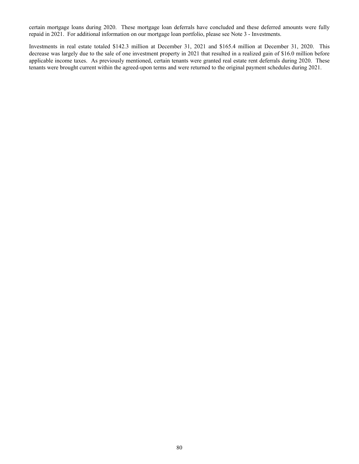certain mortgage loans during 2020. These mortgage loan deferrals have concluded and these deferred amounts were fully repaid in 2021. For additional information on our mortgage loan portfolio, please see Note 3 - Investments.

Investments in real estate totaled \$142.3 million at December 31, 2021 and \$165.4 million at December 31, 2020. This decrease was largely due to the sale of one investment property in 2021 that resulted in a realized gain of \$16.0 million before applicable income taxes. As previously mentioned, certain tenants were granted real estate rent deferrals during 2020. These tenants were brought current within the agreed-upon terms and were returned to the original payment schedules during 2021.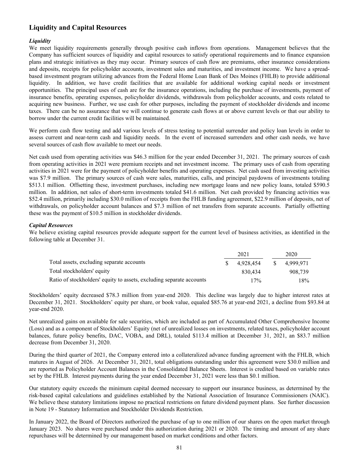# **Liquidity and Capital Resources**

# *Liquidity*

We meet liquidity requirements generally through positive cash inflows from operations. Management believes that the Company has sufficient sources of liquidity and capital resources to satisfy operational requirements and to finance expansion plans and strategic initiatives as they may occur. Primary sources of cash flow are premiums, other insurance considerations and deposits, receipts for policyholder accounts, investment sales and maturities, and investment income. We have a spreadbased investment program utilizing advances from the Federal Home Loan Bank of Des Moines (FHLB) to provide additional liquidity. In addition, we have credit facilities that are available for additional working capital needs or investment opportunities. The principal uses of cash are for the insurance operations, including the purchase of investments, payment of insurance benefits, operating expenses, policyholder dividends, withdrawals from policyholder accounts, and costs related to acquiring new business. Further, we use cash for other purposes, including the payment of stockholder dividends and income taxes. There can be no assurance that we will continue to generate cash flows at or above current levels or that our ability to borrow under the current credit facilities will be maintained.

We perform cash flow testing and add various levels of stress testing to potential surrender and policy loan levels in order to assess current and near-term cash and liquidity needs. In the event of increased surrenders and other cash needs, we have several sources of cash flow available to meet our needs.

Net cash used from operating activities was \$46.3 million for the year ended December 31, 2021. The primary sources of cash from operating activities in 2021 were premium receipts and net investment income. The primary uses of cash from operating activities in 2021 were for the payment of policyholder benefits and operating expenses. Net cash used from investing activities was \$7.9 million. The primary sources of cash were sales, maturities, calls, and principal paydowns of investments totaling \$513.1 million. Offsetting these, investment purchases, including new mortgage loans and new policy loans, totaled \$590.5 million. In addition, net sales of short-term investments totaled \$41.6 million. Net cash provided by financing activities was \$52.4 million, primarily including \$30.0 million of receipts from the FHLB funding agreement, \$22.9 million of deposits, net of withdrawals, on policyholder account balances and \$7.3 million of net transfers from separate accounts. Partially offsetting these was the payment of \$10.5 million in stockholder dividends.

# *Capital Resources*

We believe existing capital resources provide adequate support for the current level of business activities, as identified in the following table at December 31.

|                                                                      |      | 2021      |    | 2020      |  |
|----------------------------------------------------------------------|------|-----------|----|-----------|--|
| Total assets, excluding separate accounts                            | -SS- | 4.928.454 | S. | 4.999.971 |  |
| Total stockholders' equity                                           |      | 830.434   |    | 908.739   |  |
| Ratio of stockholders' equity to assets, excluding separate accounts |      | 17%       |    | 18%       |  |

Stockholders' equity decreased \$78.3 million from year-end 2020. This decline was largely due to higher interest rates at December 31, 2021. Stockholders' equity per share, or book value, equaled \$85.76 at year-end 2021, a decline from \$93.84 at year-end 2020.

Net unrealized gains on available for sale securities, which are included as part of Accumulated Other Comprehensive Income (Loss) and as a component of Stockholders' Equity (net of unrealized losses on investments, related taxes, policyholder account balances, future policy benefits, DAC, VOBA, and DRL), totaled \$113.4 million at December 31, 2021, an \$83.7 million decrease from December 31, 2020.

During the third quarter of 2021, the Company entered into a collateralized advance funding agreement with the FHLB, which matures in August of 2026. At December 31, 2021, total obligations outstanding under this agreement were \$30.0 million and are reported as Policyholder Account Balances in the Consolidated Balance Sheets. Interest is credited based on variable rates set by the FHLB. Interest payments during the year ended December 31, 2021 were less than \$0.1 million.

Our statutory equity exceeds the minimum capital deemed necessary to support our insurance business, as determined by the risk-based capital calculations and guidelines established by the National Association of Insurance Commissioners (NAIC). We believe these statutory limitations impose no practical restrictions on future dividend payment plans. See further discussion in Note 19 - Statutory Information and Stockholder Dividends Restriction.

In January 2022, the Board of Directors authorized the purchase of up to one million of our shares on the open market through January 2023. No shares were purchased under this authorization during 2021 or 2020. The timing and amount of any share repurchases will be determined by our management based on market conditions and other factors.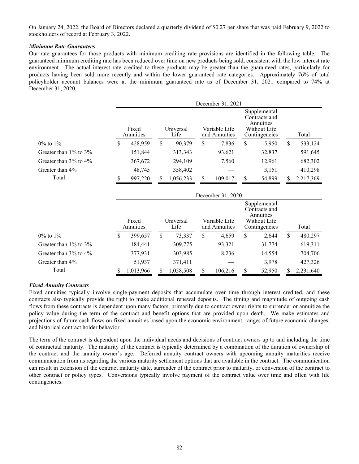On January 24, 2022, the Board of Directors declared a quarterly dividend of \$0.27 per share that was paid February 9, 2022 to stockholders of record at February 3, 2022.

#### *Minimum Rate Guarantees*

Our rate guarantees for those products with minimum crediting rate provisions are identified in the following table. The guaranteed minimum crediting rate has been reduced over time on new products being sold, consistent with the low interest rate environment. The actual interest rate credited to these products may be greater than the guaranteed rates, particularly for products having been sold more recently and within the lower guaranteed rate categories. Approximately 76% of total policyholder account balances were at the minimum guaranteed rate as of December 31, 2021 compared to 74% at December 31, 2020.

|                             | December 31, 2021 |                    |               |                   |    |                                |               |                                                                             |               |           |
|-----------------------------|-------------------|--------------------|---------------|-------------------|----|--------------------------------|---------------|-----------------------------------------------------------------------------|---------------|-----------|
|                             |                   | Fixed<br>Annuities |               | Universal<br>Life |    | Variable Life<br>and Annuities |               | Supplemental<br>Contracts and<br>Annuities<br>Without Life<br>Contingencies |               | Total     |
| $0\%$ to $1\%$              | \$                | 428,959            | $\mathsf{\$}$ | 90,379            | \$ | 7,836                          | $\mathsf{\$}$ | 5,950                                                                       | $\mathsf{\$}$ | 533,124   |
| Greater than $1\%$ to $3\%$ |                   | 151,844            |               | 313,343           |    | 93,621                         |               | 32,837                                                                      |               | 591,645   |
| Greater than $3\%$ to $4\%$ |                   | 367,672            |               | 294,109           |    | 7,560                          |               | 12,961                                                                      |               | 682,302   |
| Greater than 4%             |                   | 48,745             |               | 358,402           |    |                                |               | 3,151                                                                       |               | 410,298   |
| Total                       |                   | 997,220            | \$            | 1,056,233         | \$ | 109,017                        | S             | 54,899                                                                      |               | 2,217,369 |
|                             | December 31, 2020 |                    |               |                   |    |                                |               |                                                                             |               |           |
|                             |                   |                    |               |                   |    |                                |               |                                                                             |               |           |
|                             |                   | Fixed<br>Annuities |               | Universal<br>Life |    | Variable Life<br>and Annuities |               | Supplemental<br>Contracts and<br>Annuities<br>Without Life<br>Contingencies |               | Total     |
| $0\%$ to $1\%$              | \$                | 399,657            | $\mathsf{\$}$ | 73,337            | \$ | 4,659                          | $\mathsf{\$}$ | 2,644                                                                       | $\mathsf{\$}$ | 480,297   |
| Greater than $1\%$ to $3\%$ |                   | 184,441            |               | 309,775           |    | 93,321                         |               | 31,774                                                                      |               | 619,311   |
| Greater than 3% to 4%       |                   | 377,931            |               | 303,985           |    | 8,236                          |               | 14,554                                                                      |               | 704,706   |
| Greater than 4%             |                   | 51,937             |               | 371,411           |    |                                |               | 3,978                                                                       |               | 427,326   |

# *Fixed Annuity Contracts*

Fixed annuities typically involve single-payment deposits that accumulate over time through interest credited, and these contracts also typically provide the right to make additional renewal deposits. The timing and magnitude of outgoing cash flows from these contracts is dependent upon many factors, primarily due to contract owner rights to surrender or annuitize the policy value during the term of the contract and benefit options that are provided upon death. We make estimates and projections of future cash flows on fixed annuities based upon the economic environment, ranges of future economic changes, and historical contract holder behavior.

The term of the contract is dependent upon the individual needs and decisions of contract owners up to and including the time of contractual maturity. The maturity of the contract is typically determined by a combination of the duration of ownership of the contract and the annuity owner's age. Deferred annuity contract owners with upcoming annuity maturities receive communication from us regarding the various maturity settlement options that are available in the contract. The communication can result in extension of the contract maturity date, surrender of the contract prior to maturity, or conversion of the contract to other contract or policy types. Conversions typically involve payment of the contract value over time and often with life contingencies.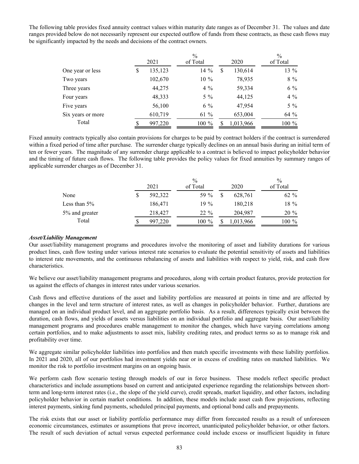The following table provides fixed annuity contract values within maturity date ranges as of December 31. The values and date ranges provided below do not necessarily represent our expected outflow of funds from these contracts, as these cash flows may be significantly impacted by the needs and decisions of the contract owners.

|                   |   | 2021    | $\frac{0}{0}$<br>of Total |   | 2020      | $\frac{0}{0}$<br>of Total |
|-------------------|---|---------|---------------------------|---|-----------|---------------------------|
| One year or less  | S | 135,123 | $14\%$                    | S | 130,614   | 13 %                      |
| Two years         |   | 102,670 | 10 %                      |   | 78,935    | $8\%$                     |
| Three years       |   | 44,275  | $4\%$                     |   | 59,334    | $6\%$                     |
| Four years        |   | 48,333  | $5\%$                     |   | 44,125    | $4\%$                     |
| Five years        |   | 56,100  | $6\%$                     |   | 47,954    | $5\%$                     |
| Six years or more |   | 610,719 | 61 %                      |   | 653,004   | 64 %                      |
| Total             |   | 997,220 | $100 \%$                  | S | 1,013,966 | 100 %                     |

Fixed annuity contracts typically also contain provisions for charges to be paid by contract holders if the contract is surrendered within a fixed period of time after purchase. The surrender charge typically declines on an annual basis during an initial term of ten or fewer years. The magnitude of any surrender charge applicable to a contract is believed to impact policyholder behavior and the timing of future cash flows. The following table provides the policy values for fixed annuities by summary ranges of applicable surrender charges as of December 31.

|                | $\frac{0}{0}$ |          |   |           |          |  |  |
|----------------|---------------|----------|---|-----------|----------|--|--|
|                | 2021          | of Total |   | 2020      | of Total |  |  |
| None           | 592,322       | 59 %     | S | 628,761   | 62 %     |  |  |
| Less than 5%   | 186,471       | $19\%$   |   | 180,218   | 18 %     |  |  |
| 5% and greater | 218,427       | 22 %     |   | 204,987   | 20 %     |  |  |
| Total          | 997,220       | $100 \%$ |   | 1,013,966 | 100 %    |  |  |

# *Asset/Liability Management*

Our asset/liability management programs and procedures involve the monitoring of asset and liability durations for various product lines, cash flow testing under various interest rate scenarios to evaluate the potential sensitivity of assets and liabilities to interest rate movements, and the continuous rebalancing of assets and liabilities with respect to yield, risk, and cash flow characteristics.

We believe our asset/liability management programs and procedures, along with certain product features, provide protection for us against the effects of changes in interest rates under various scenarios.

Cash flows and effective durations of the asset and liability portfolios are measured at points in time and are affected by changes in the level and term structure of interest rates, as well as changes in policyholder behavior. Further, durations are managed on an individual product level, and an aggregate portfolio basis. As a result, differences typically exist between the duration, cash flows, and yields of assets versus liabilities on an individual portfolio and aggregate basis. Our asset/liability management programs and procedures enable management to monitor the changes, which have varying correlations among certain portfolios, and to make adjustments to asset mix, liability crediting rates, and product terms so as to manage risk and profitability over time.

We aggregate similar policyholder liabilities into portfolios and then match specific investments with these liability portfolios. In 2021 and 2020, all of our portfolios had investment yields near or in excess of crediting rates on matched liabilities. We monitor the risk to portfolio investment margins on an ongoing basis.

We perform cash flow scenario testing through models of our in force business. These models reflect specific product characteristics and include assumptions based on current and anticipated experience regarding the relationships between shortterm and long-term interest rates (i.e., the slope of the yield curve), credit spreads, market liquidity, and other factors, including policyholder behavior in certain market conditions. In addition, these models include asset cash flow projections, reflecting interest payments, sinking fund payments, scheduled principal payments, and optional bond calls and prepayments.

The risk exists that our asset or liability portfolio performance may differ from forecasted results as a result of unforeseen economic circumstances, estimates or assumptions that prove incorrect, unanticipated policyholder behavior, or other factors. The result of such deviation of actual versus expected performance could include excess or insufficient liquidity in future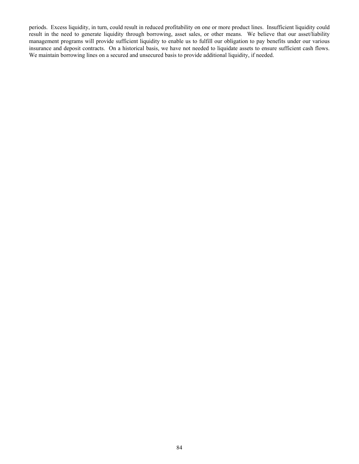periods. Excess liquidity, in turn, could result in reduced profitability on one or more product lines. Insufficient liquidity could result in the need to generate liquidity through borrowing, asset sales, or other means. We believe that our asset/liability management programs will provide sufficient liquidity to enable us to fulfill our obligation to pay benefits under our various insurance and deposit contracts. On a historical basis, we have not needed to liquidate assets to ensure sufficient cash flows. We maintain borrowing lines on a secured and unsecured basis to provide additional liquidity, if needed.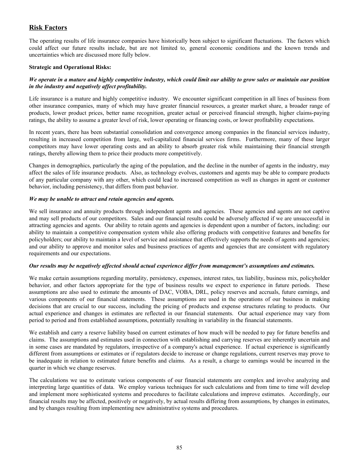# **Risk Factors**

The operating results of life insurance companies have historically been subject to significant fluctuations. The factors which could affect our future results include, but are not limited to, general economic conditions and the known trends and uncertainties which are discussed more fully below.

### **Strategic and Operational Risks:**

# *We operate in a mature and highly competitive industry, which could limit our ability to grow sales or maintain our position in the industry and negatively affect profitability.*

Life insurance is a mature and highly competitive industry. We encounter significant competition in all lines of business from other insurance companies, many of which may have greater financial resources, a greater market share, a broader range of products, lower product prices, better name recognition, greater actual or perceived financial strength, higher claims-paying ratings, the ability to assume a greater level of risk, lower operating or financing costs, or lower profitability expectations.

In recent years, there has been substantial consolidation and convergence among companies in the financial services industry, resulting in increased competition from large, well-capitalized financial services firms. Furthermore, many of these larger competitors may have lower operating costs and an ability to absorb greater risk while maintaining their financial strength ratings, thereby allowing them to price their products more competitively.

Changes in demographics, particularly the aging of the population, and the decline in the number of agents in the industry, may affect the sales of life insurance products. Also, as technology evolves, customers and agents may be able to compare products of any particular company with any other, which could lead to increased competition as well as changes in agent or customer behavior, including persistency, that differs from past behavior.

# *We may be unable to attract and retain agencies and agents.*

We sell insurance and annuity products through independent agents and agencies. These agencies and agents are not captive and may sell products of our competitors. Sales and our financial results could be adversely affected if we are unsuccessful in attracting agencies and agents. Our ability to retain agents and agencies is dependent upon a number of factors, including: our ability to maintain a competitive compensation system while also offering products with competitive features and benefits for policyholders; our ability to maintain a level of service and assistance that effectively supports the needs of agents and agencies; and our ability to approve and monitor sales and business practices of agents and agencies that are consistent with regulatory requirements and our expectations.

# *Our results may be negatively affected should actual experience differ from management's assumptions and estimates.*

We make certain assumptions regarding mortality, persistency, expenses, interest rates, tax liability, business mix, policyholder behavior, and other factors appropriate for the type of business results we expect to experience in future periods. These assumptions are also used to estimate the amounts of DAC, VOBA, DRL, policy reserves and accruals, future earnings, and various components of our financial statements. These assumptions are used in the operations of our business in making decisions that are crucial to our success, including the pricing of products and expense structures relating to products. Our actual experience and changes in estimates are reflected in our financial statements. Our actual experience may vary from period to period and from established assumptions, potentially resulting in variability in the financial statements.

We establish and carry a reserve liability based on current estimates of how much will be needed to pay for future benefits and claims. The assumptions and estimates used in connection with establishing and carrying reserves are inherently uncertain and in some cases are mandated by regulators, irrespective of a company's actual experience. If actual experience is significantly different from assumptions or estimates or if regulators decide to increase or change regulations, current reserves may prove to be inadequate in relation to estimated future benefits and claims. As a result, a charge to earnings would be incurred in the quarter in which we change reserves.

The calculations we use to estimate various components of our financial statements are complex and involve analyzing and interpreting large quantities of data. We employ various techniques for such calculations and from time to time will develop and implement more sophisticated systems and procedures to facilitate calculations and improve estimates. Accordingly, our financial results may be affected, positively or negatively, by actual results differing from assumptions, by changes in estimates, and by changes resulting from implementing new administrative systems and procedures.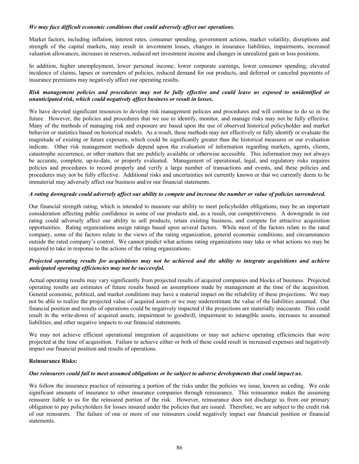### *We may face difficult economic conditions that could adversely affect our operations.*

Market factors, including inflation, interest rates, consumer spending, government actions, market volatility, disruptions and strength of the capital markets, may result in investment losses, changes in insurance liabilities, impairments, increased valuation allowances, increases in reserves, reduced net investment income and changes in unrealized gain or loss positions.

In addition, higher unemployment, lower personal income, lower corporate earnings, lower consumer spending, elevated incidence of claims, lapses or surrenders of policies, reduced demand for our products, and deferred or canceled payments of insurance premiums may negatively affect our operating results.

# *Risk management policies and procedures may not be fully effective and could leave us exposed to unidentified or unanticipated risk, which could negatively affect business or result in losses.*

We have devoted significant resources to develop risk management policies and procedures and will continue to do so in the future. However, the policies and procedures that we use to identify, monitor, and manage risks may not be fully effective. Many of the methods of managing risk and exposure are based upon the use of observed historical policyholder and market behavior or statistics based on historical models. As a result, these methods may not effectively or fully identify or evaluate the magnitude of existing or future exposure, which could be significantly greater than the historical measures or our evaluation indicate. Other risk management methods depend upon the evaluation of information regarding markets, agents, clients, catastrophe occurrence, or other matters that are publicly available or otherwise accessible. This information may not always be accurate, complete, up-to-date, or properly evaluated. Management of operational, legal, and regulatory risks requires policies and procedures to record properly and verify a large number of transactions and events, and these policies and procedures may not be fully effective. Additional risks and uncertainties not currently known or that we currently deem to be immaterial may adversely affect our business and/or our financial statements.

#### *A rating downgrade could adversely affect our ability to compete and increase the number or value of policies surrendered.*

Our financial strength rating, which is intended to measure our ability to meet policyholder obligations, may be an important consideration affecting public confidence in some of our products and, as a result, our competitiveness. A downgrade in our rating could adversely affect our ability to sell products, retain existing business, and compete for attractive acquisition opportunities. Rating organizations assign ratings based upon several factors. While most of the factors relate to the rated company, some of the factors relate to the views of the rating organization, general economic conditions, and circumstances outside the rated company's control. We cannot predict what actions rating organizations may take or what actions we may be required to take in response to the actions of the rating organizations.

# *Projected operating results for acquisitions may not be achieved and the ability to integrate acquisitions and achieve anticipated operating efficiencies may not be successful.*

Actual operating results may vary significantly from projected results of acquired companies and blocks of business. Projected operating results are estimates of future results based on assumptions made by management at the time of the acquisition. General economic, political, and market conditions may have a material impact on the reliability of these projections. We may not be able to realize the projected value of acquired assets or we may underestimate the value of the liabilities assumed. Our financial position and results of operations could be negatively impacted if the projections are materially inaccurate. This could result in the write-down of acquired assets, impairment to goodwill, impairment to intangible assets, increases to assumed liabilities, and other negative impacts to our financial statements.

We may not achieve efficient operational integration of acquisitions or may not achieve operating efficiencies that were projected at the time of acquisition. Failure to achieve either or both of these could result in increased expenses and negatively impact our financial position and results of operations.

# **Reinsurance Risks:**

#### *Our reinsurers could fail to meet assumed obligations or be subject to adverse developments that could impact us.*

We follow the insurance practice of reinsuring a portion of the risks under the policies we issue, known as ceding. We cede significant amounts of insurance to other insurance companies through reinsurance. This reinsurance makes the assuming reinsurer liable to us for the reinsured portion of the risk. However, reinsurance does not discharge us from our primary obligation to pay policyholders for losses insured under the policies that are issued. Therefore, we are subject to the credit risk of our reinsurers. The failure of one or more of our reinsurers could negatively impact our financial position or financial statements.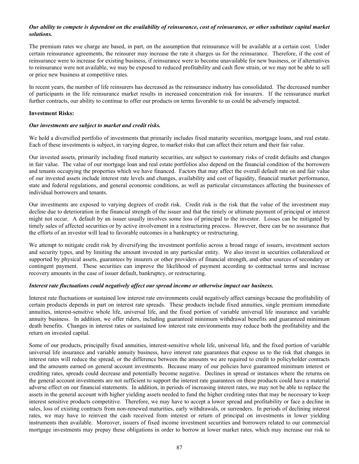# *Our ability to compete is dependent on the availability of reinsurance, cost of reinsurance, or other substitute capital market solutions.*

The premium rates we charge are based, in part, on the assumption that reinsurance will be available at a certain cost. Under certain reinsurance agreements, the reinsurer may increase the rate it charges us for the reinsurance. Therefore, if the cost of reinsurance were to increase for existing business, if reinsurance were to become unavailable for new business, or if alternatives to reinsurance were not available, we may be exposed to reduced profitability and cash flow strain, or we may not be able to sell or price new business at competitive rates.

In recent years, the number of life reinsurers has decreased as the reinsurance industry has consolidated. The decreased number of participants in the life reinsurance market results in increased concentration risk for insurers. If the reinsurance market further contracts, our ability to continue to offer our products on terms favorable to us could be adversely impacted.

#### **Investment Risks:**

#### *Our investments are subject to market and credit risks.*

We hold a diversified portfolio of investments that primarily includes fixed maturity securities, mortgage loans, and real estate. Each of these investments is subject, in varying degree, to market risks that can affect their return and their fair value.

Our invested assets, primarily including fixed maturity securities, are subject to customary risks of credit defaults and changes in fair value. The value of our mortgage loan and real estate portfolios also depend on the financial condition of the borrowers and tenants occupying the properties which we have financed. Factors that may affect the overall default rate on and fair value of our invested assets include interest rate levels and changes, availability and cost of liquidity, financial market performance, state and federal regulations, and general economic conditions, as well as particular circumstances affecting the businesses of individual borrowers and tenants.

Our investments are exposed to varying degrees of credit risk. Credit risk is the risk that the value of the investment may decline due to deterioration in the financial strength of the issuer and that the timely or ultimate payment of principal or interest might not occur. A default by an issuer usually involves some loss of principal to the investor. Losses can be mitigated by timely sales of affected securities or by active involvement in a restructuring process. However, there can be no assurance that the efforts of an investor will lead to favorable outcomes in a bankruptcy or restructuring.

We attempt to mitigate credit risk by diversifying the investment portfolio across a broad range of issuers, investment sectors and security types, and by limiting the amount invested in any particular entity. We also invest in securities collateralized or supported by physical assets, guarantees by insurers or other providers of financial strength, and other sources of secondary or contingent payment. These securities can improve the likelihood of payment according to contractual terms and increase recovery amounts in the case of issuer default, bankruptcy, or restructuring.

# *Interest rate fluctuations could negatively affect our spread income or otherwise impact our business.*

Interest rate fluctuations or sustained low interest rate environments could negatively affect earnings because the profitability of certain products depends in part on interest rate spreads. These products include fixed annuities, single premium immediate annuities, interest-sensitive whole life, universal life, and the fixed portion of variable universal life insurance and variable annuity business. In addition, we offer riders, including guaranteed minimum withdrawal benefits and guaranteed minimum death benefits. Changes in interest rates or sustained low interest rate environments may reduce both the profitability and the return on invested capital.

Some of our products, principally fixed annuities, interest-sensitive whole life, universal life, and the fixed portion of variable universal life insurance and variable annuity business, have interest rate guarantees that expose us to the risk that changes in interest rates will reduce the spread, or the difference between the amounts we are required to credit to policyholder contracts and the amounts earned on general account investments. Because many of our policies have guaranteed minimum interest or crediting rates, spreads could decrease and potentially become negative. Declines in spread or instances where the returns on the general account investments are not sufficient to support the interest rate guarantees on these products could have a material adverse effect on our financial statements. In addition, in periods of increasing interest rates, we may not be able to replace the assets in the general account with higher yielding assets needed to fund the higher crediting rates that may be necessary to keep interest sensitive products competitive. Therefore, we may have to accept a lower spread and profitability or face a decline in sales, loss of existing contracts from non-renewed maturities, early withdrawals, or surrenders. In periods of declining interest rates, we may have to reinvest the cash received from interest or return of principal on investments in lower yielding instruments then available. Moreover, issuers of fixed income investment securities and borrowers related to our commercial mortgage investments may prepay these obligations in order to borrow at lower market rates, which may increase our risk to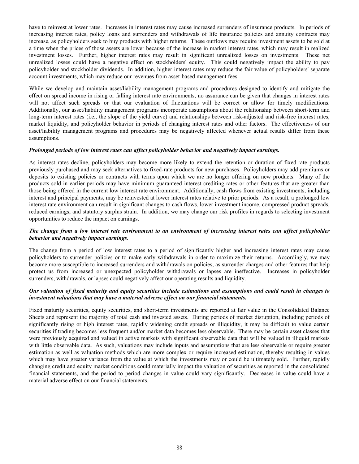have to reinvest at lower rates. Increases in interest rates may cause increased surrenders of insurance products. In periods of increasing interest rates, policy loans and surrenders and withdrawals of life insurance policies and annuity contracts may increase, as policyholders seek to buy products with higher returns. These outflows may require investment assets to be sold at a time when the prices of those assets are lower because of the increase in market interest rates, which may result in realized investment losses. Further, higher interest rates may result in significant unrealized losses on investments. These net unrealized losses could have a negative effect on stockholders' equity. This could negatively impact the ability to pay policyholder and stockholder dividends. In addition, higher interest rates may reduce the fair value of policyholders' separate account investments, which may reduce our revenues from asset-based management fees.

While we develop and maintain asset/liability management programs and procedures designed to identify and mitigate the effect on spread income in rising or falling interest rate environments, no assurance can be given that changes in interest rates will not affect such spreads or that our evaluation of fluctuations will be correct or allow for timely modifications. Additionally, our asset/liability management programs incorporate assumptions about the relationship between short-term and long-term interest rates (i.e., the slope of the yield curve) and relationships between risk-adjusted and risk-free interest rates, market liquidity, and policyholder behavior in periods of changing interest rates and other factors. The effectiveness of our asset/liability management programs and procedures may be negatively affected whenever actual results differ from these assumptions.

#### *Prolonged periods of low interest rates can affect policyholder behavior and negatively impact earnings.*

As interest rates decline, policyholders may become more likely to extend the retention or duration of fixed-rate products previously purchased and may seek alternatives to fixed-rate products for new purchases. Policyholders may add premiums or deposits to existing policies or contracts with terms upon which we are no longer offering on new products. Many of the products sold in earlier periods may have minimum guaranteed interest crediting rates or other features that are greater than those being offered in the current low interest rate environment. Additionally, cash flows from existing investments, including interest and principal payments, may be reinvested at lower interest rates relative to prior periods. As a result, a prolonged low interest rate environment can result in significant changes to cash flows, lower investment income, compressed product spreads, reduced earnings, and statutory surplus strain. In addition, we may change our risk profiles in regards to selecting investment opportunities to reduce the impact on earnings.

#### *The change from a low interest rate environment to an environment of increasing interest rates can affect policyholder behavior and negatively impact earnings.*

The change from a period of low interest rates to a period of significantly higher and increasing interest rates may cause policyholders to surrender policies or to make early withdrawals in order to maximize their returns. Accordingly, we may become more susceptible to increased surrenders and withdrawals on policies, as surrender charges and other features that help protect us from increased or unexpected policyholder withdrawals or lapses are ineffective. Increases in policyholder surrenders, withdrawals, or lapses could negatively affect our operating results and liquidity.

#### *Our valuation of fixed maturity and equity securities include estimations and assumptions and could result in changes to investment valuations that may have a material adverse effect on our financial statements.*

Fixed maturity securities, equity securities, and short-term investments are reported at fair value in the Consolidated Balance Sheets and represent the majority of total cash and invested assets. During periods of market disruption, including periods of significantly rising or high interest rates, rapidly widening credit spreads or illiquidity, it may be difficult to value certain securities if trading becomes less frequent and/or market data becomes less observable. There may be certain asset classes that were previously acquired and valued in active markets with significant observable data that will be valued in illiquid markets with little observable data. As such, valuations may include inputs and assumptions that are less observable or require greater estimation as well as valuation methods which are more complex or require increased estimation, thereby resulting in values which may have greater variance from the value at which the investments may or could be ultimately sold. Further, rapidly changing credit and equity market conditions could materially impact the valuation of securities as reported in the consolidated financial statements, and the period to period changes in value could vary significantly. Decreases in value could have a material adverse effect on our financial statements.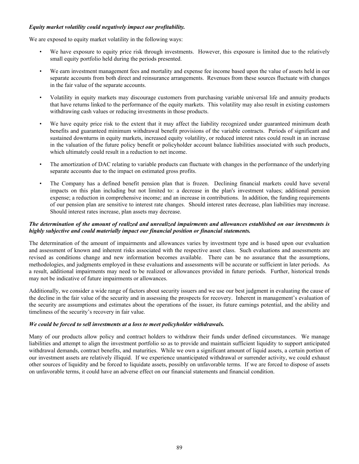# *Equity market volatility could negatively impact our profitability.*

We are exposed to equity market volatility in the following ways:

- We have exposure to equity price risk through investments. However, this exposure is limited due to the relatively small equity portfolio held during the periods presented.
- We earn investment management fees and mortality and expense fee income based upon the value of assets held in our separate accounts from both direct and reinsurance arrangements. Revenues from these sources fluctuate with changes in the fair value of the separate accounts.
- Volatility in equity markets may discourage customers from purchasing variable universal life and annuity products that have returns linked to the performance of the equity markets. This volatility may also result in existing customers withdrawing cash values or reducing investments in those products.
- We have equity price risk to the extent that it may affect the liability recognized under guaranteed minimum death benefits and guaranteed minimum withdrawal benefit provisions of the variable contracts. Periods of significant and sustained downturns in equity markets, increased equity volatility, or reduced interest rates could result in an increase in the valuation of the future policy benefit or policyholder account balance liabilities associated with such products, which ultimately could result in a reduction to net income.
- The amortization of DAC relating to variable products can fluctuate with changes in the performance of the underlying separate accounts due to the impact on estimated gross profits.
- The Company has a defined benefit pension plan that is frozen. Declining financial markets could have several impacts on this plan including but not limited to: a decrease in the plan's investment values; additional pension expense; a reduction in comprehensive income; and an increase in contributions. In addition, the funding requirements of our pension plan are sensitive to interest rate changes. Should interest rates decrease, plan liabilities may increase. Should interest rates increase, plan assets may decrease.

# *The determination of the amount of realized and unrealized impairments and allowances established on our investments is highly subjective and could materially impact our financial position or financial statements.*

The determination of the amount of impairments and allowances varies by investment type and is based upon our evaluation and assessment of known and inherent risks associated with the respective asset class. Such evaluations and assessments are revised as conditions change and new information becomes available. There can be no assurance that the assumptions, methodologies, and judgments employed in these evaluations and assessments will be accurate or sufficient in later periods. As a result, additional impairments may need to be realized or allowances provided in future periods. Further, historical trends may not be indicative of future impairments or allowances.

Additionally, we consider a wide range of factors about security issuers and we use our best judgment in evaluating the cause of the decline in the fair value of the security and in assessing the prospects for recovery. Inherent in management's evaluation of the security are assumptions and estimates about the operations of the issuer, its future earnings potential, and the ability and timeliness of the security's recovery in fair value.

# *We could be forced to sell investments at a loss to meet policyholder withdrawals.*

Many of our products allow policy and contract holders to withdraw their funds under defined circumstances. We manage liabilities and attempt to align the investment portfolio so as to provide and maintain sufficient liquidity to support anticipated withdrawal demands, contract benefits, and maturities. While we own a significant amount of liquid assets, a certain portion of our investment assets are relatively illiquid. If we experience unanticipated withdrawal or surrender activity, we could exhaust other sources of liquidity and be forced to liquidate assets, possibly on unfavorable terms. If we are forced to dispose of assets on unfavorable terms, it could have an adverse effect on our financial statements and financial condition.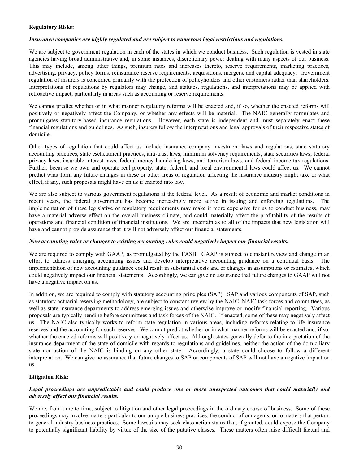# **Regulatory Risks:**

# *Insurance companies are highly regulated and are subject to numerous legal restrictions and regulations.*

We are subject to government regulation in each of the states in which we conduct business. Such regulation is vested in state agencies having broad administrative and, in some instances, discretionary power dealing with many aspects of our business. This may include, among other things, premium rates and increases thereto, reserve requirements, marketing practices, advertising, privacy, policy forms, reinsurance reserve requirements, acquisitions, mergers, and capital adequacy. Government regulation of insurers is concerned primarily with the protection of policyholders and other customers rather than shareholders. Interpretations of regulations by regulators may change, and statutes, regulations, and interpretations may be applied with retroactive impact, particularly in areas such as accounting or reserve requirements.

We cannot predict whether or in what manner regulatory reforms will be enacted and, if so, whether the enacted reforms will positively or negatively affect the Company, or whether any effects will be material. The NAIC generally formulates and promulgates statutory-based insurance regulations. However, each state is independent and must separately enact these financial regulations and guidelines. As such, insurers follow the interpretations and legal approvals of their respective states of domicile.

Other types of regulation that could affect us include insurance company investment laws and regulations, state statutory accounting practices, state escheatment practices, anti-trust laws, minimum solvency requirements, state securities laws, federal privacy laws, insurable interest laws, federal money laundering laws, anti-terrorism laws, and federal income tax regulations. Further, because we own and operate real property, state, federal, and local environmental laws could affect us. We cannot predict what form any future changes in these or other areas of regulation affecting the insurance industry might take or what effect, if any, such proposals might have on us if enacted into law.

We are also subject to various government regulations at the federal level. As a result of economic and market conditions in recent years, the federal government has become increasingly more active in issuing and enforcing regulations. The implementation of these legislative or regulatory requirements may make it more expensive for us to conduct business, may have a material adverse effect on the overall business climate, and could materially affect the profitability of the results of operations and financial condition of financial institutions. We are uncertain as to all of the impacts that new legislation will have and cannot provide assurance that it will not adversely affect our financial statements.

# *New accounting rules or changes to existing accounting rules could negatively impact our financial results.*

We are required to comply with GAAP, as promulgated by the FASB. GAAP is subject to constant review and change in an effort to address emerging accounting issues and develop interpretative accounting guidance on a continual basis. The implementation of new accounting guidance could result in substantial costs and or changes in assumptions or estimates, which could negatively impact our financial statements. Accordingly, we can give no assurance that future changes to GAAP will not have a negative impact on us.

In addition, we are required to comply with statutory accounting principles (SAP). SAP and various components of SAP, such as statutory actuarial reserving methodology, are subject to constant review by the NAIC, NAIC task forces and committees, as well as state insurance departments to address emerging issues and otherwise improve or modify financial reporting. Various proposals are typically pending before committees and task forces of the NAIC. If enacted, some of these may negatively affect us. The NAIC also typically works to reform state regulation in various areas, including reforms relating to life insurance reserves and the accounting for such reserves. We cannot predict whether or in what manner reforms will be enacted and, if so, whether the enacted reforms will positively or negatively affect us. Although states generally defer to the interpretation of the insurance department of the state of domicile with regards to regulations and guidelines, neither the action of the domiciliary state nor action of the NAIC is binding on any other state. Accordingly, a state could choose to follow a different interpretation. We can give no assurance that future changes to SAP or components of SAP will not have a negative impact on us.

# **Litigation Risk:**

# *Legal proceedings are unpredictable and could produce one or more unexpected outcomes that could materially and adversely affect our financial results.*

We are, from time to time, subject to litigation and other legal proceedings in the ordinary course of business. Some of these proceedings may involve matters particular to our unique business practices, the conduct of our agents, or to matters that pertain to general industry business practices. Some lawsuits may seek class action status that, if granted, could expose the Company to potentially significant liability by virtue of the size of the putative classes. These matters often raise difficult factual and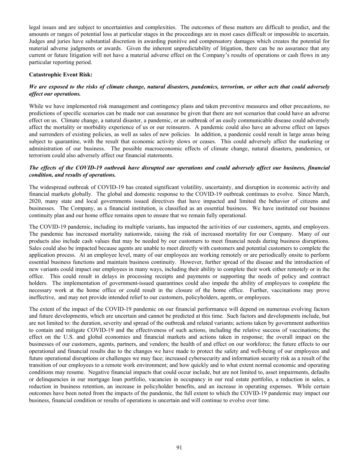legal issues and are subject to uncertainties and complexities. The outcomes of these matters are difficult to predict, and the amounts or ranges of potential loss at particular stages in the proceedings are in most cases difficult or impossible to ascertain. Judges and juries have substantial discretion in awarding punitive and compensatory damages which creates the potential for material adverse judgments or awards. Given the inherent unpredictability of litigation, there can be no assurance that any current or future litigation will not have a material adverse effect on the Company's results of operations or cash flows in any particular reporting period.

### **Catastrophic Event Risk:**

# *We are exposed to the risks of climate change, natural disasters, pandemics, terrorism, or other acts that could adversely affect our operations.*

While we have implemented risk management and contingency plans and taken preventive measures and other precautions, no predictions of specific scenarios can be made nor can assurance be given that there are not scenarios that could have an adverse effect on us. Climate change, a natural disaster, a pandemic, or an outbreak of an easily communicable disease could adversely affect the mortality or morbidity experience of us or our reinsurers. A pandemic could also have an adverse effect on lapses and surrenders of existing policies, as well as sales of new policies. In addition, a pandemic could result in large areas being subject to quarantine, with the result that economic activity slows or ceases. This could adversely affect the marketing or administration of our business. The possible macroeconomic effects of climate change, natural disasters, pandemics, or terrorism could also adversely affect our financial statements.

# *The effects of the COVID-19 outbreak have disrupted our operations and could adversely affect our business, financial condition, and results of operations.*

The widespread outbreak of COVID-19 has created significant volatility, uncertainty, and disruption in economic activity and financial markets globally. The global and domestic response to the COVID-19 outbreak continues to evolve. Since March, 2020, many state and local governments issued directives that have impacted and limited the behavior of citizens and businesses. The Company, as a financial institution, is classified as an essential business. We have instituted our business continuity plan and our home office remains open to ensure that we remain fully operational.

The COVID-19 pandemic, including its multiple variants, has impacted the activities of our customers, agents, and employees. The pandemic has increased mortality nationwide, raising the risk of increased mortality for our Company. Many of our products also include cash values that may be needed by our customers to meet financial needs during business disruptions. Sales could also be impacted because agents are unable to meet directly with customers and potential customers to complete the application process. At an employee level, many of our employees are working remotely or are periodically onsite to perform essential business functions and maintain business continuity. However, further spread of the disease and the introduction of new variants could impact our employees in many ways, including their ability to complete their work either remotely or in the office. This could result in delays in processing receipts and payments or supporting the needs of policy and contract holders. The implementation of government-issued quarantines could also impede the ability of employees to complete the necessary work at the home office or could result in the closure of the home office. Further, vaccinations may prove ineffective, and may not provide intended relief to our customers, policyholders, agents, or employees.

The extent of the impact of the COVID-19 pandemic on our financial performance will depend on numerous evolving factors and future developments, which are uncertain and cannot be predicted at this time. Such factors and developments include, but are not limited to: the duration, severity and spread of the outbreak and related variants; actions taken by government authorities to contain and mitigate COVID-19 and the effectiveness of such actions, including the relative success of vaccinations; the effect on the U.S. and global economies and financial markets and actions taken in response; the overall impact on the businesses of our customers, agents, partners, and vendors; the health of and effect on our workforce; the future effects to our operational and financial results due to the changes we have made to protect the safety and well-being of our employees and future operational disruptions or challenges we may face; increased cybersecurity and information security risk as a result of the transition of our employees to a remote work environment; and how quickly and to what extent normal economic and operating conditions may resume. Negative financial impacts that could occur include, but are not limited to, asset impairments, defaults or delinquencies in our mortgage loan portfolio, vacancies in occupancy in our real estate portfolio, a reduction in sales, a reduction in business retention, an increase in policyholder benefits, and an increase in operating expenses. While certain outcomes have been noted from the impacts of the pandemic, the full extent to which the COVID-19 pandemic may impact our business, financial condition or results of operations is uncertain and will continue to evolve over time.